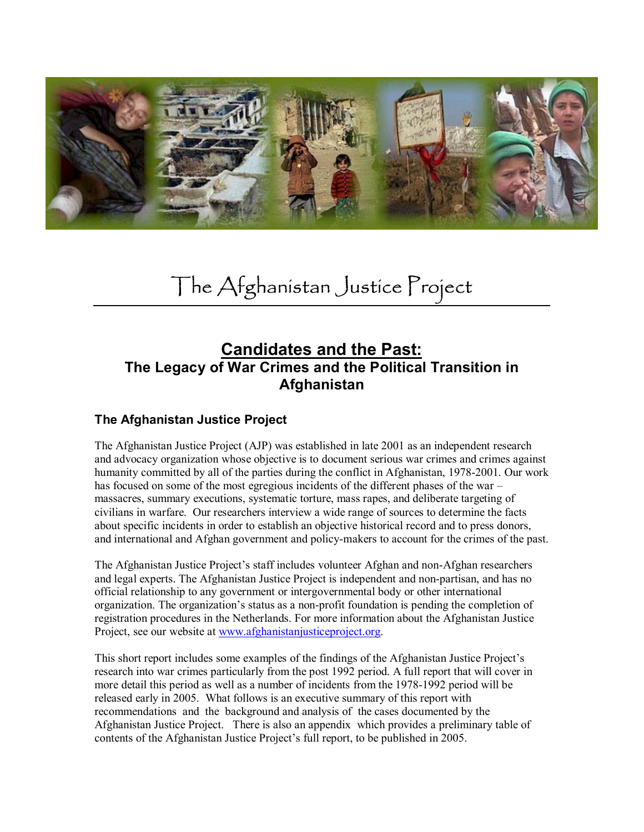

# The Afghanistan Justice Project

# **Candidates and the Past: The Legacy of War Crimes and the Political Transition in Afghanistan**

# **The Afghanistan Justice Project**

The Afghanistan Justice Project (AJP) was established in late 2001 as an independent research and advocacy organization whose objective is to document serious war crimes and crimes against humanity committed by all of the parties during the conflict in Afghanistan, 1978-2001. Our work has focused on some of the most egregious incidents of the different phases of the war – massacres, summary executions, systematic torture, mass rapes, and deliberate targeting of civilians in warfare. Our researchers interview a wide range of sources to determine the facts about specific incidents in order to establish an objective historical record and to press donors, and international and Afghan government and policy-makers to account for the crimes of the past.

The Afghanistan Justice Project's staff includes volunteer Afghan and non-Afghan researchers and legal experts. The Afghanistan Justice Project is independent and non-partisan, and has no official relationship to any government or intergovernmental body or other international organization. The organization's status as a non-profit foundation is pending the completion of registration procedures in the Netherlands. For more information about the Afghanistan Justice Project, see our website at www.afghanistanjusticeproject.org.

This short report includes some examples of the findings of the Afghanistan Justice Project's research into war crimes particularly from the post 1992 period. A full report that will cover in more detail this period as well as a number of incidents from the 1978-1992 period will be released early in 2005. What follows is an executive summary of this report with recommendations and the background and analysis of the cases documented by the Afghanistan Justice Project. There is also an appendix which provides a preliminary table of contents of the Afghanistan Justice Project's full report, to be published in 2005.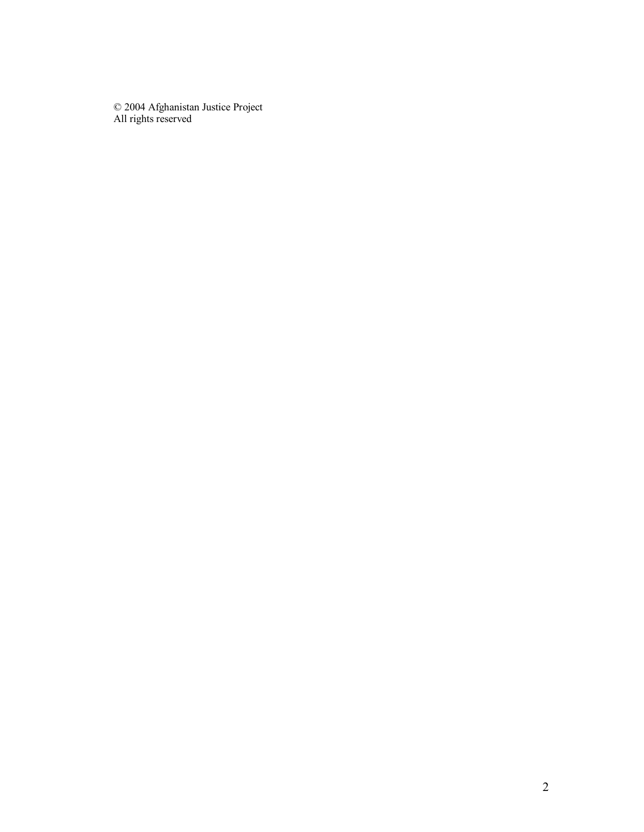© 2004 Afghanistan Justice Project All rights reserved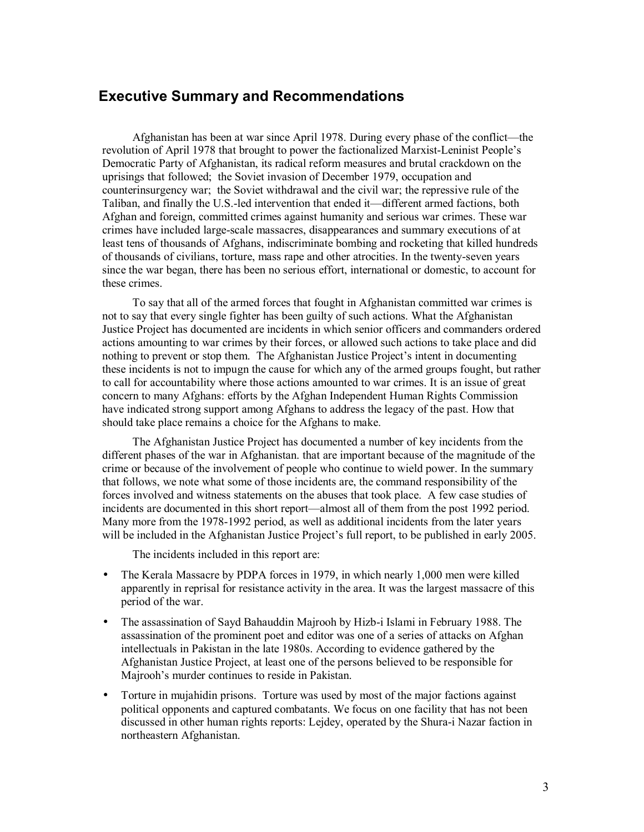# **Executive Summary and Recommendations**

 Afghanistan has been at war since April 1978. During every phase of the conflict—the revolution of April 1978 that brought to power the factionalized Marxist-Leninist People's Democratic Party of Afghanistan, its radical reform measures and brutal crackdown on the uprisings that followed; the Soviet invasion of December 1979, occupation and counterinsurgency war; the Soviet withdrawal and the civil war; the repressive rule of the Taliban, and finally the U.S.-led intervention that ended it—different armed factions, both Afghan and foreign, committed crimes against humanity and serious war crimes. These war crimes have included large-scale massacres, disappearances and summary executions of at least tens of thousands of Afghans, indiscriminate bombing and rocketing that killed hundreds of thousands of civilians, torture, mass rape and other atrocities. In the twenty-seven years since the war began, there has been no serious effort, international or domestic, to account for these crimes.

 To say that all of the armed forces that fought in Afghanistan committed war crimes is not to say that every single fighter has been guilty of such actions. What the Afghanistan Justice Project has documented are incidents in which senior officers and commanders ordered actions amounting to war crimes by their forces, or allowed such actions to take place and did nothing to prevent or stop them. The Afghanistan Justice Project's intent in documenting these incidents is not to impugn the cause for which any of the armed groups fought, but rather to call for accountability where those actions amounted to war crimes. It is an issue of great concern to many Afghans: efforts by the Afghan Independent Human Rights Commission have indicated strong support among Afghans to address the legacy of the past. How that should take place remains a choice for the Afghans to make.

 The Afghanistan Justice Project has documented a number of key incidents from the different phases of the war in Afghanistan. that are important because of the magnitude of the crime or because of the involvement of people who continue to wield power. In the summary that follows, we note what some of those incidents are, the command responsibility of the forces involved and witness statements on the abuses that took place. A few case studies of incidents are documented in this short report—almost all of them from the post 1992 period. Many more from the 1978-1992 period, as well as additional incidents from the later years will be included in the Afghanistan Justice Project's full report, to be published in early 2005.

The incidents included in this report are:

- The Kerala Massacre by PDPA forces in 1979, in which nearly 1,000 men were killed apparently in reprisal for resistance activity in the area. It was the largest massacre of this period of the war.
- The assassination of Sayd Bahauddin Majrooh by Hizb-i Islami in February 1988. The assassination of the prominent poet and editor was one of a series of attacks on Afghan intellectuals in Pakistan in the late 1980s. According to evidence gathered by the Afghanistan Justice Project, at least one of the persons believed to be responsible for Majrooh's murder continues to reside in Pakistan.
- Torture in mujahidin prisons. Torture was used by most of the major factions against political opponents and captured combatants. We focus on one facility that has not been discussed in other human rights reports: Lejdey, operated by the Shura-i Nazar faction in northeastern Afghanistan.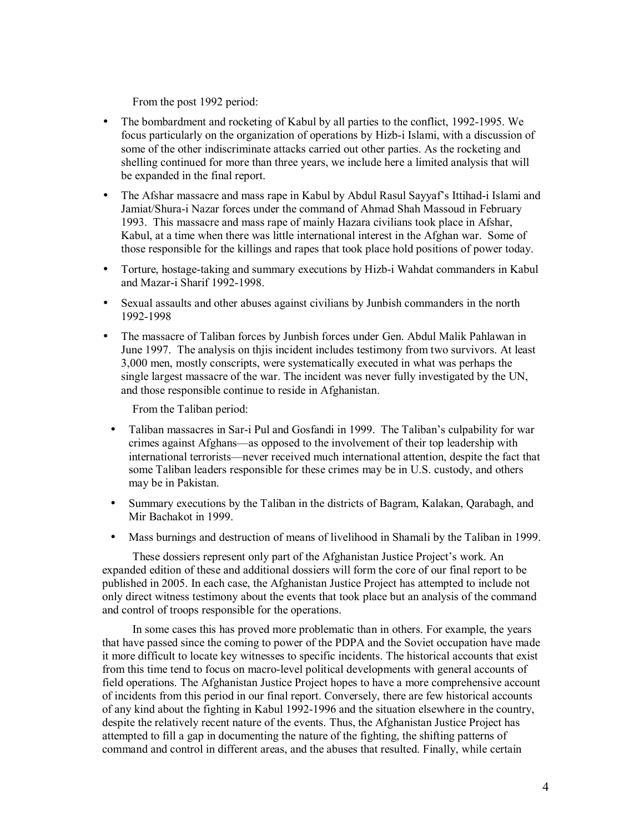From the post 1992 period:

- The bombardment and rocketing of Kabul by all parties to the conflict, 1992-1995. We focus particularly on the organization of operations by Hizb-i Islami, with a discussion of some of the other indiscriminate attacks carried out other parties. As the rocketing and shelling continued for more than three years, we include here a limited analysis that will be expanded in the final report.
- The Afshar massacre and mass rape in Kabul by Abdul Rasul Sayyaf's Ittihad-i Islami and Jamiat/Shura-i Nazar forces under the command of Ahmad Shah Massoud in February 1993. This massacre and mass rape of mainly Hazara civilians took place in Afshar, Kabul, at a time when there was little international interest in the Afghan war. Some of those responsible for the killings and rapes that took place hold positions of power today.
- Torture, hostage-taking and summary executions by Hizb-i Wahdat commanders in Kabul and Mazar-i Sharif 1992-1998.
- Sexual assaults and other abuses against civilians by Junbish commanders in the north 1992-1998
- The massacre of Taliban forces by Junbish forces under Gen. Abdul Malik Pahlawan in June 1997. The analysis on thjis incident includes testimony from two survivors. At least 3,000 men, mostly conscripts, were systematically executed in what was perhaps the single largest massacre of the war. The incident was never fully investigated by the UN, and those responsible continue to reside in Afghanistan.

From the Taliban period:

- Taliban massacres in Sar-i Pul and Gosfandi in 1999. The Taliban's culpability for war crimes against Afghans—as opposed to the involvement of their top leadership with international terrorists—never received much international attention, despite the fact that some Taliban leaders responsible for these crimes may be in U.S. custody, and others may be in Pakistan.
- Summary executions by the Taliban in the districts of Bagram, Kalakan, Qarabagh, and Mir Bachakot in 1999.
- Mass burnings and destruction of means of livelihood in Shamali by the Taliban in 1999.

 These dossiers represent only part of the Afghanistan Justice Project's work. An expanded edition of these and additional dossiers will form the core of our final report to be published in 2005. In each case, the Afghanistan Justice Project has attempted to include not only direct witness testimony about the events that took place but an analysis of the command and control of troops responsible for the operations.

 In some cases this has proved more problematic than in others. For example, the years that have passed since the coming to power of the PDPA and the Soviet occupation have made it more difficult to locate key witnesses to specific incidents. The historical accounts that exist from this time tend to focus on macro-level political developments with general accounts of field operations. The Afghanistan Justice Project hopes to have a more comprehensive account of incidents from this period in our final report. Conversely, there are few historical accounts of any kind about the fighting in Kabul 1992-1996 and the situation elsewhere in the country, despite the relatively recent nature of the events. Thus, the Afghanistan Justice Project has attempted to fill a gap in documenting the nature of the fighting, the shifting patterns of command and control in different areas, and the abuses that resulted. Finally, while certain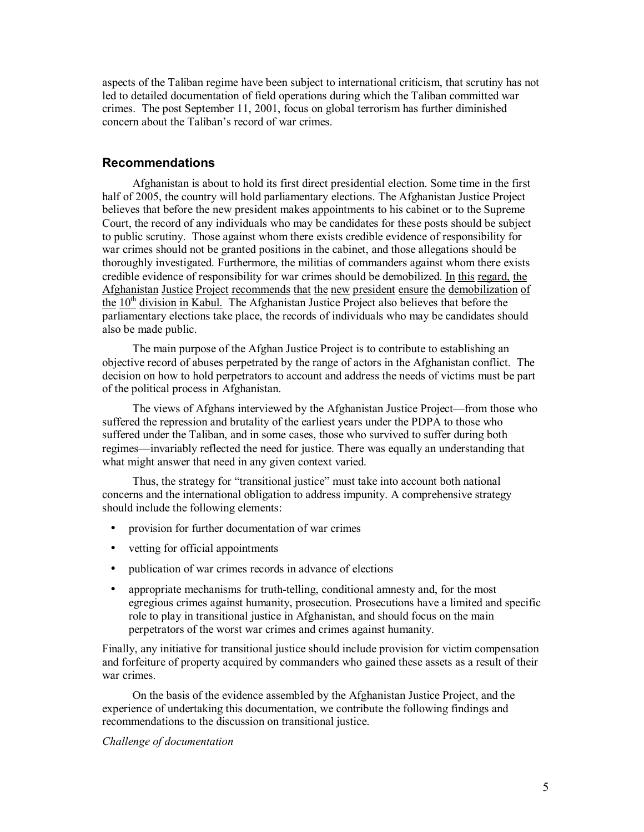aspects of the Taliban regime have been subject to international criticism, that scrutiny has not led to detailed documentation of field operations during which the Taliban committed war crimes. The post September 11, 2001, focus on global terrorism has further diminished concern about the Taliban's record of war crimes.

# **Recommendations**

Afghanistan is about to hold its first direct presidential election. Some time in the first half of 2005, the country will hold parliamentary elections. The Afghanistan Justice Project believes that before the new president makes appointments to his cabinet or to the Supreme Court, the record of any individuals who may be candidates for these posts should be subject to public scrutiny. Those against whom there exists credible evidence of responsibility for war crimes should not be granted positions in the cabinet, and those allegations should be thoroughly investigated. Furthermore, the militias of commanders against whom there exists credible evidence of responsibility for war crimes should be demobilized. In this regard, the Afghanistan Justice Project recommends that the new president ensure the demobilization of the  $10<sup>th</sup>$  division in Kabul. The Afghanistan Justice Project also believes that before the parliamentary elections take place, the records of individuals who may be candidates should also be made public.

The main purpose of the Afghan Justice Project is to contribute to establishing an objective record of abuses perpetrated by the range of actors in the Afghanistan conflict. The decision on how to hold perpetrators to account and address the needs of victims must be part of the political process in Afghanistan.

 The views of Afghans interviewed by the Afghanistan Justice Project—from those who suffered the repression and brutality of the earliest years under the PDPA to those who suffered under the Taliban, and in some cases, those who survived to suffer during both regimes—invariably reflected the need for justice. There was equally an understanding that what might answer that need in any given context varied.

 Thus, the strategy for "transitional justice" must take into account both national concerns and the international obligation to address impunity. A comprehensive strategy should include the following elements:

- provision for further documentation of war crimes
- vetting for official appointments
- publication of war crimes records in advance of elections
- appropriate mechanisms for truth-telling, conditional amnesty and, for the most egregious crimes against humanity, prosecution. Prosecutions have a limited and specific role to play in transitional justice in Afghanistan, and should focus on the main perpetrators of the worst war crimes and crimes against humanity.

Finally, any initiative for transitional justice should include provision for victim compensation and forfeiture of property acquired by commanders who gained these assets as a result of their war crimes.

 On the basis of the evidence assembled by the Afghanistan Justice Project, and the experience of undertaking this documentation, we contribute the following findings and recommendations to the discussion on transitional justice.

*Challenge of documentation*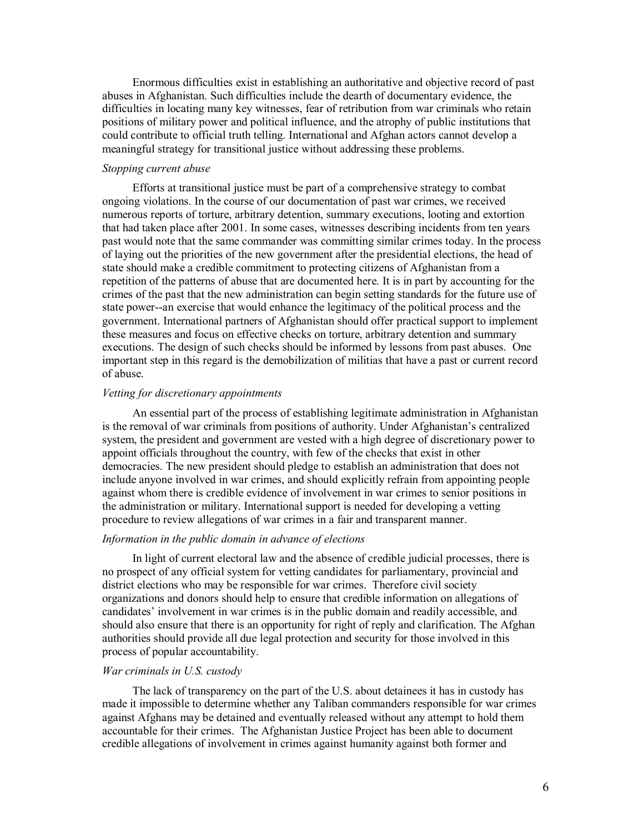Enormous difficulties exist in establishing an authoritative and objective record of past abuses in Afghanistan. Such difficulties include the dearth of documentary evidence, the difficulties in locating many key witnesses, fear of retribution from war criminals who retain positions of military power and political influence, and the atrophy of public institutions that could contribute to official truth telling. International and Afghan actors cannot develop a meaningful strategy for transitional justice without addressing these problems.

#### *Stopping current abuse*

Efforts at transitional justice must be part of a comprehensive strategy to combat ongoing violations. In the course of our documentation of past war crimes, we received numerous reports of torture, arbitrary detention, summary executions, looting and extortion that had taken place after 2001. In some cases, witnesses describing incidents from ten years past would note that the same commander was committing similar crimes today. In the process of laying out the priorities of the new government after the presidential elections, the head of state should make a credible commitment to protecting citizens of Afghanistan from a repetition of the patterns of abuse that are documented here. It is in part by accounting for the crimes of the past that the new administration can begin setting standards for the future use of state power--an exercise that would enhance the legitimacy of the political process and the government. International partners of Afghanistan should offer practical support to implement these measures and focus on effective checks on torture, arbitrary detention and summary executions. The design of such checks should be informed by lessons from past abuses. One important step in this regard is the demobilization of militias that have a past or current record of abuse.

#### *Vetting for discretionary appointments*

An essential part of the process of establishing legitimate administration in Afghanistan is the removal of war criminals from positions of authority. Under Afghanistan's centralized system, the president and government are vested with a high degree of discretionary power to appoint officials throughout the country, with few of the checks that exist in other democracies. The new president should pledge to establish an administration that does not include anyone involved in war crimes, and should explicitly refrain from appointing people against whom there is credible evidence of involvement in war crimes to senior positions in the administration or military. International support is needed for developing a vetting procedure to review allegations of war crimes in a fair and transparent manner.

#### *Information in the public domain in advance of elections*

In light of current electoral law and the absence of credible judicial processes, there is no prospect of any official system for vetting candidates for parliamentary, provincial and district elections who may be responsible for war crimes. Therefore civil society organizations and donors should help to ensure that credible information on allegations of candidates' involvement in war crimes is in the public domain and readily accessible, and should also ensure that there is an opportunity for right of reply and clarification. The Afghan authorities should provide all due legal protection and security for those involved in this process of popular accountability.

#### *War criminals in U.S. custody*

The lack of transparency on the part of the U.S. about detainees it has in custody has made it impossible to determine whether any Taliban commanders responsible for war crimes against Afghans may be detained and eventually released without any attempt to hold them accountable for their crimes. The Afghanistan Justice Project has been able to document credible allegations of involvement in crimes against humanity against both former and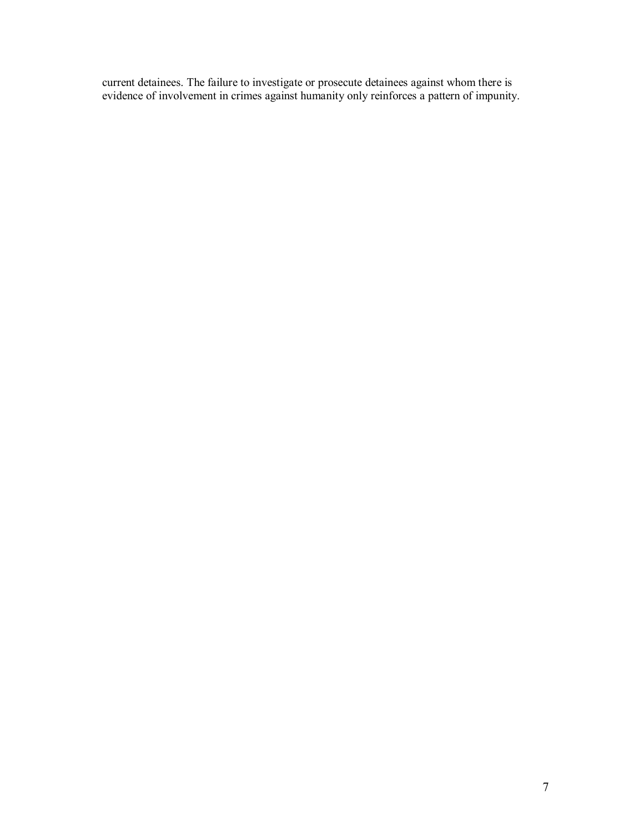current detainees. The failure to investigate or prosecute detainees against whom there is evidence of involvement in crimes against humanity only reinforces a pattern of impunity.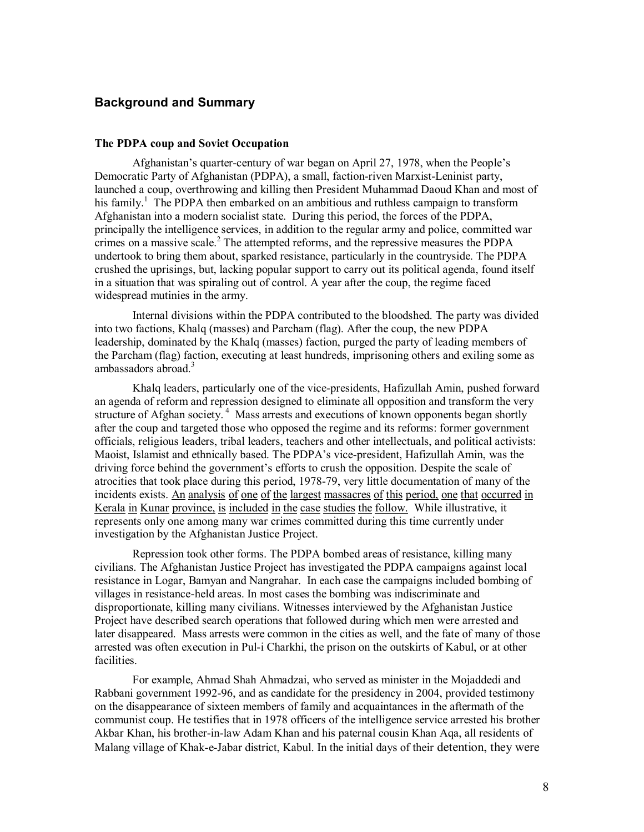# **Background and Summary**

#### **The PDPA coup and Soviet Occupation**

 Afghanistan's quarter-century of war began on April 27, 1978, when the People's Democratic Party of Afghanistan (PDPA), a small, faction-riven Marxist-Leninist party, launched a coup, overthrowing and killing then President Muhammad Daoud Khan and most of his family.<sup>1</sup> The PDPA then embarked on an ambitious and ruthless campaign to transform Afghanistan into a modern socialist state. During this period, the forces of the PDPA, principally the intelligence services, in addition to the regular army and police, committed war crimes on a massive scale. $2$  The attempted reforms, and the repressive measures the PDPA undertook to bring them about, sparked resistance, particularly in the countryside. The PDPA crushed the uprisings, but, lacking popular support to carry out its political agenda, found itself in a situation that was spiraling out of control. A year after the coup, the regime faced widespread mutinies in the army.

 Internal divisions within the PDPA contributed to the bloodshed. The party was divided into two factions, Khalq (masses) and Parcham (flag). After the coup, the new PDPA leadership, dominated by the Khalq (masses) faction, purged the party of leading members of the Parcham (flag) faction, executing at least hundreds, imprisoning others and exiling some as ambassadors abroad.<sup>3</sup>

Khalq leaders, particularly one of the vice-presidents, Hafizullah Amin, pushed forward an agenda of reform and repression designed to eliminate all opposition and transform the very structure of Afghan society.<sup>4</sup> Mass arrests and executions of known opponents began shortly after the coup and targeted those who opposed the regime and its reforms: former government officials, religious leaders, tribal leaders, teachers and other intellectuals, and political activists: Maoist, Islamist and ethnically based. The PDPA's vice-president, Hafizullah Amin, was the driving force behind the government's efforts to crush the opposition. Despite the scale of atrocities that took place during this period, 1978-79, very little documentation of many of the incidents exists. An analysis of one of the largest massacres of this period, one that occurred in Kerala in Kunar province, is included in the case studies the follow. While illustrative, it represents only one among many war crimes committed during this time currently under investigation by the Afghanistan Justice Project.

Repression took other forms. The PDPA bombed areas of resistance, killing many civilians. The Afghanistan Justice Project has investigated the PDPA campaigns against local resistance in Logar, Bamyan and Nangrahar. In each case the campaigns included bombing of villages in resistance-held areas. In most cases the bombing was indiscriminate and disproportionate, killing many civilians. Witnesses interviewed by the Afghanistan Justice Project have described search operations that followed during which men were arrested and later disappeared. Mass arrests were common in the cities as well, and the fate of many of those arrested was often execution in Pul-i Charkhi, the prison on the outskirts of Kabul, or at other facilities.

For example, Ahmad Shah Ahmadzai, who served as minister in the Mojaddedi and Rabbani government 1992-96, and as candidate for the presidency in 2004, provided testimony on the disappearance of sixteen members of family and acquaintances in the aftermath of the communist coup. He testifies that in 1978 officers of the intelligence service arrested his brother Akbar Khan, his brother-in-law Adam Khan and his paternal cousin Khan Aqa, all residents of Malang village of Khak-e-Jabar district, Kabul. In the initial days of their detention, they were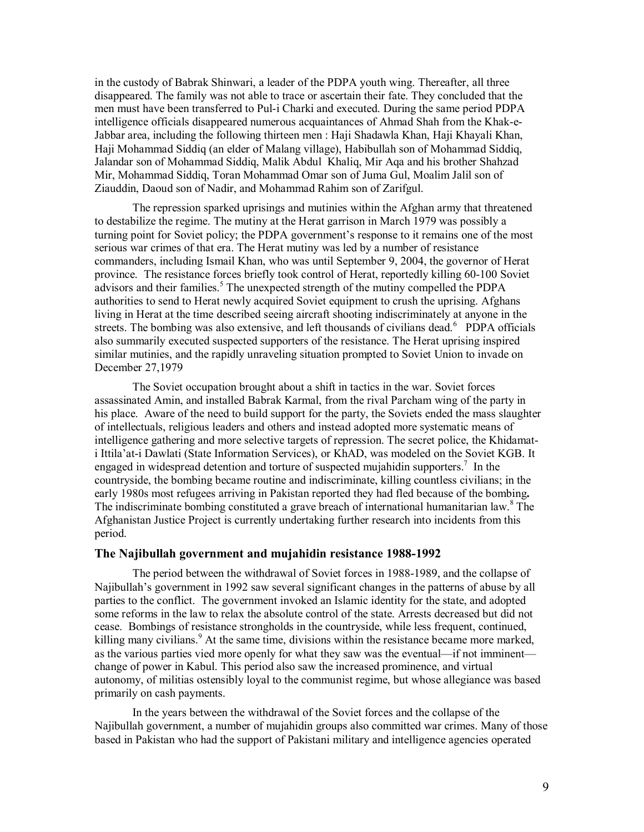in the custody of Babrak Shinwari, a leader of the PDPA youth wing. Thereafter, all three disappeared. The family was not able to trace or ascertain their fate. They concluded that the men must have been transferred to Pul-i Charki and executed. During the same period PDPA intelligence officials disappeared numerous acquaintances of Ahmad Shah from the Khak-e-Jabbar area, including the following thirteen men : Haji Shadawla Khan, Haji Khayali Khan, Haji Mohammad Siddiq (an elder of Malang village), Habibullah son of Mohammad Siddiq, Jalandar son of Mohammad Siddiq, Malik Abdul Khaliq, Mir Aqa and his brother Shahzad Mir, Mohammad Siddiq, Toran Mohammad Omar son of Juma Gul, Moalim Jalil son of Ziauddin, Daoud son of Nadir, and Mohammad Rahim son of Zarifgul.

 The repression sparked uprisings and mutinies within the Afghan army that threatened to destabilize the regime. The mutiny at the Herat garrison in March 1979 was possibly a turning point for Soviet policy; the PDPA government's response to it remains one of the most serious war crimes of that era. The Herat mutiny was led by a number of resistance commanders, including Ismail Khan, who was until September 9, 2004, the governor of Herat province. The resistance forces briefly took control of Herat, reportedly killing 60-100 Soviet advisors and their families.<sup>5</sup> The unexpected strength of the mutiny compelled the PDPA authorities to send to Herat newly acquired Soviet equipment to crush the uprising. Afghans living in Herat at the time described seeing aircraft shooting indiscriminately at anyone in the streets. The bombing was also extensive, and left thousands of civilians dead.<sup>6</sup> PDPA officials also summarily executed suspected supporters of the resistance. The Herat uprising inspired similar mutinies, and the rapidly unraveling situation prompted to Soviet Union to invade on December 27,1979

 The Soviet occupation brought about a shift in tactics in the war. Soviet forces assassinated Amin, and installed Babrak Karmal, from the rival Parcham wing of the party in his place. Aware of the need to build support for the party, the Soviets ended the mass slaughter of intellectuals, religious leaders and others and instead adopted more systematic means of intelligence gathering and more selective targets of repression. The secret police, the Khidamati Ittila'at-i Dawlati (State Information Services), or KhAD, was modeled on the Soviet KGB. It engaged in widespread detention and torture of suspected mujahidin supporters.<sup>7</sup> In the countryside, the bombing became routine and indiscriminate, killing countless civilians; in the early 1980s most refugees arriving in Pakistan reported they had fled because of the bombing**.**  The indiscriminate bombing constituted a grave breach of international humanitarian law.<sup>8</sup> The Afghanistan Justice Project is currently undertaking further research into incidents from this period.

#### **The Najibullah government and mujahidin resistance 1988-1992**

 The period between the withdrawal of Soviet forces in 1988-1989, and the collapse of Najibullah's government in 1992 saw several significant changes in the patterns of abuse by all parties to the conflict. The government invoked an Islamic identity for the state, and adopted some reforms in the law to relax the absolute control of the state. Arrests decreased but did not cease. Bombings of resistance strongholds in the countryside, while less frequent, continued, killing many civilians.<sup>9</sup> At the same time, divisions within the resistance became more marked, as the various parties vied more openly for what they saw was the eventual—if not imminent change of power in Kabul. This period also saw the increased prominence, and virtual autonomy, of militias ostensibly loyal to the communist regime, but whose allegiance was based primarily on cash payments.

 In the years between the withdrawal of the Soviet forces and the collapse of the Najibullah government, a number of mujahidin groups also committed war crimes. Many of those based in Pakistan who had the support of Pakistani military and intelligence agencies operated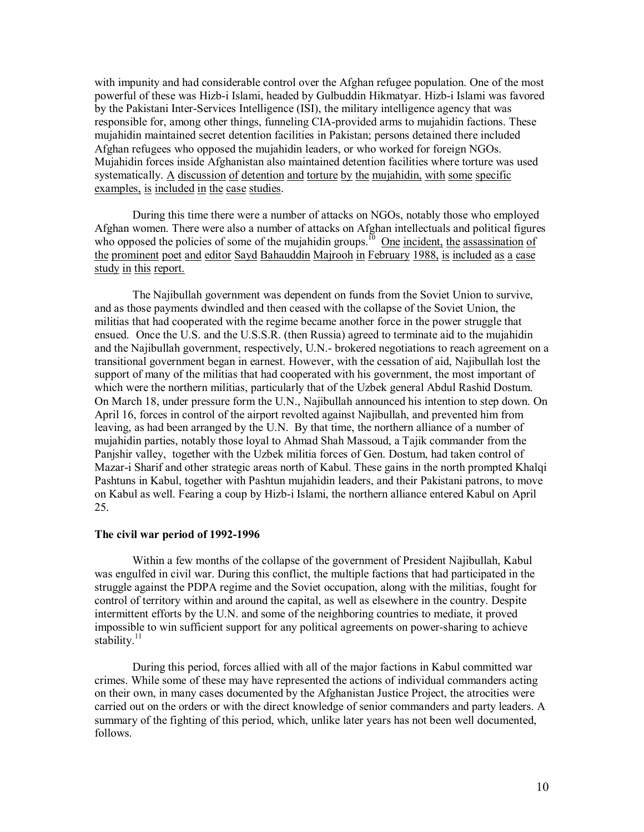with impunity and had considerable control over the Afghan refugee population. One of the most powerful of these was Hizb-i Islami, headed by Gulbuddin Hikmatyar. Hizb-i Islami was favored by the Pakistani Inter-Services Intelligence (ISI), the military intelligence agency that was responsible for, among other things, funneling CIA-provided arms to mujahidin factions. These mujahidin maintained secret detention facilities in Pakistan; persons detained there included Afghan refugees who opposed the mujahidin leaders, or who worked for foreign NGOs. Mujahidin forces inside Afghanistan also maintained detention facilities where torture was used systematically. A discussion of detention and torture by the mujahidin, with some specific examples, is included in the case studies.

During this time there were a number of attacks on NGOs, notably those who employed Afghan women. There were also a number of attacks on Afghan intellectuals and political figures who opposed the policies of some of the mujahidin groups.<sup>10</sup> One incident, the assassination of the prominent poet and editor Sayd Bahauddin Majrooh in February 1988, is included as a case study in this report.

The Najibullah government was dependent on funds from the Soviet Union to survive, and as those payments dwindled and then ceased with the collapse of the Soviet Union, the militias that had cooperated with the regime became another force in the power struggle that ensued. Once the U.S. and the U.S.S.R. (then Russia) agreed to terminate aid to the mujahidin and the Najibullah government, respectively, U.N.- brokered negotiations to reach agreement on a transitional government began in earnest. However, with the cessation of aid, Najibullah lost the support of many of the militias that had cooperated with his government, the most important of which were the northern militias, particularly that of the Uzbek general Abdul Rashid Dostum. On March 18, under pressure form the U.N., Najibullah announced his intention to step down. On April 16, forces in control of the airport revolted against Najibullah, and prevented him from leaving, as had been arranged by the U.N. By that time, the northern alliance of a number of mujahidin parties, notably those loyal to Ahmad Shah Massoud, a Tajik commander from the Panjshir valley, together with the Uzbek militia forces of Gen. Dostum, had taken control of Mazar-i Sharif and other strategic areas north of Kabul. These gains in the north prompted Khalqi Pashtuns in Kabul, together with Pashtun mujahidin leaders, and their Pakistani patrons, to move on Kabul as well. Fearing a coup by Hizb-i Islami, the northern alliance entered Kabul on April 25.

#### **The civil war period of 1992-1996**

Within a few months of the collapse of the government of President Najibullah, Kabul was engulfed in civil war. During this conflict, the multiple factions that had participated in the struggle against the PDPA regime and the Soviet occupation, along with the militias, fought for control of territory within and around the capital, as well as elsewhere in the country. Despite intermittent efforts by the U.N. and some of the neighboring countries to mediate, it proved impossible to win sufficient support for any political agreements on power-sharing to achieve stability. $^{11}$ 

During this period, forces allied with all of the major factions in Kabul committed war crimes. While some of these may have represented the actions of individual commanders acting on their own, in many cases documented by the Afghanistan Justice Project, the atrocities were carried out on the orders or with the direct knowledge of senior commanders and party leaders. A summary of the fighting of this period, which, unlike later years has not been well documented, follows.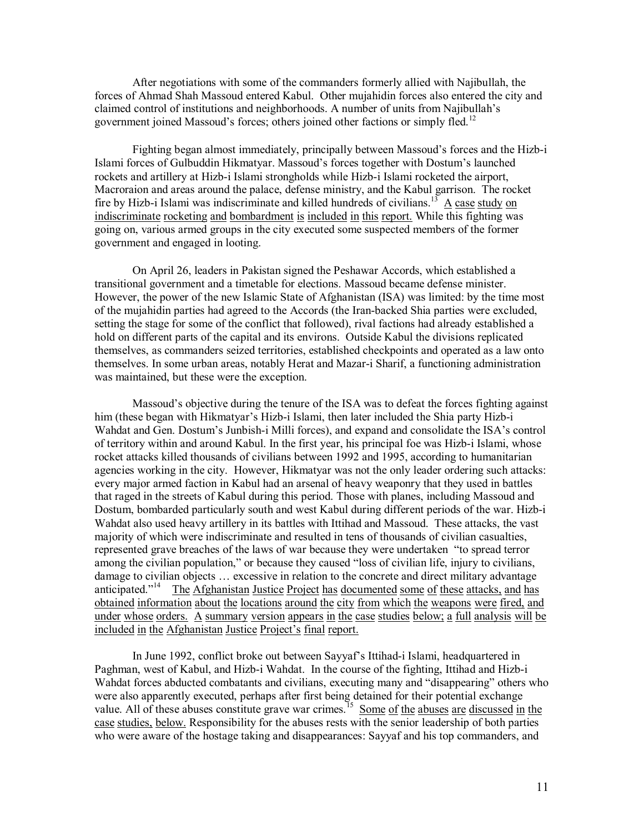After negotiations with some of the commanders formerly allied with Najibullah, the forces of Ahmad Shah Massoud entered Kabul. Other mujahidin forces also entered the city and claimed control of institutions and neighborhoods. A number of units from Najibullah's government joined Massoud's forces; others joined other factions or simply fled.<sup>12</sup>

Fighting began almost immediately, principally between Massoud's forces and the Hizb-i Islami forces of Gulbuddin Hikmatyar. Massoud's forces together with Dostum's launched rockets and artillery at Hizb-i Islami strongholds while Hizb-i Islami rocketed the airport, Macroraion and areas around the palace, defense ministry, and the Kabul garrison. The rocket fire by Hizb-i Islami was indiscriminate and killed hundreds of civilians.<sup>13</sup> A case study on indiscriminate rocketing and bombardment is included in this report. While this fighting was going on, various armed groups in the city executed some suspected members of the former government and engaged in looting.

On April 26, leaders in Pakistan signed the Peshawar Accords, which established a transitional government and a timetable for elections. Massoud became defense minister. However, the power of the new Islamic State of Afghanistan (ISA) was limited: by the time most of the mujahidin parties had agreed to the Accords (the Iran-backed Shia parties were excluded, setting the stage for some of the conflict that followed), rival factions had already established a hold on different parts of the capital and its environs. Outside Kabul the divisions replicated themselves, as commanders seized territories, established checkpoints and operated as a law onto themselves. In some urban areas, notably Herat and Mazar-i Sharif, a functioning administration was maintained, but these were the exception.

Massoud's objective during the tenure of the ISA was to defeat the forces fighting against him (these began with Hikmatyar's Hizb-i Islami, then later included the Shia party Hizb-i Wahdat and Gen. Dostum's Junbish-i Milli forces), and expand and consolidate the ISA's control of territory within and around Kabul. In the first year, his principal foe was Hizb-i Islami, whose rocket attacks killed thousands of civilians between 1992 and 1995, according to humanitarian agencies working in the city. However, Hikmatyar was not the only leader ordering such attacks: every major armed faction in Kabul had an arsenal of heavy weaponry that they used in battles that raged in the streets of Kabul during this period. Those with planes, including Massoud and Dostum, bombarded particularly south and west Kabul during different periods of the war. Hizb-i Wahdat also used heavy artillery in its battles with Ittihad and Massoud. These attacks, the vast majority of which were indiscriminate and resulted in tens of thousands of civilian casualties, represented grave breaches of the laws of war because they were undertaken "to spread terror among the civilian population," or because they caused "loss of civilian life, injury to civilians, damage to civilian objects … excessive in relation to the concrete and direct military advantage anticipated."<sup>14</sup> The Afghanistan Justice Project has documented some of these attacks, and has obtained information about the locations around the city from which the weapons were fired, and under whose orders. A summary version appears in the case studies below; a full analysis will be included in the Afghanistan Justice Project's final report.

In June 1992, conflict broke out between Sayyaf's Ittihad-i Islami, headquartered in Paghman, west of Kabul, and Hizb-i Wahdat. In the course of the fighting, Ittihad and Hizb-i Wahdat forces abducted combatants and civilians, executing many and "disappearing" others who were also apparently executed, perhaps after first being detained for their potential exchange value. All of these abuses constitute grave war crimes.<sup>15</sup> Some of the abuses are discussed in the case studies, below. Responsibility for the abuses rests with the senior leadership of both parties who were aware of the hostage taking and disappearances: Sayyaf and his top commanders, and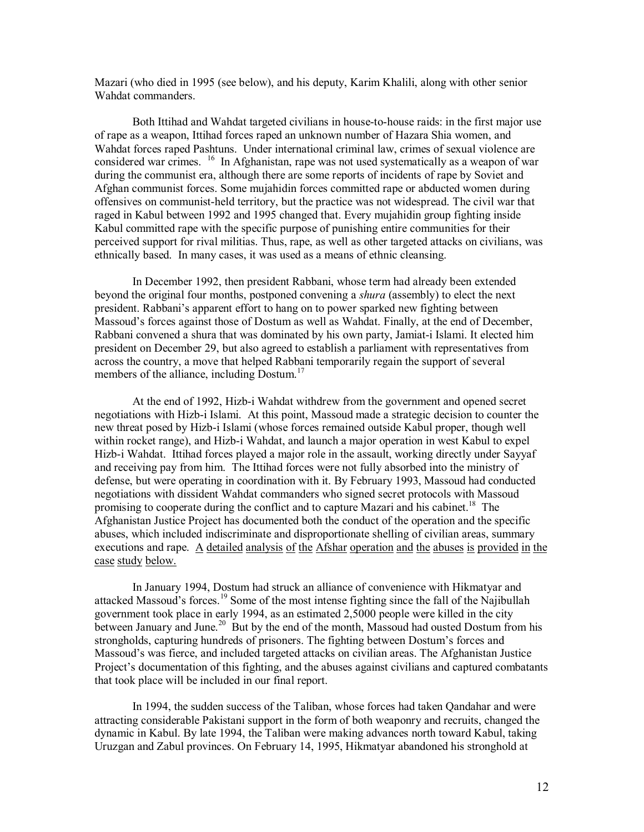Mazari (who died in 1995 (see below), and his deputy, Karim Khalili, along with other senior Wahdat commanders.

Both Ittihad and Wahdat targeted civilians in house-to-house raids: in the first major use of rape as a weapon, Ittihad forces raped an unknown number of Hazara Shia women, and Wahdat forces raped Pashtuns. Under international criminal law, crimes of sexual violence are considered war crimes. <sup>16</sup> In Afghanistan, rape was not used systematically as a weapon of war during the communist era, although there are some reports of incidents of rape by Soviet and Afghan communist forces. Some mujahidin forces committed rape or abducted women during offensives on communist-held territory, but the practice was not widespread. The civil war that raged in Kabul between 1992 and 1995 changed that. Every mujahidin group fighting inside Kabul committed rape with the specific purpose of punishing entire communities for their perceived support for rival militias. Thus, rape, as well as other targeted attacks on civilians, was ethnically based. In many cases, it was used as a means of ethnic cleansing.

In December 1992, then president Rabbani, whose term had already been extended beyond the original four months, postponed convening a *shura* (assembly) to elect the next president. Rabbani's apparent effort to hang on to power sparked new fighting between Massoud's forces against those of Dostum as well as Wahdat. Finally, at the end of December, Rabbani convened a shura that was dominated by his own party, Jamiat-i Islami. It elected him president on December 29, but also agreed to establish a parliament with representatives from across the country, a move that helped Rabbani temporarily regain the support of several members of the alliance, including Dostum.<sup>17</sup>

At the end of 1992, Hizb-i Wahdat withdrew from the government and opened secret negotiations with Hizb-i Islami. At this point, Massoud made a strategic decision to counter the new threat posed by Hizb-i Islami (whose forces remained outside Kabul proper, though well within rocket range), and Hizb-i Wahdat, and launch a major operation in west Kabul to expel Hizb-i Wahdat. Ittihad forces played a major role in the assault, working directly under Sayyaf and receiving pay from him. The Ittihad forces were not fully absorbed into the ministry of defense, but were operating in coordination with it. By February 1993, Massoud had conducted negotiations with dissident Wahdat commanders who signed secret protocols with Massoud promising to cooperate during the conflict and to capture Mazari and his cabinet.<sup>18</sup> The Afghanistan Justice Project has documented both the conduct of the operation and the specific abuses, which included indiscriminate and disproportionate shelling of civilian areas, summary executions and rape. A detailed analysis of the Afshar operation and the abuses is provided in the case study below.

In January 1994, Dostum had struck an alliance of convenience with Hikmatyar and attacked Massoud's forces.<sup>19</sup> Some of the most intense fighting since the fall of the Najibullah government took place in early 1994, as an estimated 2,5000 people were killed in the city between January and June.<sup>20</sup> But by the end of the month, Massoud had ousted Dostum from his strongholds, capturing hundreds of prisoners. The fighting between Dostum's forces and Massoud's was fierce, and included targeted attacks on civilian areas. The Afghanistan Justice Project's documentation of this fighting, and the abuses against civilians and captured combatants that took place will be included in our final report.

In 1994, the sudden success of the Taliban, whose forces had taken Qandahar and were attracting considerable Pakistani support in the form of both weaponry and recruits, changed the dynamic in Kabul. By late 1994, the Taliban were making advances north toward Kabul, taking Uruzgan and Zabul provinces. On February 14, 1995, Hikmatyar abandoned his stronghold at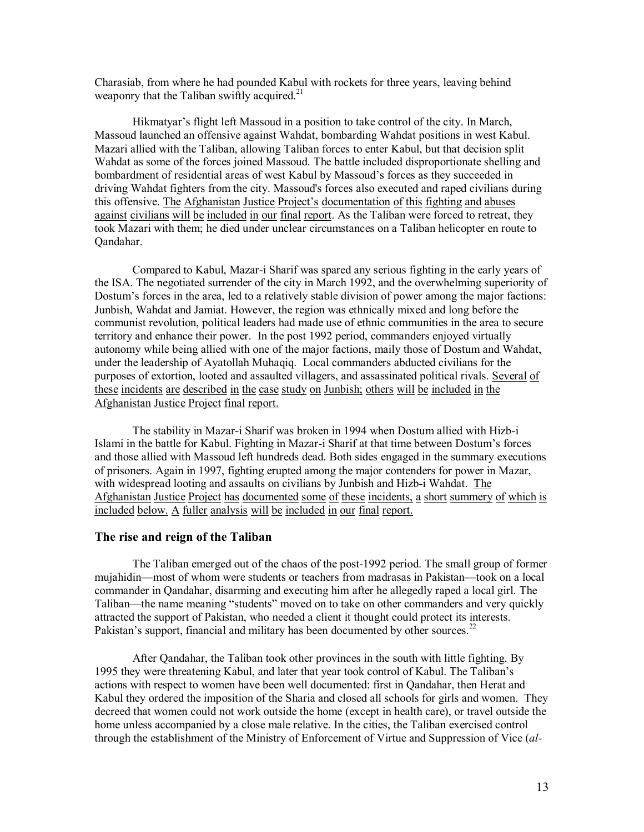Charasiab, from where he had pounded Kabul with rockets for three years, leaving behind weaponry that the Taliban swiftly acquired.<sup>21</sup>

Hikmatyar's flight left Massoud in a position to take control of the city. In March, Massoud launched an offensive against Wahdat, bombarding Wahdat positions in west Kabul. Mazari allied with the Taliban, allowing Taliban forces to enter Kabul, but that decision split Wahdat as some of the forces joined Massoud. The battle included disproportionate shelling and bombardment of residential areas of west Kabul by Massoud's forces as they succeeded in driving Wahdat fighters from the city. Massoud's forces also executed and raped civilians during this offensive. The Afghanistan Justice Project's documentation of this fighting and abuses against civilians will be included in our final report. As the Taliban were forced to retreat, they took Mazari with them; he died under unclear circumstances on a Taliban helicopter en route to Qandahar.

Compared to Kabul, Mazar-i Sharif was spared any serious fighting in the early years of the ISA. The negotiated surrender of the city in March 1992, and the overwhelming superiority of Dostum's forces in the area, led to a relatively stable division of power among the major factions: Junbish, Wahdat and Jamiat. However, the region was ethnically mixed and long before the communist revolution, political leaders had made use of ethnic communities in the area to secure territory and enhance their power. In the post 1992 period, commanders enjoyed virtually autonomy while being allied with one of the major factions, maily those of Dostum and Wahdat, under the leadership of Ayatollah Muhaqiq. Local commanders abducted civilians for the purposes of extortion, looted and assaulted villagers, and assassinated political rivals. Several of these incidents are described in the case study on Junbish; others will be included in the Afghanistan Justice Project final report.

The stability in Mazar-i Sharif was broken in 1994 when Dostum allied with Hizb-i Islami in the battle for Kabul. Fighting in Mazar-i Sharif at that time between Dostum's forces and those allied with Massoud left hundreds dead. Both sides engaged in the summary executions of prisoners. Again in 1997, fighting erupted among the major contenders for power in Mazar, with widespread looting and assaults on civilians by Junbish and Hizb-i Wahdat. The Afghanistan Justice Project has documented some of these incidents, a short summery of which is included below. A fuller analysis will be included in our final report.

#### **The rise and reign of the Taliban**

The Taliban emerged out of the chaos of the post-1992 period. The small group of former mujahidin—most of whom were students or teachers from madrasas in Pakistan—took on a local commander in Qandahar, disarming and executing him after he allegedly raped a local girl. The Taliban—the name meaning "students" moved on to take on other commanders and very quickly attracted the support of Pakistan, who needed a client it thought could protect its interests. Pakistan's support, financial and military has been documented by other sources.<sup>22</sup>

After Qandahar, the Taliban took other provinces in the south with little fighting. By 1995 they were threatening Kabul, and later that year took control of Kabul. The Taliban's actions with respect to women have been well documented: first in Qandahar, then Herat and Kabul they ordered the imposition of the Sharia and closed all schools for girls and women. They decreed that women could not work outside the home (except in health care), or travel outside the home unless accompanied by a close male relative. In the cities, the Taliban exercised control through the establishment of the Ministry of Enforcement of Virtue and Suppression of Vice (*al-*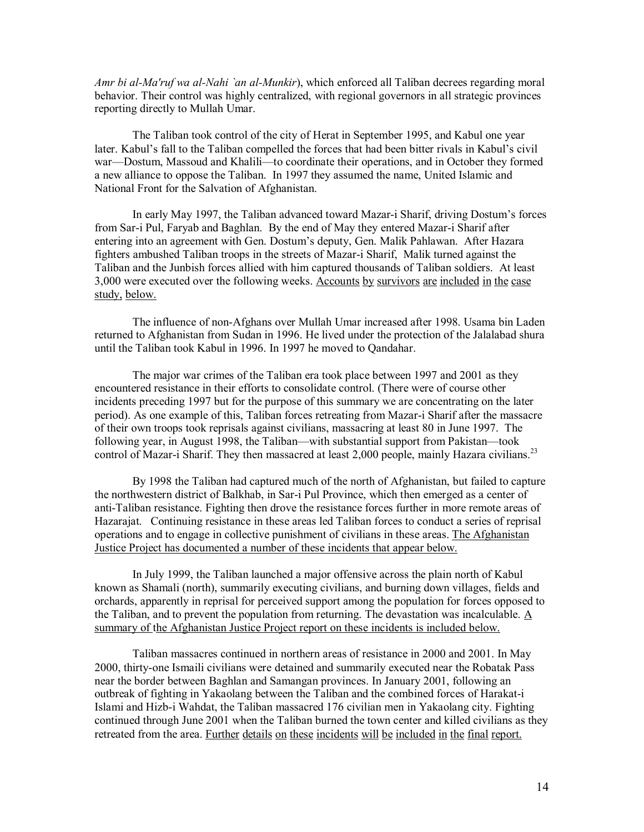*Amr bi al-Ma'ruf wa al-Nahi `an al-Munkir*), which enforced all Taliban decrees regarding moral behavior. Their control was highly centralized, with regional governors in all strategic provinces reporting directly to Mullah Umar.

The Taliban took control of the city of Herat in September 1995, and Kabul one year later. Kabul's fall to the Taliban compelled the forces that had been bitter rivals in Kabul's civil war—Dostum, Massoud and Khalili—to coordinate their operations, and in October they formed a new alliance to oppose the Taliban. In 1997 they assumed the name, United Islamic and National Front for the Salvation of Afghanistan.

In early May 1997, the Taliban advanced toward Mazar-i Sharif, driving Dostum's forces from Sar-i Pul, Faryab and Baghlan. By the end of May they entered Mazar-i Sharif after entering into an agreement with Gen. Dostum's deputy, Gen. Malik Pahlawan. After Hazara fighters ambushed Taliban troops in the streets of Mazar-i Sharif, Malik turned against the Taliban and the Junbish forces allied with him captured thousands of Taliban soldiers. At least 3,000 were executed over the following weeks. Accounts by survivors are included in the case study, below.

The influence of non-Afghans over Mullah Umar increased after 1998. Usama bin Laden returned to Afghanistan from Sudan in 1996. He lived under the protection of the Jalalabad shura until the Taliban took Kabul in 1996. In 1997 he moved to Qandahar.

The major war crimes of the Taliban era took place between 1997 and 2001 as they encountered resistance in their efforts to consolidate control. (There were of course other incidents preceding 1997 but for the purpose of this summary we are concentrating on the later period). As one example of this, Taliban forces retreating from Mazar-i Sharif after the massacre of their own troops took reprisals against civilians, massacring at least 80 in June 1997. The following year, in August 1998, the Taliban—with substantial support from Pakistan—took control of Mazar-i Sharif. They then massacred at least 2,000 people, mainly Hazara civilians.<sup>23</sup>

By 1998 the Taliban had captured much of the north of Afghanistan, but failed to capture the northwestern district of Balkhab, in Sar-i Pul Province, which then emerged as a center of anti-Taliban resistance. Fighting then drove the resistance forces further in more remote areas of Hazarajat. Continuing resistance in these areas led Taliban forces to conduct a series of reprisal operations and to engage in collective punishment of civilians in these areas. The Afghanistan Justice Project has documented a number of these incidents that appear below.

In July 1999, the Taliban launched a major offensive across the plain north of Kabul known as Shamali (north), summarily executing civilians, and burning down villages, fields and orchards, apparently in reprisal for perceived support among the population for forces opposed to the Taliban, and to prevent the population from returning. The devastation was incalculable. A summary of the Afghanistan Justice Project report on these incidents is included below.

Taliban massacres continued in northern areas of resistance in 2000 and 2001. In May 2000, thirty-one Ismaili civilians were detained and summarily executed near the Robatak Pass near the border between Baghlan and Samangan provinces. In January 2001, following an outbreak of fighting in Yakaolang between the Taliban and the combined forces of Harakat-i Islami and Hizb-i Wahdat, the Taliban massacred 176 civilian men in Yakaolang city. Fighting continued through June 2001 when the Taliban burned the town center and killed civilians as they retreated from the area. Further details on these incidents will be included in the final report.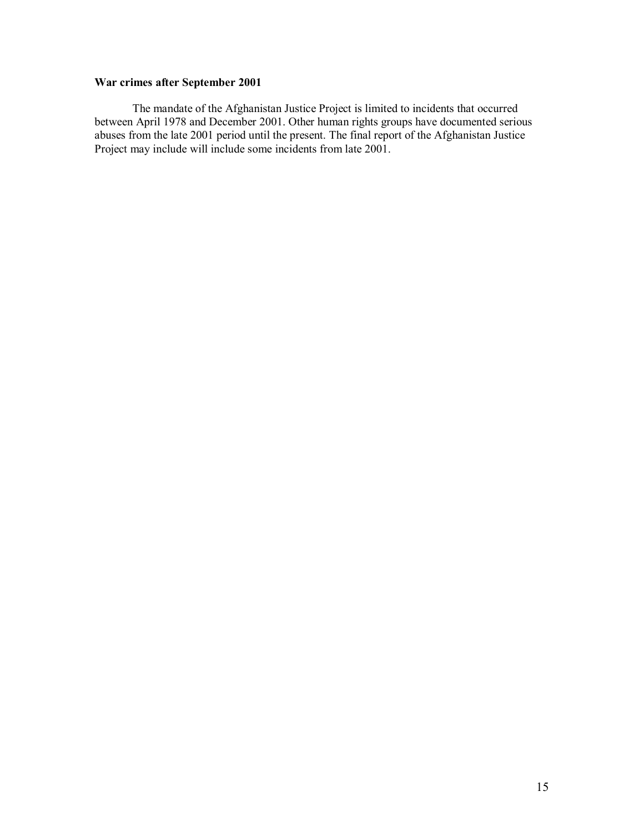# **War crimes after September 2001**

 The mandate of the Afghanistan Justice Project is limited to incidents that occurred between April 1978 and December 2001. Other human rights groups have documented serious abuses from the late 2001 period until the present. The final report of the Afghanistan Justice Project may include will include some incidents from late 2001.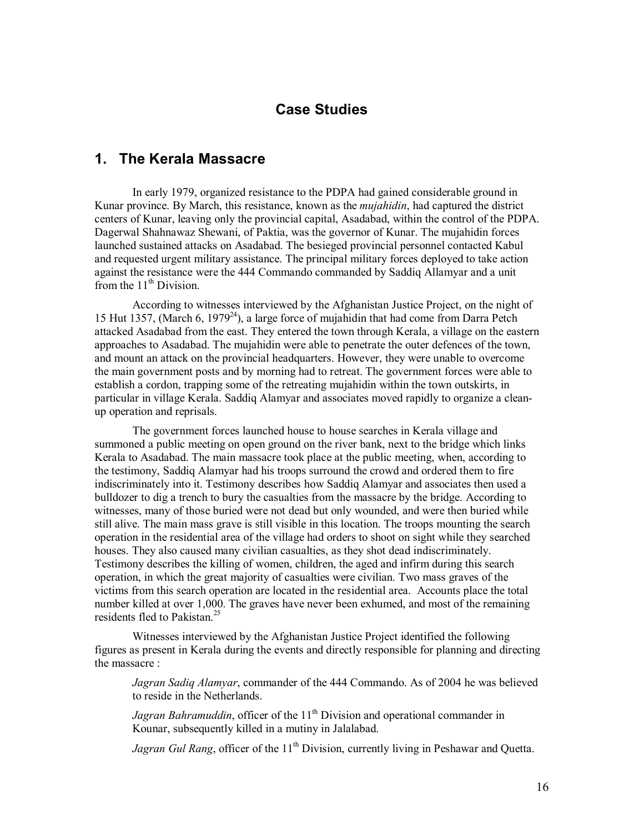# **Case Studies**

# **1. The Kerala Massacre**

In early 1979, organized resistance to the PDPA had gained considerable ground in Kunar province. By March, this resistance, known as the *mujahidin*, had captured the district centers of Kunar, leaving only the provincial capital, Asadabad, within the control of the PDPA. Dagerwal Shahnawaz Shewani, of Paktia, was the governor of Kunar. The mujahidin forces launched sustained attacks on Asadabad. The besieged provincial personnel contacted Kabul and requested urgent military assistance. The principal military forces deployed to take action against the resistance were the 444 Commando commanded by Saddiq Allamyar and a unit from the  $11<sup>th</sup>$  Division.

 According to witnesses interviewed by the Afghanistan Justice Project, on the night of 15 Hut 1357, (March 6, 1979<sup>24</sup>), a large force of mujahidin that had come from Darra Petch attacked Asadabad from the east. They entered the town through Kerala, a village on the eastern approaches to Asadabad. The mujahidin were able to penetrate the outer defences of the town, and mount an attack on the provincial headquarters. However, they were unable to overcome the main government posts and by morning had to retreat. The government forces were able to establish a cordon, trapping some of the retreating mujahidin within the town outskirts, in particular in village Kerala. Saddiq Alamyar and associates moved rapidly to organize a cleanup operation and reprisals.

 The government forces launched house to house searches in Kerala village and summoned a public meeting on open ground on the river bank, next to the bridge which links Kerala to Asadabad. The main massacre took place at the public meeting, when, according to the testimony, Saddiq Alamyar had his troops surround the crowd and ordered them to fire indiscriminately into it. Testimony describes how Saddiq Alamyar and associates then used a bulldozer to dig a trench to bury the casualties from the massacre by the bridge. According to witnesses, many of those buried were not dead but only wounded, and were then buried while still alive. The main mass grave is still visible in this location. The troops mounting the search operation in the residential area of the village had orders to shoot on sight while they searched houses. They also caused many civilian casualties, as they shot dead indiscriminately. Testimony describes the killing of women, children, the aged and infirm during this search operation, in which the great majority of casualties were civilian. Two mass graves of the victims from this search operation are located in the residential area. Accounts place the total number killed at over 1,000. The graves have never been exhumed, and most of the remaining residents fled to Pakistan.<sup>25</sup>

 Witnesses interviewed by the Afghanistan Justice Project identified the following figures as present in Kerala during the events and directly responsible for planning and directing the massacre :

*Jagran Sadiq Alamyar*, commander of the 444 Commando. As of 2004 he was believed to reside in the Netherlands.

Jagran Bahramuddin, officer of the 11<sup>th</sup> Division and operational commander in Kounar, subsequently killed in a mutiny in Jalalabad.

*Jagran Gul Rang*, officer of the 11<sup>th</sup> Division, currently living in Peshawar and Quetta.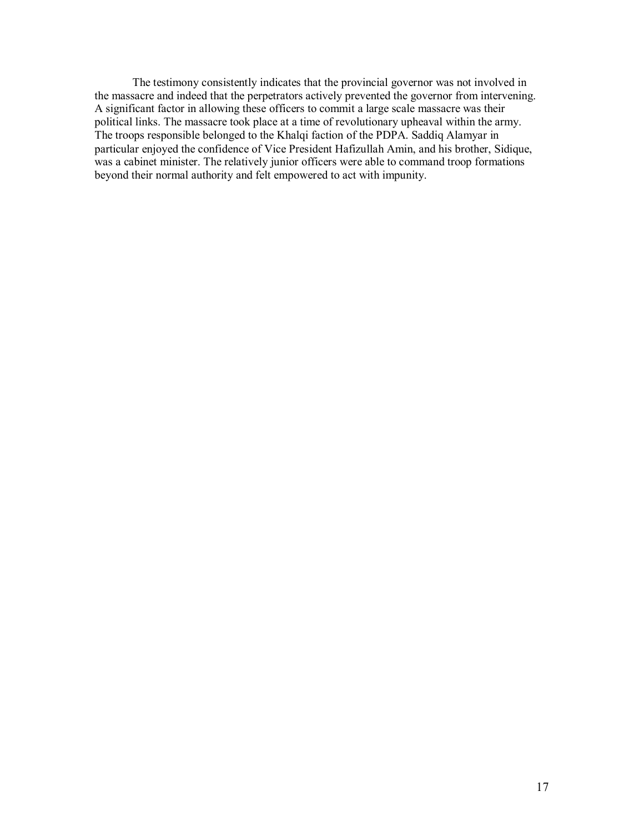The testimony consistently indicates that the provincial governor was not involved in the massacre and indeed that the perpetrators actively prevented the governor from intervening. A significant factor in allowing these officers to commit a large scale massacre was their political links. The massacre took place at a time of revolutionary upheaval within the army. The troops responsible belonged to the Khalqi faction of the PDPA. Saddiq Alamyar in particular enjoyed the confidence of Vice President Hafizullah Amin, and his brother, Sidique, was a cabinet minister. The relatively junior officers were able to command troop formations beyond their normal authority and felt empowered to act with impunity.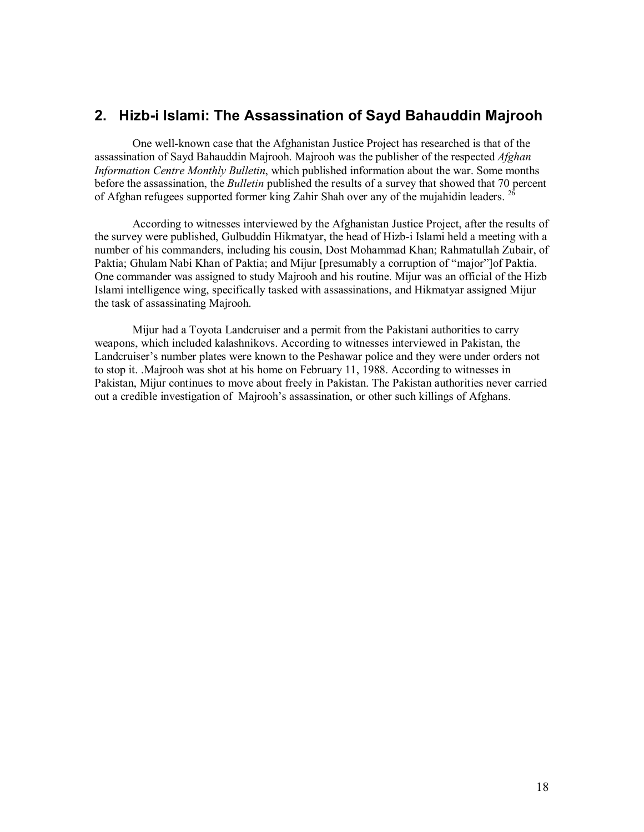# **2. Hizb-i Islami: The Assassination of Sayd Bahauddin Majrooh**

One well-known case that the Afghanistan Justice Project has researched is that of the assassination of Sayd Bahauddin Majrooh. Majrooh was the publisher of the respected *Afghan Information Centre Monthly Bulletin*, which published information about the war. Some months before the assassination, the *Bulletin* published the results of a survey that showed that 70 percent of Afghan refugees supported former king Zahir Shah over any of the mujahidin leaders.<sup>2</sup>

According to witnesses interviewed by the Afghanistan Justice Project, after the results of the survey were published, Gulbuddin Hikmatyar, the head of Hizb-i Islami held a meeting with a number of his commanders, including his cousin, Dost Mohammad Khan; Rahmatullah Zubair, of Paktia; Ghulam Nabi Khan of Paktia; and Mijur [presumably a corruption of "major"]of Paktia. One commander was assigned to study Majrooh and his routine. Mijur was an official of the Hizb Islami intelligence wing, specifically tasked with assassinations, and Hikmatyar assigned Mijur the task of assassinating Majrooh.

Mijur had a Toyota Landcruiser and a permit from the Pakistani authorities to carry weapons, which included kalashnikovs. According to witnesses interviewed in Pakistan, the Landcruiser's number plates were known to the Peshawar police and they were under orders not to stop it. .Majrooh was shot at his home on February 11, 1988. According to witnesses in Pakistan, Mijur continues to move about freely in Pakistan. The Pakistan authorities never carried out a credible investigation of Majrooh's assassination, or other such killings of Afghans.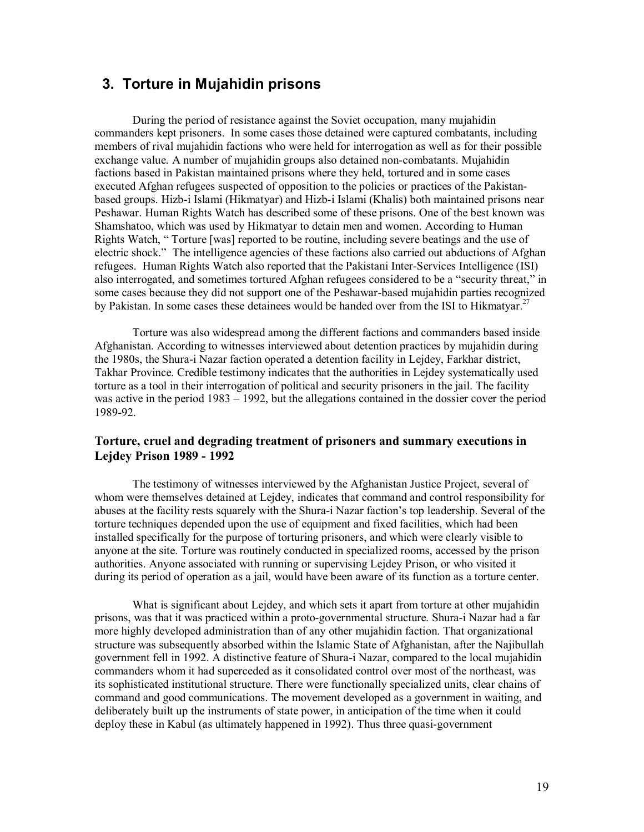# **3. Torture in Mujahidin prisons**

During the period of resistance against the Soviet occupation, many mujahidin commanders kept prisoners. In some cases those detained were captured combatants, including members of rival mujahidin factions who were held for interrogation as well as for their possible exchange value. A number of mujahidin groups also detained non-combatants. Mujahidin factions based in Pakistan maintained prisons where they held, tortured and in some cases executed Afghan refugees suspected of opposition to the policies or practices of the Pakistanbased groups. Hizb-i Islami (Hikmatyar) and Hizb-i Islami (Khalis) both maintained prisons near Peshawar. Human Rights Watch has described some of these prisons. One of the best known was Shamshatoo, which was used by Hikmatyar to detain men and women. According to Human Rights Watch, " Torture [was] reported to be routine, including severe beatings and the use of electric shock." The intelligence agencies of these factions also carried out abductions of Afghan refugees. Human Rights Watch also reported that the Pakistani Inter-Services Intelligence (ISI) also interrogated, and sometimes tortured Afghan refugees considered to be a "security threat," in some cases because they did not support one of the Peshawar-based mujahidin parties recognized by Pakistan. In some cases these detainees would be handed over from the ISI to Hikmatyar.<sup>27</sup>

Torture was also widespread among the different factions and commanders based inside Afghanistan. According to witnesses interviewed about detention practices by mujahidin during the 1980s, the Shura-i Nazar faction operated a detention facility in Lejdey, Farkhar district, Takhar Province. Credible testimony indicates that the authorities in Lejdey systematically used torture as a tool in their interrogation of political and security prisoners in the jail. The facility was active in the period 1983 – 1992, but the allegations contained in the dossier cover the period 1989-92.

# **Torture, cruel and degrading treatment of prisoners and summary executions in Lejdey Prison 1989 - 1992**

The testimony of witnesses interviewed by the Afghanistan Justice Project, several of whom were themselves detained at Lejdey, indicates that command and control responsibility for abuses at the facility rests squarely with the Shura-i Nazar faction's top leadership. Several of the torture techniques depended upon the use of equipment and fixed facilities, which had been installed specifically for the purpose of torturing prisoners, and which were clearly visible to anyone at the site. Torture was routinely conducted in specialized rooms, accessed by the prison authorities. Anyone associated with running or supervising Lejdey Prison, or who visited it during its period of operation as a jail, would have been aware of its function as a torture center.

What is significant about Lejdey, and which sets it apart from torture at other mujahidin prisons, was that it was practiced within a proto-governmental structure. Shura-i Nazar had a far more highly developed administration than of any other mujahidin faction. That organizational structure was subsequently absorbed within the Islamic State of Afghanistan, after the Najibullah government fell in 1992. A distinctive feature of Shura-i Nazar, compared to the local mujahidin commanders whom it had superceded as it consolidated control over most of the northeast, was its sophisticated institutional structure. There were functionally specialized units, clear chains of command and good communications. The movement developed as a government in waiting, and deliberately built up the instruments of state power, in anticipation of the time when it could deploy these in Kabul (as ultimately happened in 1992). Thus three quasi-government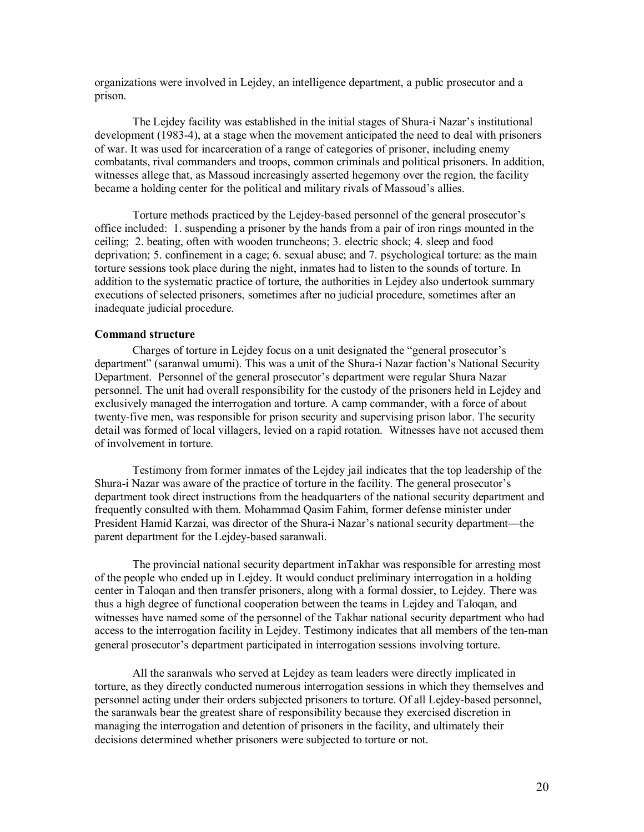organizations were involved in Lejdey, an intelligence department, a public prosecutor and a prison.

The Lejdey facility was established in the initial stages of Shura-i Nazar's institutional development (1983-4), at a stage when the movement anticipated the need to deal with prisoners of war. It was used for incarceration of a range of categories of prisoner, including enemy combatants, rival commanders and troops, common criminals and political prisoners. In addition, witnesses allege that, as Massoud increasingly asserted hegemony over the region, the facility became a holding center for the political and military rivals of Massoud's allies.

Torture methods practiced by the Lejdey-based personnel of the general prosecutor's office included: 1. suspending a prisoner by the hands from a pair of iron rings mounted in the ceiling; 2. beating, often with wooden truncheons; 3. electric shock; 4. sleep and food deprivation; 5. confinement in a cage; 6. sexual abuse; and 7. psychological torture: as the main torture sessions took place during the night, inmates had to listen to the sounds of torture. In addition to the systematic practice of torture, the authorities in Lejdey also undertook summary executions of selected prisoners, sometimes after no judicial procedure, sometimes after an inadequate judicial procedure.

#### **Command structure**

Charges of torture in Lejdey focus on a unit designated the "general prosecutor's department" (saranwal umumi). This was a unit of the Shura-i Nazar faction's National Security Department. Personnel of the general prosecutor's department were regular Shura Nazar personnel. The unit had overall responsibility for the custody of the prisoners held in Lejdey and exclusively managed the interrogation and torture. A camp commander, with a force of about twenty-five men, was responsible for prison security and supervising prison labor. The security detail was formed of local villagers, levied on a rapid rotation. Witnesses have not accused them of involvement in torture.

Testimony from former inmates of the Lejdey jail indicates that the top leadership of the Shura-i Nazar was aware of the practice of torture in the facility. The general prosecutor's department took direct instructions from the headquarters of the national security department and frequently consulted with them. Mohammad Qasim Fahim, former defense minister under President Hamid Karzai, was director of the Shura-i Nazar's national security department—the parent department for the Lejdey-based saranwali.

The provincial national security department inTakhar was responsible for arresting most of the people who ended up in Lejdey. It would conduct preliminary interrogation in a holding center in Taloqan and then transfer prisoners, along with a formal dossier, to Lejdey. There was thus a high degree of functional cooperation between the teams in Lejdey and Taloqan, and witnesses have named some of the personnel of the Takhar national security department who had access to the interrogation facility in Lejdey. Testimony indicates that all members of the ten-man general prosecutor's department participated in interrogation sessions involving torture.

All the saranwals who served at Lejdey as team leaders were directly implicated in torture, as they directly conducted numerous interrogation sessions in which they themselves and personnel acting under their orders subjected prisoners to torture. Of all Lejdey-based personnel, the saranwals bear the greatest share of responsibility because they exercised discretion in managing the interrogation and detention of prisoners in the facility, and ultimately their decisions determined whether prisoners were subjected to torture or not.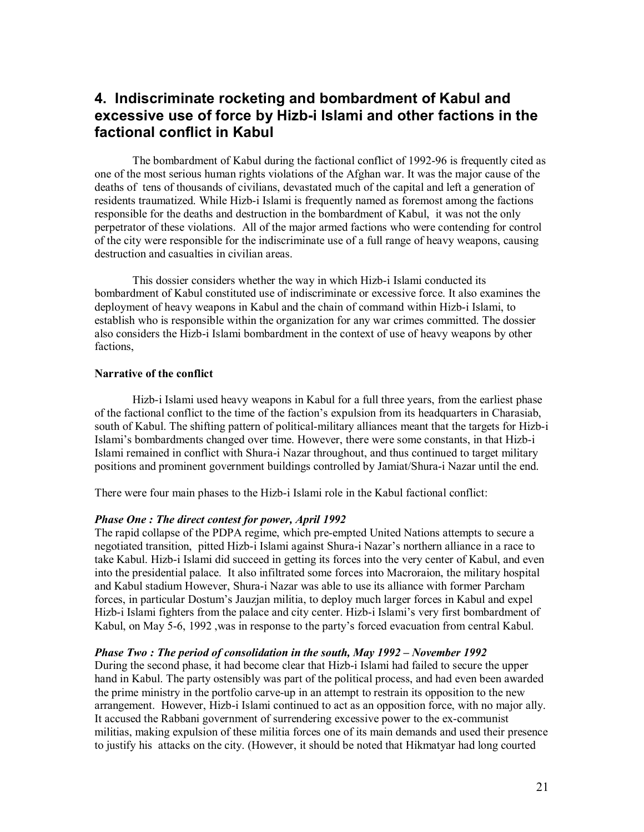# **4. Indiscriminate rocketing and bombardment of Kabul and excessive use of force by Hizb-i Islami and other factions in the factional conflict in Kabul**

The bombardment of Kabul during the factional conflict of 1992-96 is frequently cited as one of the most serious human rights violations of the Afghan war. It was the major cause of the deaths of tens of thousands of civilians, devastated much of the capital and left a generation of residents traumatized. While Hizb-i Islami is frequently named as foremost among the factions responsible for the deaths and destruction in the bombardment of Kabul, it was not the only perpetrator of these violations. All of the major armed factions who were contending for control of the city were responsible for the indiscriminate use of a full range of heavy weapons, causing destruction and casualties in civilian areas.

This dossier considers whether the way in which Hizb-i Islami conducted its bombardment of Kabul constituted use of indiscriminate or excessive force. It also examines the deployment of heavy weapons in Kabul and the chain of command within Hizb-i Islami, to establish who is responsible within the organization for any war crimes committed. The dossier also considers the Hizb-i Islami bombardment in the context of use of heavy weapons by other factions,

#### **Narrative of the conflict**

Hizb-i Islami used heavy weapons in Kabul for a full three years, from the earliest phase of the factional conflict to the time of the faction's expulsion from its headquarters in Charasiab, south of Kabul. The shifting pattern of political-military alliances meant that the targets for Hizb-i Islami's bombardments changed over time. However, there were some constants, in that Hizb-i Islami remained in conflict with Shura-i Nazar throughout, and thus continued to target military positions and prominent government buildings controlled by Jamiat/Shura-i Nazar until the end.

There were four main phases to the Hizb-i Islami role in the Kabul factional conflict:

#### *Phase One : The direct contest for power, April 1992*

The rapid collapse of the PDPA regime, which pre-empted United Nations attempts to secure a negotiated transition, pitted Hizb-i Islami against Shura-i Nazar's northern alliance in a race to take Kabul. Hizb-i Islami did succeed in getting its forces into the very center of Kabul, and even into the presidential palace. It also infiltrated some forces into Macroraion, the military hospital and Kabul stadium However, Shura-i Nazar was able to use its alliance with former Parcham forces, in particular Dostum's Jauzjan militia, to deploy much larger forces in Kabul and expel Hizb-i Islami fighters from the palace and city center. Hizb-i Islami's very first bombardment of Kabul, on May 5-6, 1992 ,was in response to the party's forced evacuation from central Kabul.

#### *Phase Two : The period of consolidation in the south, May 1992 – November 1992*

During the second phase, it had become clear that Hizb-i Islami had failed to secure the upper hand in Kabul. The party ostensibly was part of the political process, and had even been awarded the prime ministry in the portfolio carve-up in an attempt to restrain its opposition to the new arrangement. However, Hizb-i Islami continued to act as an opposition force, with no major ally. It accused the Rabbani government of surrendering excessive power to the ex-communist militias, making expulsion of these militia forces one of its main demands and used their presence to justify his attacks on the city. (However, it should be noted that Hikmatyar had long courted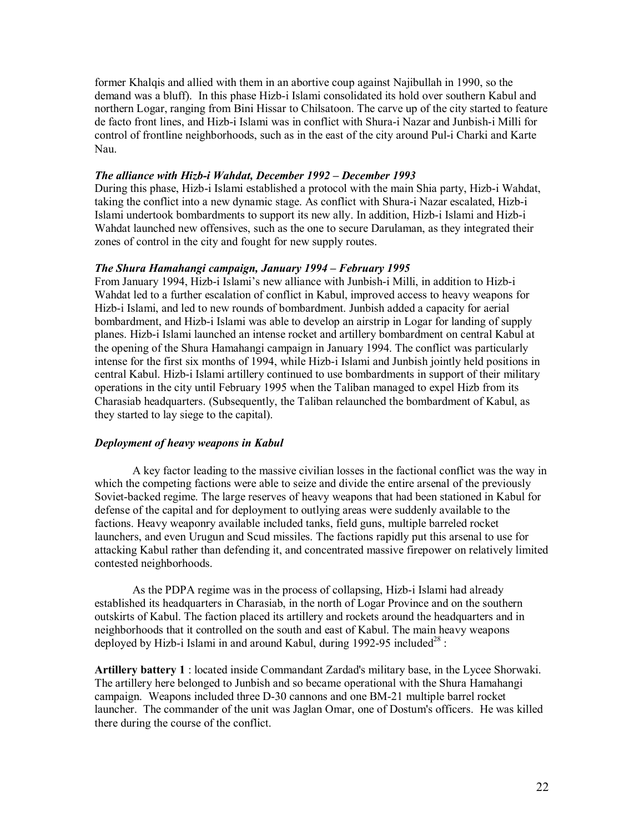former Khalqis and allied with them in an abortive coup against Najibullah in 1990, so the demand was a bluff). In this phase Hizb-i Islami consolidated its hold over southern Kabul and northern Logar, ranging from Bini Hissar to Chilsatoon. The carve up of the city started to feature de facto front lines, and Hizb-i Islami was in conflict with Shura-i Nazar and Junbish-i Milli for control of frontline neighborhoods, such as in the east of the city around Pul-i Charki and Karte Nau.

#### *The alliance with Hizb-i Wahdat, December 1992 – December 1993*

During this phase, Hizb-i Islami established a protocol with the main Shia party, Hizb-i Wahdat, taking the conflict into a new dynamic stage. As conflict with Shura-i Nazar escalated, Hizb-i Islami undertook bombardments to support its new ally. In addition, Hizb-i Islami and Hizb-i Wahdat launched new offensives, such as the one to secure Darulaman, as they integrated their zones of control in the city and fought for new supply routes.

#### *The Shura Hamahangi campaign, January 1994 – February 1995*

From January 1994, Hizb-i Islami's new alliance with Junbish-i Milli, in addition to Hizb-i Wahdat led to a further escalation of conflict in Kabul, improved access to heavy weapons for Hizb-i Islami, and led to new rounds of bombardment. Junbish added a capacity for aerial bombardment, and Hizb-i Islami was able to develop an airstrip in Logar for landing of supply planes. Hizb-i Islami launched an intense rocket and artillery bombardment on central Kabul at the opening of the Shura Hamahangi campaign in January 1994. The conflict was particularly intense for the first six months of 1994, while Hizb-i Islami and Junbish jointly held positions in central Kabul. Hizb-i Islami artillery continued to use bombardments in support of their military operations in the city until February 1995 when the Taliban managed to expel Hizb from its Charasiab headquarters. (Subsequently, the Taliban relaunched the bombardment of Kabul, as they started to lay siege to the capital).

#### *Deployment of heavy weapons in Kabul*

A key factor leading to the massive civilian losses in the factional conflict was the way in which the competing factions were able to seize and divide the entire arsenal of the previously Soviet-backed regime. The large reserves of heavy weapons that had been stationed in Kabul for defense of the capital and for deployment to outlying areas were suddenly available to the factions. Heavy weaponry available included tanks, field guns, multiple barreled rocket launchers, and even Urugun and Scud missiles. The factions rapidly put this arsenal to use for attacking Kabul rather than defending it, and concentrated massive firepower on relatively limited contested neighborhoods.

As the PDPA regime was in the process of collapsing, Hizb-i Islami had already established its headquarters in Charasiab, in the north of Logar Province and on the southern outskirts of Kabul. The faction placed its artillery and rockets around the headquarters and in neighborhoods that it controlled on the south and east of Kabul. The main heavy weapons deployed by Hizb-i Islami in and around Kabul, during 1992-95 included<sup>28</sup>:

**Artillery battery 1** : located inside Commandant Zardad's military base, in the Lycee Shorwaki. The artillery here belonged to Junbish and so became operational with the Shura Hamahangi campaign. Weapons included three D-30 cannons and one BM-21 multiple barrel rocket launcher. The commander of the unit was Jaglan Omar, one of Dostum's officers. He was killed there during the course of the conflict.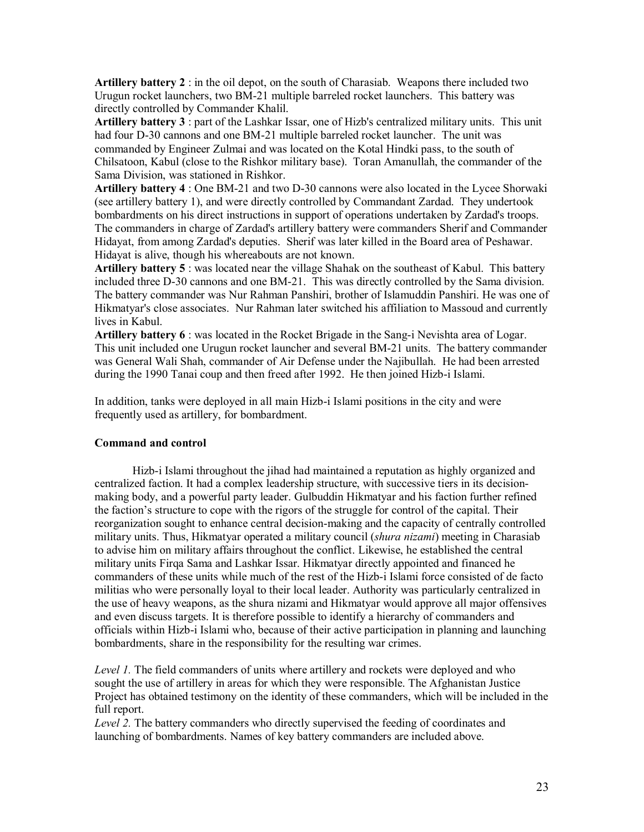**Artillery battery 2** : in the oil depot, on the south of Charasiab. Weapons there included two Urugun rocket launchers, two BM-21 multiple barreled rocket launchers. This battery was directly controlled by Commander Khalil.

**Artillery battery 3** : part of the Lashkar Issar, one of Hizb's centralized military units. This unit had four D-30 cannons and one BM-21 multiple barreled rocket launcher. The unit was commanded by Engineer Zulmai and was located on the Kotal Hindki pass, to the south of Chilsatoon, Kabul (close to the Rishkor military base). Toran Amanullah, the commander of the Sama Division, was stationed in Rishkor.

**Artillery battery 4** : One BM-21 and two D-30 cannons were also located in the Lycee Shorwaki (see artillery battery 1), and were directly controlled by Commandant Zardad. They undertook bombardments on his direct instructions in support of operations undertaken by Zardad's troops. The commanders in charge of Zardad's artillery battery were commanders Sherif and Commander Hidayat, from among Zardad's deputies. Sherif was later killed in the Board area of Peshawar. Hidayat is alive, though his whereabouts are not known.

**Artillery battery 5** : was located near the village Shahak on the southeast of Kabul. This battery included three D-30 cannons and one BM-21. This was directly controlled by the Sama division. The battery commander was Nur Rahman Panshiri, brother of Islamuddin Panshiri. He was one of Hikmatyar's close associates. Nur Rahman later switched his affiliation to Massoud and currently lives in Kabul.

**Artillery battery 6** : was located in the Rocket Brigade in the Sang-i Nevishta area of Logar. This unit included one Urugun rocket launcher and several BM-21 units. The battery commander was General Wali Shah, commander of Air Defense under the Najibullah. He had been arrested during the 1990 Tanai coup and then freed after 1992. He then joined Hizb-i Islami.

In addition, tanks were deployed in all main Hizb-i Islami positions in the city and were frequently used as artillery, for bombardment.

#### **Command and control**

Hizb-i Islami throughout the jihad had maintained a reputation as highly organized and centralized faction. It had a complex leadership structure, with successive tiers in its decisionmaking body, and a powerful party leader. Gulbuddin Hikmatyar and his faction further refined the faction's structure to cope with the rigors of the struggle for control of the capital. Their reorganization sought to enhance central decision-making and the capacity of centrally controlled military units. Thus, Hikmatyar operated a military council (*shura nizami*) meeting in Charasiab to advise him on military affairs throughout the conflict. Likewise, he established the central military units Firqa Sama and Lashkar Issar. Hikmatyar directly appointed and financed he commanders of these units while much of the rest of the Hizb-i Islami force consisted of de facto militias who were personally loyal to their local leader. Authority was particularly centralized in the use of heavy weapons, as the shura nizami and Hikmatyar would approve all major offensives and even discuss targets. It is therefore possible to identify a hierarchy of commanders and officials within Hizb-i Islami who, because of their active participation in planning and launching bombardments, share in the responsibility for the resulting war crimes.

*Level 1.* The field commanders of units where artillery and rockets were deployed and who sought the use of artillery in areas for which they were responsible. The Afghanistan Justice Project has obtained testimony on the identity of these commanders, which will be included in the full report.

*Level 2.* The battery commanders who directly supervised the feeding of coordinates and launching of bombardments. Names of key battery commanders are included above.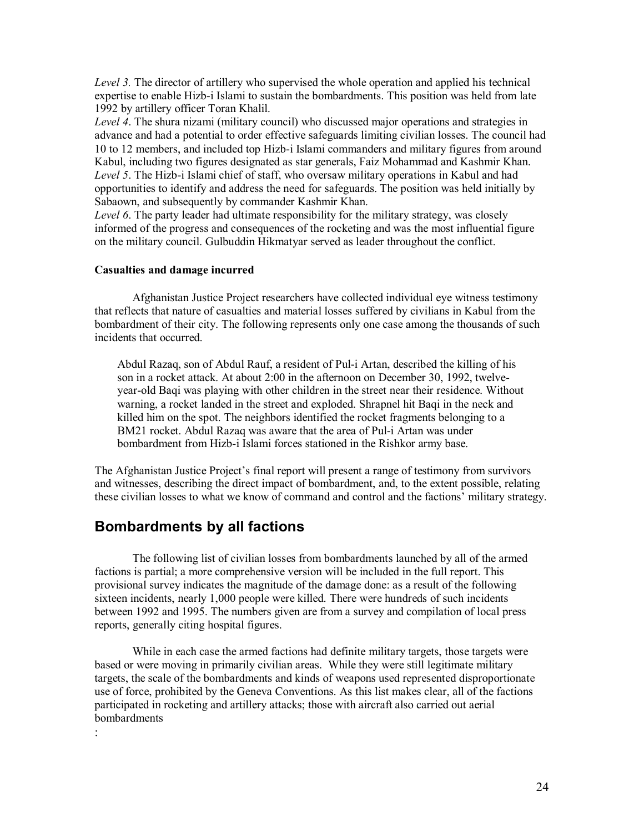*Level 3.* The director of artillery who supervised the whole operation and applied his technical expertise to enable Hizb-i Islami to sustain the bombardments. This position was held from late 1992 by artillery officer Toran Khalil.

*Level 4*. The shura nizami (military council) who discussed major operations and strategies in advance and had a potential to order effective safeguards limiting civilian losses. The council had 10 to 12 members, and included top Hizb-i Islami commanders and military figures from around Kabul, including two figures designated as star generals, Faiz Mohammad and Kashmir Khan. *Level 5*. The Hizb-i Islami chief of staff, who oversaw military operations in Kabul and had opportunities to identify and address the need for safeguards. The position was held initially by Sabaown, and subsequently by commander Kashmir Khan.

*Level 6*. The party leader had ultimate responsibility for the military strategy, was closely informed of the progress and consequences of the rocketing and was the most influential figure on the military council. Gulbuddin Hikmatyar served as leader throughout the conflict.

#### **Casualties and damage incurred**

Afghanistan Justice Project researchers have collected individual eye witness testimony that reflects that nature of casualties and material losses suffered by civilians in Kabul from the bombardment of their city. The following represents only one case among the thousands of such incidents that occurred.

Abdul Razaq, son of Abdul Rauf, a resident of Pul-i Artan, described the killing of his son in a rocket attack. At about 2:00 in the afternoon on December 30, 1992, twelveyear-old Baqi was playing with other children in the street near their residence. Without warning, a rocket landed in the street and exploded. Shrapnel hit Baqi in the neck and killed him on the spot. The neighbors identified the rocket fragments belonging to a BM21 rocket. Abdul Razaq was aware that the area of Pul-i Artan was under bombardment from Hizb-i Islami forces stationed in the Rishkor army base.

The Afghanistan Justice Project's final report will present a range of testimony from survivors and witnesses, describing the direct impact of bombardment, and, to the extent possible, relating these civilian losses to what we know of command and control and the factions' military strategy.

# **Bombardments by all factions**

The following list of civilian losses from bombardments launched by all of the armed factions is partial; a more comprehensive version will be included in the full report. This provisional survey indicates the magnitude of the damage done: as a result of the following sixteen incidents, nearly 1,000 people were killed. There were hundreds of such incidents between 1992 and 1995. The numbers given are from a survey and compilation of local press reports, generally citing hospital figures.

While in each case the armed factions had definite military targets, those targets were based or were moving in primarily civilian areas. While they were still legitimate military targets, the scale of the bombardments and kinds of weapons used represented disproportionate use of force, prohibited by the Geneva Conventions. As this list makes clear, all of the factions participated in rocketing and artillery attacks; those with aircraft also carried out aerial **bombardments** 

: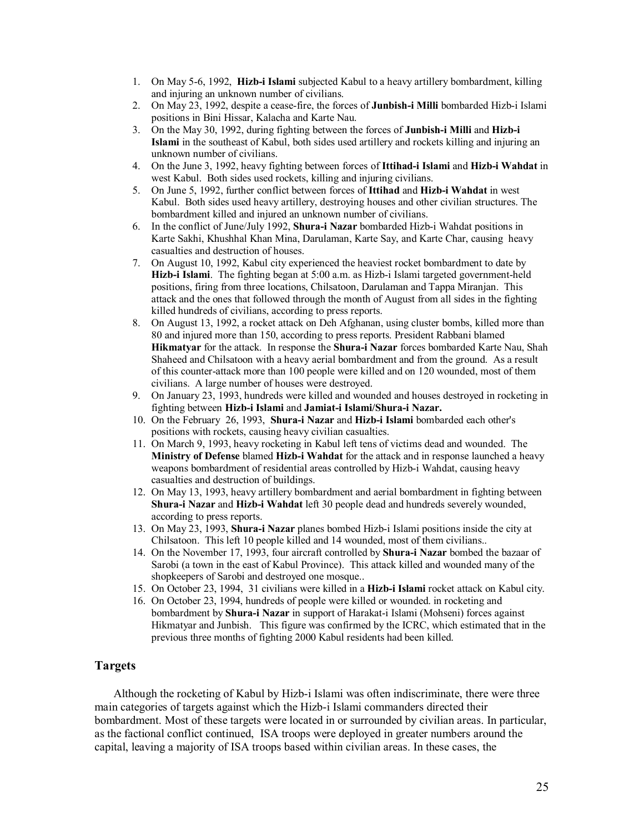- 1. On May 5-6, 1992, **Hizb-i Islami** subjected Kabul to a heavy artillery bombardment, killing and injuring an unknown number of civilians.
- 2. On May 23, 1992, despite a cease-fire, the forces of **Junbish-i Milli** bombarded Hizb-i Islami positions in Bini Hissar, Kalacha and Karte Nau.
- 3. On the May 30, 1992, during fighting between the forces of **Junbish-i Milli** and **Hizb-i Islami** in the southeast of Kabul, both sides used artillery and rockets killing and injuring an unknown number of civilians.
- 4. On the June 3, 1992, heavy fighting between forces of **Ittihad-i Islami** and **Hizb-i Wahdat** in west Kabul. Both sides used rockets, killing and injuring civilians.
- 5. On June 5, 1992, further conflict between forces of **Ittihad** and **Hizb-i Wahdat** in west Kabul. Both sides used heavy artillery, destroying houses and other civilian structures. The bombardment killed and injured an unknown number of civilians.
- 6. In the conflict of June/July 1992, **Shura-i Nazar** bombarded Hizb-i Wahdat positions in Karte Sakhi, Khushhal Khan Mina, Darulaman, Karte Say, and Karte Char, causing heavy casualties and destruction of houses.
- 7. On August 10, 1992, Kabul city experienced the heaviest rocket bombardment to date by **Hizb-i Islami**. The fighting began at 5:00 a.m. as Hizb-i Islami targeted government-held positions, firing from three locations, Chilsatoon, Darulaman and Tappa Miranjan. This attack and the ones that followed through the month of August from all sides in the fighting killed hundreds of civilians, according to press reports.
- 8. On August 13, 1992, a rocket attack on Deh Afghanan, using cluster bombs, killed more than 80 and injured more than 150, according to press reports. President Rabbani blamed **Hikmatyar** for the attack. In response the **Shura-i Nazar** forces bombarded Karte Nau, Shah Shaheed and Chilsatoon with a heavy aerial bombardment and from the ground. As a result of this counter-attack more than 100 people were killed and on 120 wounded, most of them civilians. A large number of houses were destroyed.
- 9. On January 23, 1993, hundreds were killed and wounded and houses destroyed in rocketing in fighting between **Hizb-i Islami** and **Jamiat-i Islami/Shura-i Nazar.**
- 10. On the February 26, 1993, **Shura-i Nazar** and **Hizb-i Islami** bombarded each other's positions with rockets, causing heavy civilian casualties.
- 11. On March 9, 1993, heavy rocketing in Kabul left tens of victims dead and wounded. The **Ministry of Defense** blamed **Hizb-i Wahdat** for the attack and in response launched a heavy weapons bombardment of residential areas controlled by Hizb-i Wahdat, causing heavy casualties and destruction of buildings.
- 12. On May 13, 1993, heavy artillery bombardment and aerial bombardment in fighting between **Shura-i Nazar** and **Hizb-i Wahdat** left 30 people dead and hundreds severely wounded, according to press reports.
- 13. On May 23, 1993, **Shura-i Nazar** planes bombed Hizb-i Islami positions inside the city at Chilsatoon. This left 10 people killed and 14 wounded, most of them civilians..
- 14. On the November 17, 1993, four aircraft controlled by **Shura-i Nazar** bombed the bazaar of Sarobi (a town in the east of Kabul Province). This attack killed and wounded many of the shopkeepers of Sarobi and destroyed one mosque..
- 15. On October 23, 1994, 31 civilians were killed in a **Hizb-i Islami** rocket attack on Kabul city.
- 16. On October 23, 1994, hundreds of people were killed or wounded. in rocketing and bombardment by **Shura-i Nazar** in support of Harakat-i Islami (Mohseni) forces against Hikmatyar and Junbish. This figure was confirmed by the ICRC, which estimated that in the previous three months of fighting 2000 Kabul residents had been killed.

### **Targets**

Although the rocketing of Kabul by Hizb-i Islami was often indiscriminate, there were three main categories of targets against which the Hizb-i Islami commanders directed their bombardment. Most of these targets were located in or surrounded by civilian areas. In particular, as the factional conflict continued, ISA troops were deployed in greater numbers around the capital, leaving a majority of ISA troops based within civilian areas. In these cases, the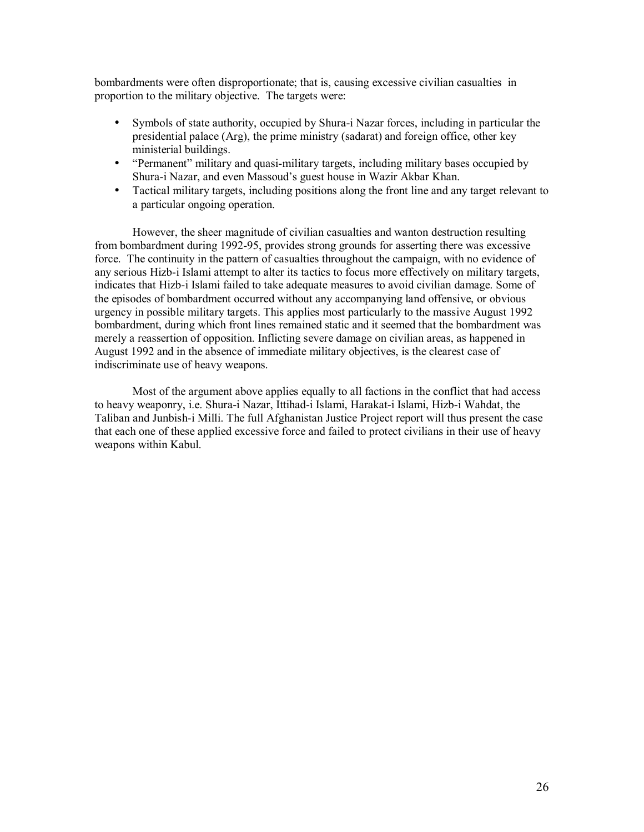bombardments were often disproportionate; that is, causing excessive civilian casualties in proportion to the military objective. The targets were:

- Symbols of state authority, occupied by Shura-i Nazar forces, including in particular the presidential palace (Arg), the prime ministry (sadarat) and foreign office, other key ministerial buildings.
- "Permanent" military and quasi-military targets, including military bases occupied by Shura-i Nazar, and even Massoud's guest house in Wazir Akbar Khan.
- Tactical military targets, including positions along the front line and any target relevant to a particular ongoing operation.

However, the sheer magnitude of civilian casualties and wanton destruction resulting from bombardment during 1992-95, provides strong grounds for asserting there was excessive force. The continuity in the pattern of casualties throughout the campaign, with no evidence of any serious Hizb-i Islami attempt to alter its tactics to focus more effectively on military targets, indicates that Hizb-i Islami failed to take adequate measures to avoid civilian damage. Some of the episodes of bombardment occurred without any accompanying land offensive, or obvious urgency in possible military targets. This applies most particularly to the massive August 1992 bombardment, during which front lines remained static and it seemed that the bombardment was merely a reassertion of opposition. Inflicting severe damage on civilian areas, as happened in August 1992 and in the absence of immediate military objectives, is the clearest case of indiscriminate use of heavy weapons.

Most of the argument above applies equally to all factions in the conflict that had access to heavy weaponry, i.e. Shura-i Nazar, Ittihad-i Islami, Harakat-i Islami, Hizb-i Wahdat, the Taliban and Junbish-i Milli. The full Afghanistan Justice Project report will thus present the case that each one of these applied excessive force and failed to protect civilians in their use of heavy weapons within Kabul.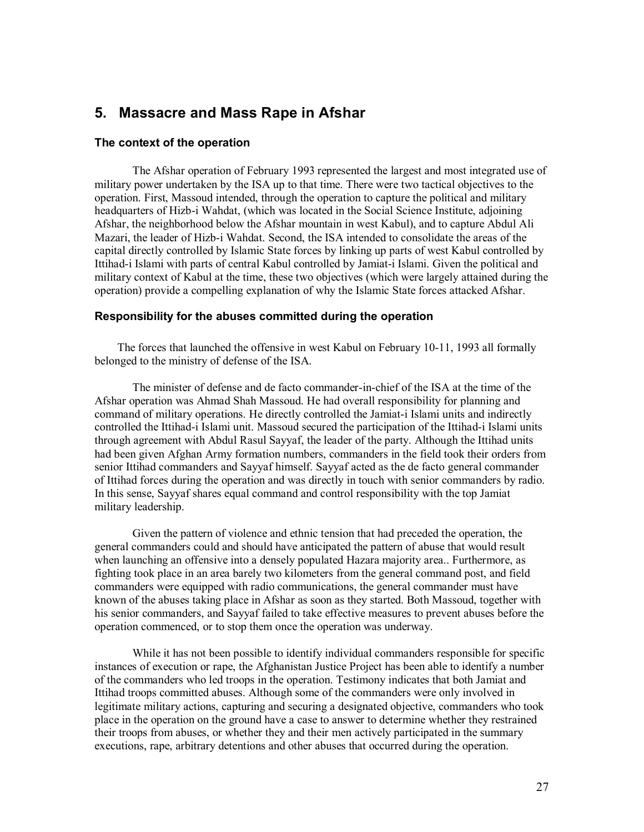# **5. Massacre and Mass Rape in Afshar**

#### **The context of the operation**

The Afshar operation of February 1993 represented the largest and most integrated use of military power undertaken by the ISA up to that time. There were two tactical objectives to the operation. First, Massoud intended, through the operation to capture the political and military headquarters of Hizb-i Wahdat, (which was located in the Social Science Institute, adjoining Afshar, the neighborhood below the Afshar mountain in west Kabul), and to capture Abdul Ali Mazari, the leader of Hizb-i Wahdat. Second, the ISA intended to consolidate the areas of the capital directly controlled by Islamic State forces by linking up parts of west Kabul controlled by Ittihad-i Islami with parts of central Kabul controlled by Jamiat-i Islami. Given the political and military context of Kabul at the time, these two objectives (which were largely attained during the operation) provide a compelling explanation of why the Islamic State forces attacked Afshar.

#### **Responsibility for the abuses committed during the operation**

The forces that launched the offensive in west Kabul on February 10-11, 1993 all formally belonged to the ministry of defense of the ISA.

The minister of defense and de facto commander-in-chief of the ISA at the time of the Afshar operation was Ahmad Shah Massoud. He had overall responsibility for planning and command of military operations. He directly controlled the Jamiat-i Islami units and indirectly controlled the Ittihad-i Islami unit. Massoud secured the participation of the Ittihad-i Islami units through agreement with Abdul Rasul Sayyaf, the leader of the party. Although the Ittihad units had been given Afghan Army formation numbers, commanders in the field took their orders from senior Ittihad commanders and Sayyaf himself. Sayyaf acted as the de facto general commander of Ittihad forces during the operation and was directly in touch with senior commanders by radio. In this sense, Sayyaf shares equal command and control responsibility with the top Jamiat military leadership.

Given the pattern of violence and ethnic tension that had preceded the operation, the general commanders could and should have anticipated the pattern of abuse that would result when launching an offensive into a densely populated Hazara majority area.. Furthermore, as fighting took place in an area barely two kilometers from the general command post, and field commanders were equipped with radio communications, the general commander must have known of the abuses taking place in Afshar as soon as they started. Both Massoud, together with his senior commanders, and Sayyaf failed to take effective measures to prevent abuses before the operation commenced, or to stop them once the operation was underway.

While it has not been possible to identify individual commanders responsible for specific instances of execution or rape, the Afghanistan Justice Project has been able to identify a number of the commanders who led troops in the operation. Testimony indicates that both Jamiat and Ittihad troops committed abuses. Although some of the commanders were only involved in legitimate military actions, capturing and securing a designated objective, commanders who took place in the operation on the ground have a case to answer to determine whether they restrained their troops from abuses, or whether they and their men actively participated in the summary executions, rape, arbitrary detentions and other abuses that occurred during the operation.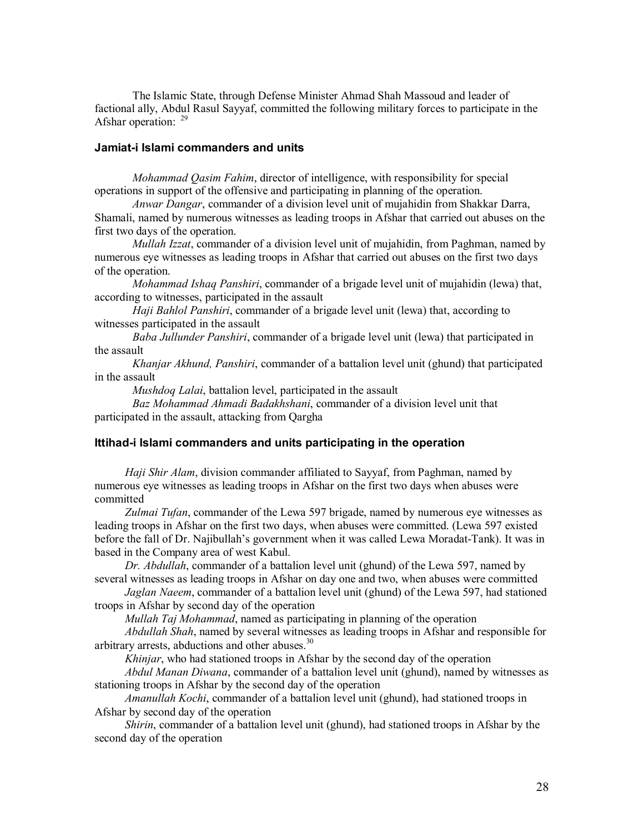The Islamic State, through Defense Minister Ahmad Shah Massoud and leader of factional ally, Abdul Rasul Sayyaf, committed the following military forces to participate in the Afshar operation: <sup>29</sup>

#### **Jamiat-i Islami commanders and units**

*Mohammad Qasim Fahim*, director of intelligence, with responsibility for special operations in support of the offensive and participating in planning of the operation.

*Anwar Dangar*, commander of a division level unit of mujahidin from Shakkar Darra, Shamali, named by numerous witnesses as leading troops in Afshar that carried out abuses on the first two days of the operation.

*Mullah Izzat*, commander of a division level unit of mujahidin, from Paghman, named by numerous eye witnesses as leading troops in Afshar that carried out abuses on the first two days of the operation.

*Mohammad Ishaq Panshiri*, commander of a brigade level unit of mujahidin (lewa) that, according to witnesses, participated in the assault

*Haji Bahlol Panshiri*, commander of a brigade level unit (lewa) that, according to witnesses participated in the assault

*Baba Jullunder Panshiri*, commander of a brigade level unit (lewa) that participated in the assault

*Khanjar Akhund, Panshiri*, commander of a battalion level unit (ghund) that participated in the assault

*Mushdoq Lalai*, battalion level, participated in the assault

*Baz Mohammad Ahmadi Badakhshani*, commander of a division level unit that participated in the assault, attacking from Qargha

#### **Ittihad-i Islami commanders and units participating in the operation**

*Haji Shir Alam*, division commander affiliated to Sayyaf, from Paghman, named by numerous eye witnesses as leading troops in Afshar on the first two days when abuses were committed

*Zulmai Tufan*, commander of the Lewa 597 brigade, named by numerous eye witnesses as leading troops in Afshar on the first two days, when abuses were committed. (Lewa 597 existed before the fall of Dr. Najibullah's government when it was called Lewa Moradat-Tank). It was in based in the Company area of west Kabul.

*Dr. Abdullah*, commander of a battalion level unit (ghund) of the Lewa 597, named by several witnesses as leading troops in Afshar on day one and two, when abuses were committed

*Jaglan Naeem*, commander of a battalion level unit (ghund) of the Lewa 597, had stationed troops in Afshar by second day of the operation

*Mullah Taj Mohammad*, named as participating in planning of the operation

*Abdullah Shah*, named by several witnesses as leading troops in Afshar and responsible for arbitrary arrests, abductions and other abuses.<sup>30</sup>

*Khinjar*, who had stationed troops in Afshar by the second day of the operation

*Abdul Manan Diwana*, commander of a battalion level unit (ghund), named by witnesses as stationing troops in Afshar by the second day of the operation

*Amanullah Kochi*, commander of a battalion level unit (ghund), had stationed troops in Afshar by second day of the operation

*Shirin*, commander of a battalion level unit (ghund), had stationed troops in Afshar by the second day of the operation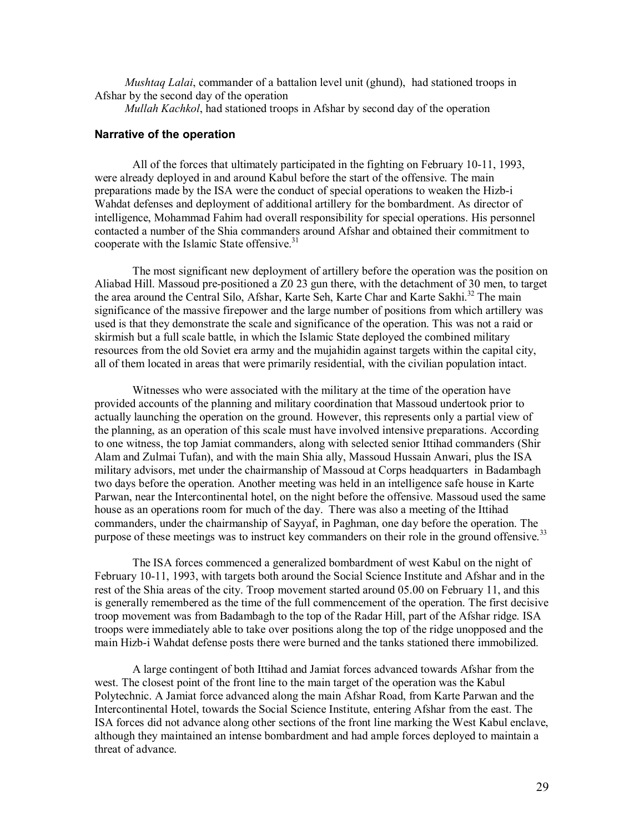*Mushtaq Lalai*, commander of a battalion level unit (ghund), had stationed troops in Afshar by the second day of the operation

*Mullah Kachkol*, had stationed troops in Afshar by second day of the operation

#### **Narrative of the operation**

All of the forces that ultimately participated in the fighting on February 10-11, 1993, were already deployed in and around Kabul before the start of the offensive. The main preparations made by the ISA were the conduct of special operations to weaken the Hizb-i Wahdat defenses and deployment of additional artillery for the bombardment. As director of intelligence, Mohammad Fahim had overall responsibility for special operations. His personnel contacted a number of the Shia commanders around Afshar and obtained their commitment to cooperate with the Islamic State offensive.<sup>31</sup>

The most significant new deployment of artillery before the operation was the position on Aliabad Hill. Massoud pre-positioned a Z0 23 gun there, with the detachment of 30 men, to target the area around the Central Silo, Afshar, Karte Seh, Karte Char and Karte Sakhi.<sup>32</sup> The main significance of the massive firepower and the large number of positions from which artillery was used is that they demonstrate the scale and significance of the operation. This was not a raid or skirmish but a full scale battle, in which the Islamic State deployed the combined military resources from the old Soviet era army and the mujahidin against targets within the capital city, all of them located in areas that were primarily residential, with the civilian population intact.

Witnesses who were associated with the military at the time of the operation have provided accounts of the planning and military coordination that Massoud undertook prior to actually launching the operation on the ground. However, this represents only a partial view of the planning, as an operation of this scale must have involved intensive preparations. According to one witness, the top Jamiat commanders, along with selected senior Ittihad commanders (Shir Alam and Zulmai Tufan), and with the main Shia ally, Massoud Hussain Anwari, plus the ISA military advisors, met under the chairmanship of Massoud at Corps headquarters in Badambagh two days before the operation. Another meeting was held in an intelligence safe house in Karte Parwan, near the Intercontinental hotel, on the night before the offensive. Massoud used the same house as an operations room for much of the day. There was also a meeting of the Ittihad commanders, under the chairmanship of Sayyaf, in Paghman, one day before the operation. The purpose of these meetings was to instruct key commanders on their role in the ground offensive.<sup>33</sup>

The ISA forces commenced a generalized bombardment of west Kabul on the night of February 10-11, 1993, with targets both around the Social Science Institute and Afshar and in the rest of the Shia areas of the city. Troop movement started around 05.00 on February 11, and this is generally remembered as the time of the full commencement of the operation. The first decisive troop movement was from Badambagh to the top of the Radar Hill, part of the Afshar ridge. ISA troops were immediately able to take over positions along the top of the ridge unopposed and the main Hizb-i Wahdat defense posts there were burned and the tanks stationed there immobilized.

A large contingent of both Ittihad and Jamiat forces advanced towards Afshar from the west. The closest point of the front line to the main target of the operation was the Kabul Polytechnic. A Jamiat force advanced along the main Afshar Road, from Karte Parwan and the Intercontinental Hotel, towards the Social Science Institute, entering Afshar from the east. The ISA forces did not advance along other sections of the front line marking the West Kabul enclave, although they maintained an intense bombardment and had ample forces deployed to maintain a threat of advance.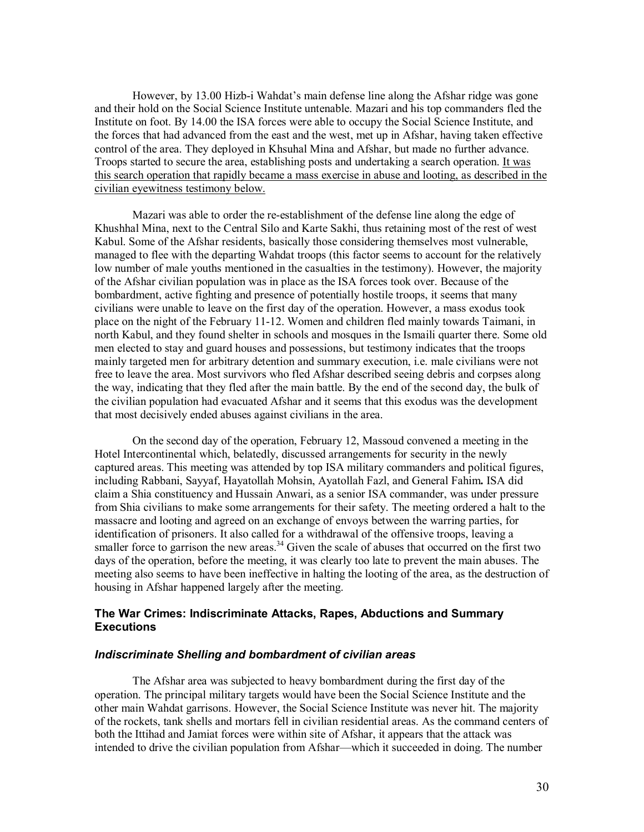However, by 13.00 Hizb-i Wahdat's main defense line along the Afshar ridge was gone and their hold on the Social Science Institute untenable. Mazari and his top commanders fled the Institute on foot. By 14.00 the ISA forces were able to occupy the Social Science Institute, and the forces that had advanced from the east and the west, met up in Afshar, having taken effective control of the area. They deployed in Khsuhal Mina and Afshar, but made no further advance. Troops started to secure the area, establishing posts and undertaking a search operation. It was this search operation that rapidly became a mass exercise in abuse and looting, as described in the civilian eyewitness testimony below.

Mazari was able to order the re-establishment of the defense line along the edge of Khushhal Mina, next to the Central Silo and Karte Sakhi, thus retaining most of the rest of west Kabul. Some of the Afshar residents, basically those considering themselves most vulnerable, managed to flee with the departing Wahdat troops (this factor seems to account for the relatively low number of male youths mentioned in the casualties in the testimony). However, the majority of the Afshar civilian population was in place as the ISA forces took over. Because of the bombardment, active fighting and presence of potentially hostile troops, it seems that many civilians were unable to leave on the first day of the operation. However, a mass exodus took place on the night of the February 11-12. Women and children fled mainly towards Taimani, in north Kabul, and they found shelter in schools and mosques in the Ismaili quarter there. Some old men elected to stay and guard houses and possessions, but testimony indicates that the troops mainly targeted men for arbitrary detention and summary execution, i.e. male civilians were not free to leave the area. Most survivors who fled Afshar described seeing debris and corpses along the way, indicating that they fled after the main battle. By the end of the second day, the bulk of the civilian population had evacuated Afshar and it seems that this exodus was the development that most decisively ended abuses against civilians in the area.

On the second day of the operation, February 12, Massoud convened a meeting in the Hotel Intercontinental which, belatedly, discussed arrangements for security in the newly captured areas. This meeting was attended by top ISA military commanders and political figures, including Rabbani, Sayyaf, Hayatollah Mohsin, Ayatollah Fazl, and General Fahim**.** ISA did claim a Shia constituency and Hussain Anwari, as a senior ISA commander, was under pressure from Shia civilians to make some arrangements for their safety. The meeting ordered a halt to the massacre and looting and agreed on an exchange of envoys between the warring parties, for identification of prisoners. It also called for a withdrawal of the offensive troops, leaving a smaller force to garrison the new areas.<sup>34</sup> Given the scale of abuses that occurred on the first two days of the operation, before the meeting, it was clearly too late to prevent the main abuses. The meeting also seems to have been ineffective in halting the looting of the area, as the destruction of housing in Afshar happened largely after the meeting.

### **The War Crimes: Indiscriminate Attacks, Rapes, Abductions and Summary Executions**

#### *Indiscriminate Shelling and bombardment of civilian areas*

The Afshar area was subjected to heavy bombardment during the first day of the operation. The principal military targets would have been the Social Science Institute and the other main Wahdat garrisons. However, the Social Science Institute was never hit. The majority of the rockets, tank shells and mortars fell in civilian residential areas. As the command centers of both the Ittihad and Jamiat forces were within site of Afshar, it appears that the attack was intended to drive the civilian population from Afshar—which it succeeded in doing. The number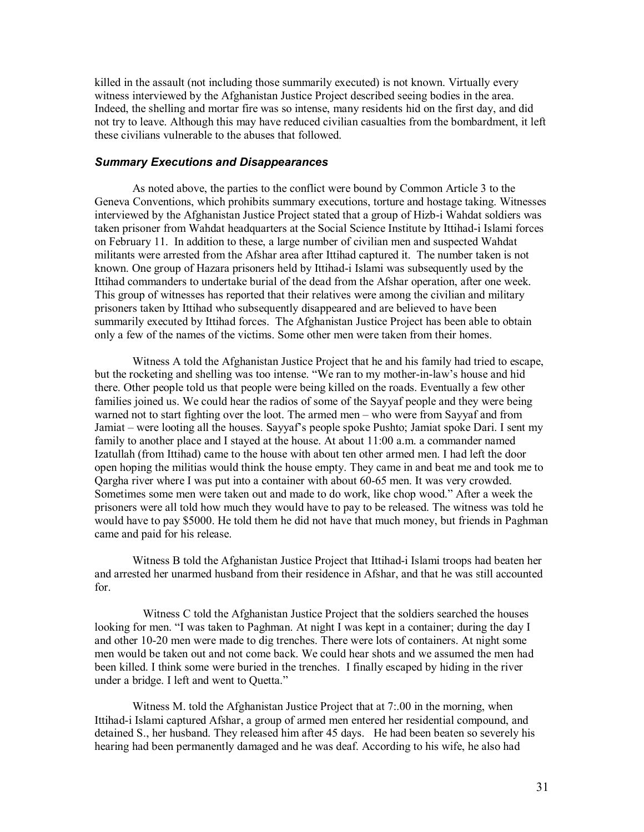killed in the assault (not including those summarily executed) is not known. Virtually every witness interviewed by the Afghanistan Justice Project described seeing bodies in the area. Indeed, the shelling and mortar fire was so intense, many residents hid on the first day, and did not try to leave. Although this may have reduced civilian casualties from the bombardment, it left these civilians vulnerable to the abuses that followed.

#### *Summary Executions and Disappearances*

As noted above, the parties to the conflict were bound by Common Article 3 to the Geneva Conventions, which prohibits summary executions, torture and hostage taking. Witnesses interviewed by the Afghanistan Justice Project stated that a group of Hizb-i Wahdat soldiers was taken prisoner from Wahdat headquarters at the Social Science Institute by Ittihad-i Islami forces on February 11. In addition to these, a large number of civilian men and suspected Wahdat militants were arrested from the Afshar area after Ittihad captured it. The number taken is not known. One group of Hazara prisoners held by Ittihad-i Islami was subsequently used by the Ittihad commanders to undertake burial of the dead from the Afshar operation, after one week. This group of witnesses has reported that their relatives were among the civilian and military prisoners taken by Ittihad who subsequently disappeared and are believed to have been summarily executed by Ittihad forces. The Afghanistan Justice Project has been able to obtain only a few of the names of the victims. Some other men were taken from their homes.

Witness A told the Afghanistan Justice Project that he and his family had tried to escape, but the rocketing and shelling was too intense. "We ran to my mother-in-law's house and hid there. Other people told us that people were being killed on the roads. Eventually a few other families joined us. We could hear the radios of some of the Sayyaf people and they were being warned not to start fighting over the loot. The armed men – who were from Sayyaf and from Jamiat – were looting all the houses. Sayyaf's people spoke Pushto; Jamiat spoke Dari. I sent my family to another place and I stayed at the house. At about 11:00 a.m. a commander named Izatullah (from Ittihad) came to the house with about ten other armed men. I had left the door open hoping the militias would think the house empty. They came in and beat me and took me to Qargha river where I was put into a container with about 60-65 men. It was very crowded. Sometimes some men were taken out and made to do work, like chop wood." After a week the prisoners were all told how much they would have to pay to be released. The witness was told he would have to pay \$5000. He told them he did not have that much money, but friends in Paghman came and paid for his release.

Witness B told the Afghanistan Justice Project that Ittihad-i Islami troops had beaten her and arrested her unarmed husband from their residence in Afshar, and that he was still accounted for.

 Witness C told the Afghanistan Justice Project that the soldiers searched the houses looking for men. "I was taken to Paghman. At night I was kept in a container; during the day I and other 10-20 men were made to dig trenches. There were lots of containers. At night some men would be taken out and not come back. We could hear shots and we assumed the men had been killed. I think some were buried in the trenches. I finally escaped by hiding in the river under a bridge. I left and went to Quetta."

Witness M. told the Afghanistan Justice Project that at 7:.00 in the morning, when Ittihad-i Islami captured Afshar, a group of armed men entered her residential compound, and detained S., her husband. They released him after 45 days. He had been beaten so severely his hearing had been permanently damaged and he was deaf. According to his wife, he also had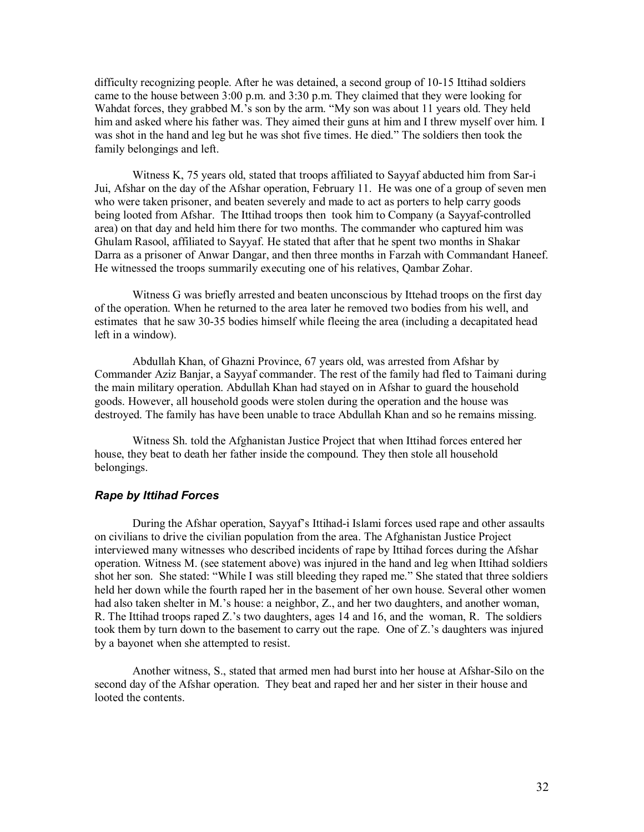difficulty recognizing people. After he was detained, a second group of 10-15 Ittihad soldiers came to the house between 3:00 p.m. and 3:30 p.m. They claimed that they were looking for Wahdat forces, they grabbed M.'s son by the arm. "My son was about 11 years old. They held him and asked where his father was. They aimed their guns at him and I threw myself over him. I was shot in the hand and leg but he was shot five times. He died." The soldiers then took the family belongings and left.

Witness K, 75 years old, stated that troops affiliated to Sayyaf abducted him from Sar-i Jui, Afshar on the day of the Afshar operation, February 11. He was one of a group of seven men who were taken prisoner, and beaten severely and made to act as porters to help carry goods being looted from Afshar. The Ittihad troops then took him to Company (a Sayyaf-controlled area) on that day and held him there for two months. The commander who captured him was Ghulam Rasool, affiliated to Sayyaf. He stated that after that he spent two months in Shakar Darra as a prisoner of Anwar Dangar, and then three months in Farzah with Commandant Haneef. He witnessed the troops summarily executing one of his relatives, Qambar Zohar.

Witness G was briefly arrested and beaten unconscious by Ittehad troops on the first day of the operation. When he returned to the area later he removed two bodies from his well, and estimates that he saw 30-35 bodies himself while fleeing the area (including a decapitated head left in a window).

Abdullah Khan, of Ghazni Province, 67 years old, was arrested from Afshar by Commander Aziz Banjar, a Sayyaf commander. The rest of the family had fled to Taimani during the main military operation. Abdullah Khan had stayed on in Afshar to guard the household goods. However, all household goods were stolen during the operation and the house was destroyed. The family has have been unable to trace Abdullah Khan and so he remains missing.

Witness Sh. told the Afghanistan Justice Project that when Ittihad forces entered her house, they beat to death her father inside the compound. They then stole all household belongings.

#### *Rape by Ittihad Forces*

During the Afshar operation, Sayyaf's Ittihad-i Islami forces used rape and other assaults on civilians to drive the civilian population from the area. The Afghanistan Justice Project interviewed many witnesses who described incidents of rape by Ittihad forces during the Afshar operation. Witness M. (see statement above) was injured in the hand and leg when Ittihad soldiers shot her son. She stated: "While I was still bleeding they raped me." She stated that three soldiers held her down while the fourth raped her in the basement of her own house. Several other women had also taken shelter in M.'s house: a neighbor, Z., and her two daughters, and another woman, R. The Ittihad troops raped Z.'s two daughters, ages 14 and 16, and the woman, R. The soldiers took them by turn down to the basement to carry out the rape. One of Z.'s daughters was injured by a bayonet when she attempted to resist.

Another witness, S., stated that armed men had burst into her house at Afshar-Silo on the second day of the Afshar operation. They beat and raped her and her sister in their house and looted the contents.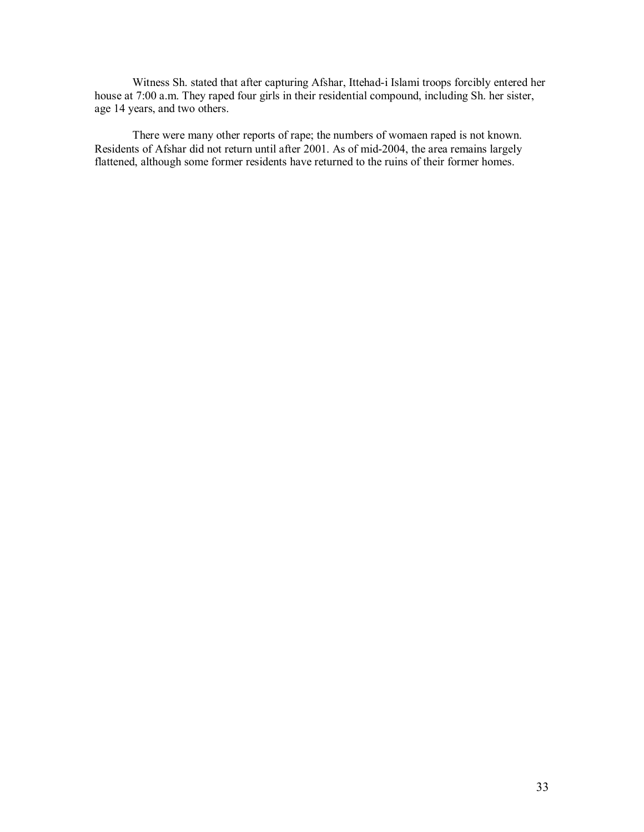Witness Sh. stated that after capturing Afshar, Ittehad-i Islami troops forcibly entered her house at 7:00 a.m. They raped four girls in their residential compound, including Sh. her sister, age 14 years, and two others.

There were many other reports of rape; the numbers of womaen raped is not known. Residents of Afshar did not return until after 2001. As of mid-2004, the area remains largely flattened, although some former residents have returned to the ruins of their former homes.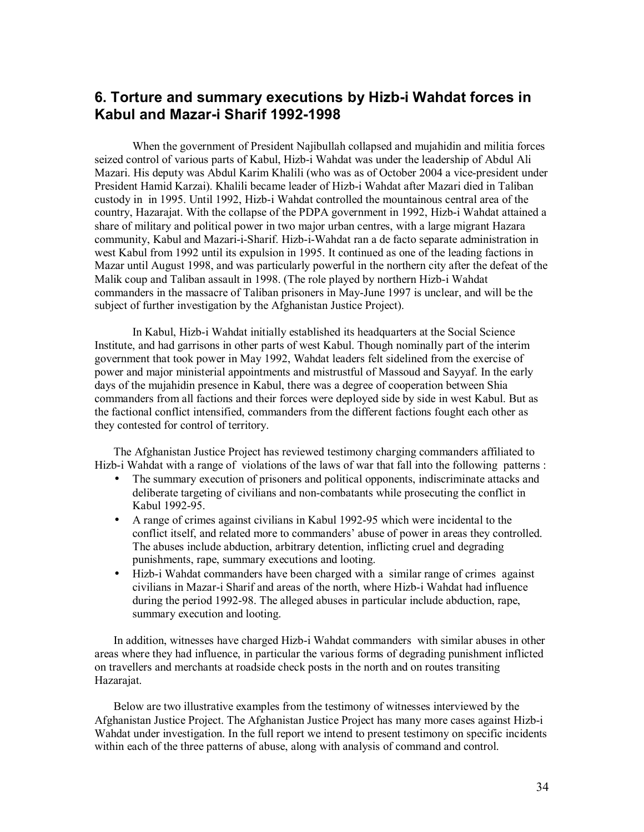# **6. Torture and summary executions by Hizb-i Wahdat forces in Kabul and Mazar-i Sharif 1992-1998**

When the government of President Najibullah collapsed and mujahidin and militia forces seized control of various parts of Kabul, Hizb-i Wahdat was under the leadership of Abdul Ali Mazari. His deputy was Abdul Karim Khalili (who was as of October 2004 a vice-president under President Hamid Karzai). Khalili became leader of Hizb-i Wahdat after Mazari died in Taliban custody in in 1995. Until 1992, Hizb-i Wahdat controlled the mountainous central area of the country, Hazarajat. With the collapse of the PDPA government in 1992, Hizb-i Wahdat attained a share of military and political power in two major urban centres, with a large migrant Hazara community, Kabul and Mazari-i-Sharif. Hizb-i-Wahdat ran a de facto separate administration in west Kabul from 1992 until its expulsion in 1995. It continued as one of the leading factions in Mazar until August 1998, and was particularly powerful in the northern city after the defeat of the Malik coup and Taliban assault in 1998. (The role played by northern Hizb-i Wahdat commanders in the massacre of Taliban prisoners in May-June 1997 is unclear, and will be the subject of further investigation by the Afghanistan Justice Project).

In Kabul, Hizb-i Wahdat initially established its headquarters at the Social Science Institute, and had garrisons in other parts of west Kabul. Though nominally part of the interim government that took power in May 1992, Wahdat leaders felt sidelined from the exercise of power and major ministerial appointments and mistrustful of Massoud and Sayyaf. In the early days of the mujahidin presence in Kabul, there was a degree of cooperation between Shia commanders from all factions and their forces were deployed side by side in west Kabul. But as the factional conflict intensified, commanders from the different factions fought each other as they contested for control of territory.

The Afghanistan Justice Project has reviewed testimony charging commanders affiliated to Hizb-i Wahdat with a range of violations of the laws of war that fall into the following patterns :

- The summary execution of prisoners and political opponents, indiscriminate attacks and deliberate targeting of civilians and non-combatants while prosecuting the conflict in Kabul 1992-95.
- A range of crimes against civilians in Kabul 1992-95 which were incidental to the conflict itself, and related more to commanders' abuse of power in areas they controlled. The abuses include abduction, arbitrary detention, inflicting cruel and degrading punishments, rape, summary executions and looting.
- Hizb-i Wahdat commanders have been charged with a similar range of crimes against civilians in Mazar-i Sharif and areas of the north, where Hizb-i Wahdat had influence during the period 1992-98. The alleged abuses in particular include abduction, rape, summary execution and looting.

In addition, witnesses have charged Hizb-i Wahdat commanders with similar abuses in other areas where they had influence, in particular the various forms of degrading punishment inflicted on travellers and merchants at roadside check posts in the north and on routes transiting Hazarajat.

Below are two illustrative examples from the testimony of witnesses interviewed by the Afghanistan Justice Project. The Afghanistan Justice Project has many more cases against Hizb-i Wahdat under investigation. In the full report we intend to present testimony on specific incidents within each of the three patterns of abuse, along with analysis of command and control.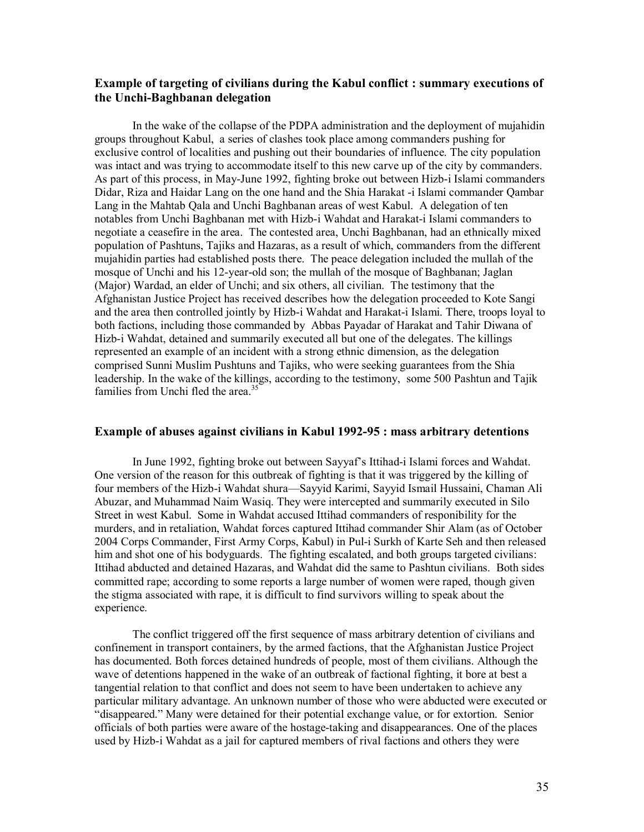# **Example of targeting of civilians during the Kabul conflict : summary executions of the Unchi-Baghbanan delegation**

In the wake of the collapse of the PDPA administration and the deployment of mujahidin groups throughout Kabul, a series of clashes took place among commanders pushing for exclusive control of localities and pushing out their boundaries of influence. The city population was intact and was trying to accommodate itself to this new carve up of the city by commanders. As part of this process, in May-June 1992, fighting broke out between Hizb-i Islami commanders Didar, Riza and Haidar Lang on the one hand and the Shia Harakat -i Islami commander Qambar Lang in the Mahtab Qala and Unchi Baghbanan areas of west Kabul. A delegation of ten notables from Unchi Baghbanan met with Hizb-i Wahdat and Harakat-i Islami commanders to negotiate a ceasefire in the area. The contested area, Unchi Baghbanan, had an ethnically mixed population of Pashtuns, Tajiks and Hazaras, as a result of which, commanders from the different mujahidin parties had established posts there. The peace delegation included the mullah of the mosque of Unchi and his 12-year-old son; the mullah of the mosque of Baghbanan; Jaglan (Major) Wardad, an elder of Unchi; and six others, all civilian. The testimony that the Afghanistan Justice Project has received describes how the delegation proceeded to Kote Sangi and the area then controlled jointly by Hizb-i Wahdat and Harakat-i Islami. There, troops loyal to both factions, including those commanded by Abbas Payadar of Harakat and Tahir Diwana of Hizb-i Wahdat, detained and summarily executed all but one of the delegates. The killings represented an example of an incident with a strong ethnic dimension, as the delegation comprised Sunni Muslim Pushtuns and Tajiks, who were seeking guarantees from the Shia leadership. In the wake of the killings, according to the testimony, some 500 Pashtun and Tajik families from Unchi fled the area. $35$ 

#### **Example of abuses against civilians in Kabul 1992-95 : mass arbitrary detentions**

In June 1992, fighting broke out between Sayyaf's Ittihad-i Islami forces and Wahdat. One version of the reason for this outbreak of fighting is that it was triggered by the killing of four members of the Hizb-i Wahdat shura—Sayyid Karimi, Sayyid Ismail Hussaini, Chaman Ali Abuzar, and Muhammad Naim Wasiq. They were intercepted and summarily executed in Silo Street in west Kabul. Some in Wahdat accused Ittihad commanders of responibility for the murders, and in retaliation, Wahdat forces captured Ittihad commander Shir Alam (as of October 2004 Corps Commander, First Army Corps, Kabul) in Pul-i Surkh of Karte Seh and then released him and shot one of his bodyguards. The fighting escalated, and both groups targeted civilians: Ittihad abducted and detained Hazaras, and Wahdat did the same to Pashtun civilians. Both sides committed rape; according to some reports a large number of women were raped, though given the stigma associated with rape, it is difficult to find survivors willing to speak about the experience.

The conflict triggered off the first sequence of mass arbitrary detention of civilians and confinement in transport containers, by the armed factions, that the Afghanistan Justice Project has documented. Both forces detained hundreds of people, most of them civilians. Although the wave of detentions happened in the wake of an outbreak of factional fighting, it bore at best a tangential relation to that conflict and does not seem to have been undertaken to achieve any particular military advantage. An unknown number of those who were abducted were executed or "disappeared." Many were detained for their potential exchange value, or for extortion. Senior officials of both parties were aware of the hostage-taking and disappearances. One of the places used by Hizb-i Wahdat as a jail for captured members of rival factions and others they were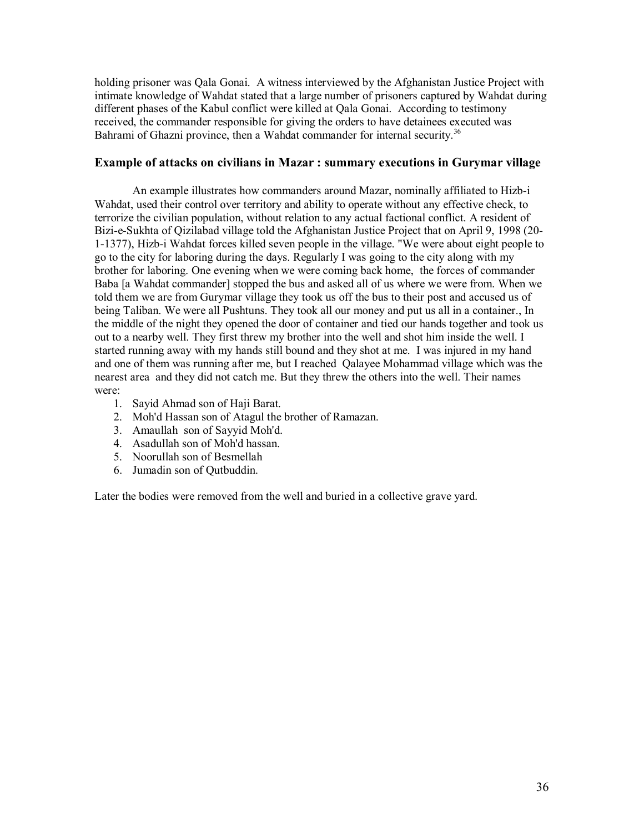holding prisoner was Qala Gonai. A witness interviewed by the Afghanistan Justice Project with intimate knowledge of Wahdat stated that a large number of prisoners captured by Wahdat during different phases of the Kabul conflict were killed at Qala Gonai. According to testimony received, the commander responsible for giving the orders to have detainees executed was Bahrami of Ghazni province, then a Wahdat commander for internal security.<sup>36</sup>

# **Example of attacks on civilians in Mazar : summary executions in Gurymar village**

An example illustrates how commanders around Mazar, nominally affiliated to Hizb-i Wahdat, used their control over territory and ability to operate without any effective check, to terrorize the civilian population, without relation to any actual factional conflict. A resident of Bizi-e-Sukhta of Qizilabad village told the Afghanistan Justice Project that on April 9, 1998 (20- 1-1377), Hizb-i Wahdat forces killed seven people in the village. "We were about eight people to go to the city for laboring during the days. Regularly I was going to the city along with my brother for laboring. One evening when we were coming back home, the forces of commander Baba [a Wahdat commander] stopped the bus and asked all of us where we were from. When we told them we are from Gurymar village they took us off the bus to their post and accused us of being Taliban. We were all Pushtuns. They took all our money and put us all in a container., In the middle of the night they opened the door of container and tied our hands together and took us out to a nearby well. They first threw my brother into the well and shot him inside the well. I started running away with my hands still bound and they shot at me. I was injured in my hand and one of them was running after me, but I reached Qalayee Mohammad village which was the nearest area and they did not catch me. But they threw the others into the well. Their names were:

- 1. Sayid Ahmad son of Haji Barat.
- 2. Moh'd Hassan son of Atagul the brother of Ramazan.
- 3. Amaullah son of Sayyid Moh'd.
- 4. Asadullah son of Moh'd hassan.
- 5. Noorullah son of Besmellah
- 6. Jumadin son of Qutbuddin.

Later the bodies were removed from the well and buried in a collective grave yard.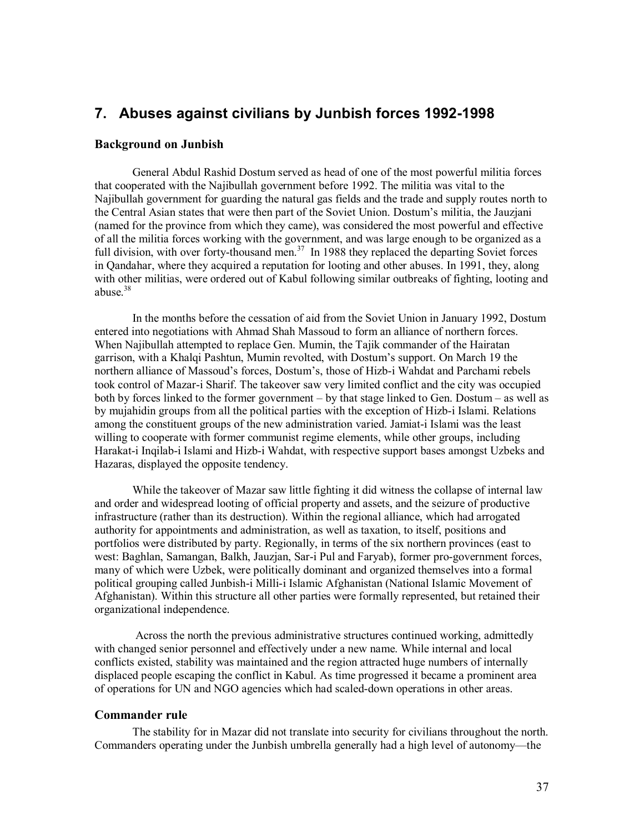# **7. Abuses against civilians by Junbish forces 1992-1998**

#### **Background on Junbish**

General Abdul Rashid Dostum served as head of one of the most powerful militia forces that cooperated with the Najibullah government before 1992. The militia was vital to the Najibullah government for guarding the natural gas fields and the trade and supply routes north to the Central Asian states that were then part of the Soviet Union. Dostum's militia, the Jauzjani (named for the province from which they came), was considered the most powerful and effective of all the militia forces working with the government, and was large enough to be organized as a full division, with over forty-thousand men.<sup>37</sup> In 1988 they replaced the departing Soviet forces in Qandahar, where they acquired a reputation for looting and other abuses. In 1991, they, along with other militias, were ordered out of Kabul following similar outbreaks of fighting, looting and abuse.<sup>38</sup>

In the months before the cessation of aid from the Soviet Union in January 1992, Dostum entered into negotiations with Ahmad Shah Massoud to form an alliance of northern forces. When Najibullah attempted to replace Gen. Mumin, the Tajik commander of the Hairatan garrison, with a Khalqi Pashtun, Mumin revolted, with Dostum's support. On March 19 the northern alliance of Massoud's forces, Dostum's, those of Hizb-i Wahdat and Parchami rebels took control of Mazar-i Sharif. The takeover saw very limited conflict and the city was occupied both by forces linked to the former government – by that stage linked to Gen. Dostum – as well as by mujahidin groups from all the political parties with the exception of Hizb-i Islami. Relations among the constituent groups of the new administration varied. Jamiat-i Islami was the least willing to cooperate with former communist regime elements, while other groups, including Harakat-i Inqilab-i Islami and Hizb-i Wahdat, with respective support bases amongst Uzbeks and Hazaras, displayed the opposite tendency.

While the takeover of Mazar saw little fighting it did witness the collapse of internal law and order and widespread looting of official property and assets, and the seizure of productive infrastructure (rather than its destruction). Within the regional alliance, which had arrogated authority for appointments and administration, as well as taxation, to itself, positions and portfolios were distributed by party. Regionally, in terms of the six northern provinces (east to west: Baghlan, Samangan, Balkh, Jauzjan, Sar-i Pul and Faryab), former pro-government forces, many of which were Uzbek, were politically dominant and organized themselves into a formal political grouping called Junbish-i Milli-i Islamic Afghanistan (National Islamic Movement of Afghanistan). Within this structure all other parties were formally represented, but retained their organizational independence.

 Across the north the previous administrative structures continued working, admittedly with changed senior personnel and effectively under a new name. While internal and local conflicts existed, stability was maintained and the region attracted huge numbers of internally displaced people escaping the conflict in Kabul. As time progressed it became a prominent area of operations for UN and NGO agencies which had scaled-down operations in other areas.

#### **Commander rule**

The stability for in Mazar did not translate into security for civilians throughout the north. Commanders operating under the Junbish umbrella generally had a high level of autonomy—the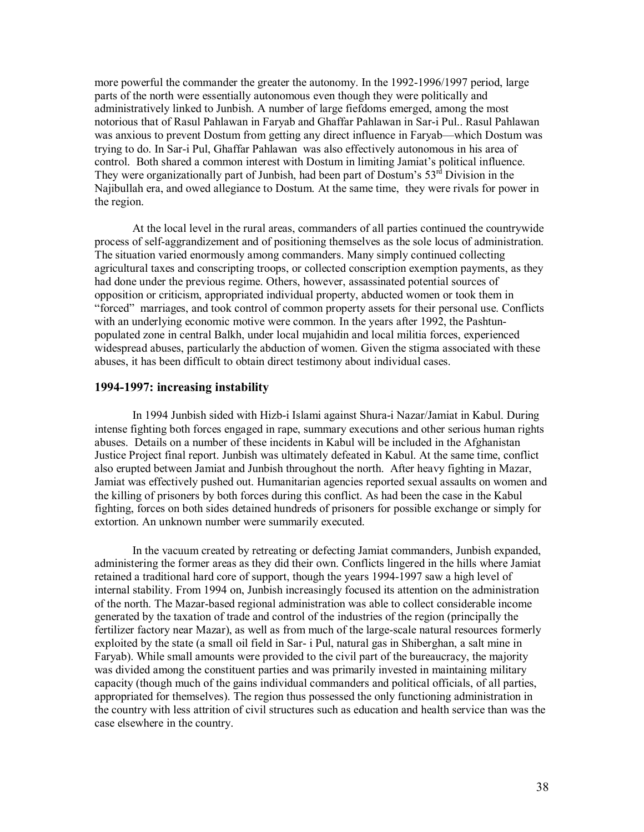more powerful the commander the greater the autonomy. In the 1992-1996/1997 period, large parts of the north were essentially autonomous even though they were politically and administratively linked to Junbish. A number of large fiefdoms emerged, among the most notorious that of Rasul Pahlawan in Faryab and Ghaffar Pahlawan in Sar-i Pul.. Rasul Pahlawan was anxious to prevent Dostum from getting any direct influence in Faryab—which Dostum was trying to do. In Sar-i Pul, Ghaffar Pahlawan was also effectively autonomous in his area of control. Both shared a common interest with Dostum in limiting Jamiat's political influence. They were organizationally part of Junbish, had been part of Dostum's  $53<sup>rd</sup>$  Division in the Najibullah era, and owed allegiance to Dostum. At the same time, they were rivals for power in the region.

At the local level in the rural areas, commanders of all parties continued the countrywide process of self-aggrandizement and of positioning themselves as the sole locus of administration. The situation varied enormously among commanders. Many simply continued collecting agricultural taxes and conscripting troops, or collected conscription exemption payments, as they had done under the previous regime. Others, however, assassinated potential sources of opposition or criticism, appropriated individual property, abducted women or took them in "forced" marriages, and took control of common property assets for their personal use. Conflicts with an underlying economic motive were common. In the years after 1992, the Pashtunpopulated zone in central Balkh, under local mujahidin and local militia forces, experienced widespread abuses, particularly the abduction of women. Given the stigma associated with these abuses, it has been difficult to obtain direct testimony about individual cases.

#### **1994-1997: increasing instability**

In 1994 Junbish sided with Hizb-i Islami against Shura-i Nazar/Jamiat in Kabul. During intense fighting both forces engaged in rape, summary executions and other serious human rights abuses. Details on a number of these incidents in Kabul will be included in the Afghanistan Justice Project final report. Junbish was ultimately defeated in Kabul. At the same time, conflict also erupted between Jamiat and Junbish throughout the north. After heavy fighting in Mazar, Jamiat was effectively pushed out. Humanitarian agencies reported sexual assaults on women and the killing of prisoners by both forces during this conflict. As had been the case in the Kabul fighting, forces on both sides detained hundreds of prisoners for possible exchange or simply for extortion. An unknown number were summarily executed.

In the vacuum created by retreating or defecting Jamiat commanders, Junbish expanded, administering the former areas as they did their own. Conflicts lingered in the hills where Jamiat retained a traditional hard core of support, though the years 1994-1997 saw a high level of internal stability. From 1994 on, Junbish increasingly focused its attention on the administration of the north. The Mazar-based regional administration was able to collect considerable income generated by the taxation of trade and control of the industries of the region (principally the fertilizer factory near Mazar), as well as from much of the large-scale natural resources formerly exploited by the state (a small oil field in Sar- i Pul, natural gas in Shiberghan, a salt mine in Faryab). While small amounts were provided to the civil part of the bureaucracy, the majority was divided among the constituent parties and was primarily invested in maintaining military capacity (though much of the gains individual commanders and political officials, of all parties, appropriated for themselves). The region thus possessed the only functioning administration in the country with less attrition of civil structures such as education and health service than was the case elsewhere in the country.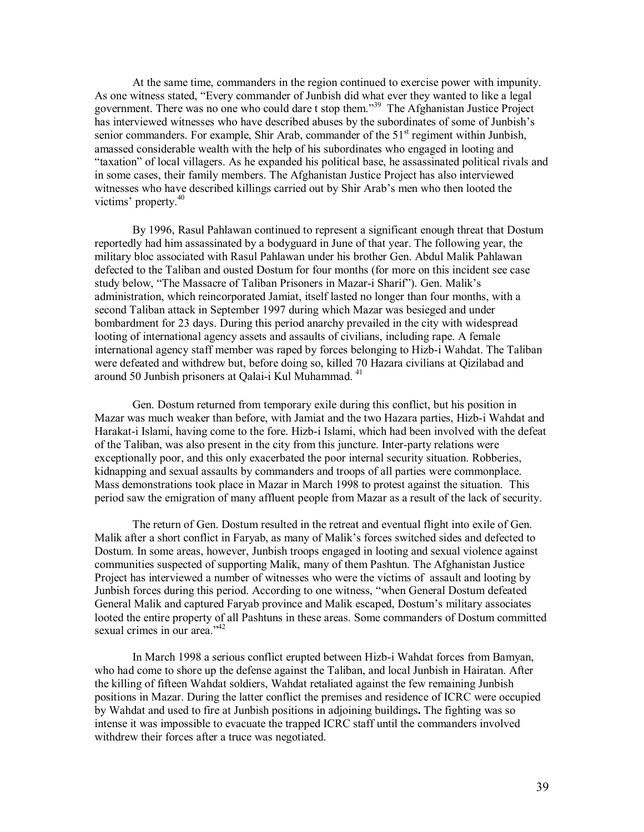At the same time, commanders in the region continued to exercise power with impunity. As one witness stated, "Every commander of Junbish did what ever they wanted to like a legal government. There was no one who could dare t stop them.<sup>39</sup> The Afghanistan Justice Project has interviewed witnesses who have described abuses by the subordinates of some of Junbish's senior commanders. For example, Shir Arab, commander of the  $51<sup>st</sup>$  regiment within Junbish, amassed considerable wealth with the help of his subordinates who engaged in looting and "taxation" of local villagers. As he expanded his political base, he assassinated political rivals and in some cases, their family members. The Afghanistan Justice Project has also interviewed witnesses who have described killings carried out by Shir Arab's men who then looted the victims' property.<sup>40</sup>

By 1996, Rasul Pahlawan continued to represent a significant enough threat that Dostum reportedly had him assassinated by a bodyguard in June of that year. The following year, the military bloc associated with Rasul Pahlawan under his brother Gen. Abdul Malik Pahlawan defected to the Taliban and ousted Dostum for four months (for more on this incident see case study below, "The Massacre of Taliban Prisoners in Mazar-i Sharif"). Gen. Malik's administration, which reincorporated Jamiat, itself lasted no longer than four months, with a second Taliban attack in September 1997 during which Mazar was besieged and under bombardment for 23 days. During this period anarchy prevailed in the city with widespread looting of international agency assets and assaults of civilians, including rape. A female international agency staff member was raped by forces belonging to Hizb-i Wahdat. The Taliban were defeated and withdrew but, before doing so, killed 70 Hazara civilians at Qizilabad and around 50 Junbish prisoners at Qalai-i Kul Muhammad. 41

Gen. Dostum returned from temporary exile during this conflict, but his position in Mazar was much weaker than before, with Jamiat and the two Hazara parties, Hizb-i Wahdat and Harakat-i Islami, having come to the fore. Hizb-i Islami, which had been involved with the defeat of the Taliban, was also present in the city from this juncture. Inter-party relations were exceptionally poor, and this only exacerbated the poor internal security situation. Robberies, kidnapping and sexual assaults by commanders and troops of all parties were commonplace. Mass demonstrations took place in Mazar in March 1998 to protest against the situation. This period saw the emigration of many affluent people from Mazar as a result of the lack of security.

The return of Gen. Dostum resulted in the retreat and eventual flight into exile of Gen. Malik after a short conflict in Faryab, as many of Malik's forces switched sides and defected to Dostum. In some areas, however, Junbish troops engaged in looting and sexual violence against communities suspected of supporting Malik, many of them Pashtun. The Afghanistan Justice Project has interviewed a number of witnesses who were the victims of assault and looting by Junbish forces during this period. According to one witness, "when General Dostum defeated General Malik and captured Faryab province and Malik escaped, Dostum's military associates looted the entire property of all Pashtuns in these areas. Some commanders of Dostum committed sexual crimes in our area."<sup>42</sup>

In March 1998 a serious conflict erupted between Hizb-i Wahdat forces from Bamyan, who had come to shore up the defense against the Taliban, and local Junbish in Hairatan. After the killing of fifteen Wahdat soldiers, Wahdat retaliated against the few remaining Junbish positions in Mazar. During the latter conflict the premises and residence of ICRC were occupied by Wahdat and used to fire at Junbish positions in adjoining buildings**.** The fighting was so intense it was impossible to evacuate the trapped ICRC staff until the commanders involved withdrew their forces after a truce was negotiated.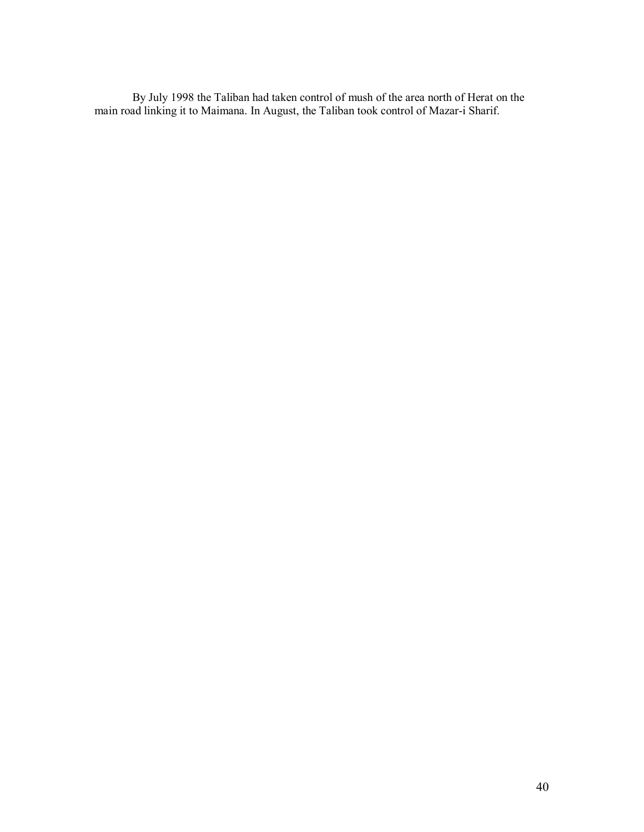By July 1998 the Taliban had taken control of mush of the area north of Herat on the main road linking it to Maimana. In August, the Taliban took control of Mazar-i Sharif.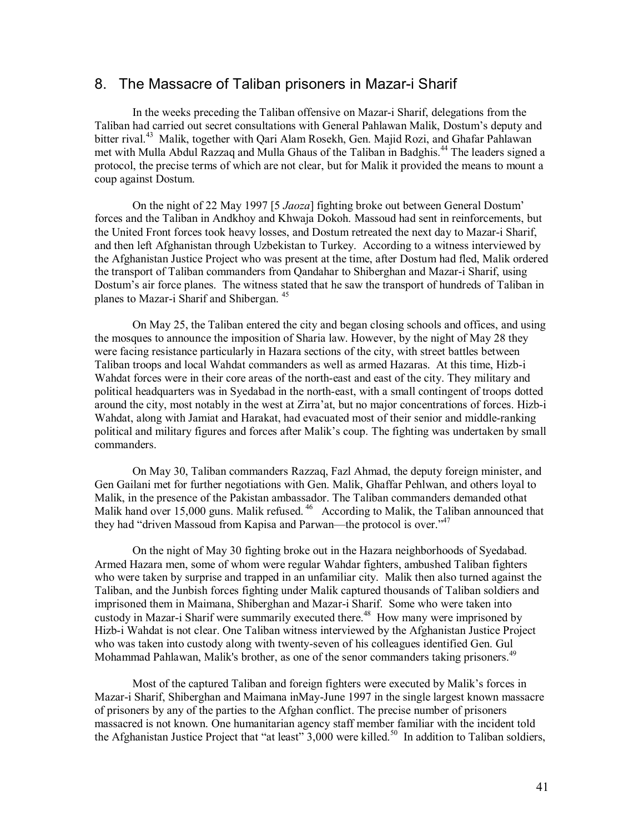# 8. The Massacre of Taliban prisoners in Mazar-i Sharif

In the weeks preceding the Taliban offensive on Mazar-i Sharif, delegations from the Taliban had carried out secret consultations with General Pahlawan Malik, Dostum's deputy and bitter rival.<sup>43</sup> Malik, together with Qari Alam Rosekh, Gen. Majid Rozi, and Ghafar Pahlawan met with Mulla Abdul Razzaq and Mulla Ghaus of the Taliban in Badghis.<sup>44</sup> The leaders signed a protocol, the precise terms of which are not clear, but for Malik it provided the means to mount a coup against Dostum.

On the night of 22 May 1997 [5 *Jaoza*] fighting broke out between General Dostum' forces and the Taliban in Andkhoy and Khwaja Dokoh. Massoud had sent in reinforcements, but the United Front forces took heavy losses, and Dostum retreated the next day to Mazar-i Sharif, and then left Afghanistan through Uzbekistan to Turkey. According to a witness interviewed by the Afghanistan Justice Project who was present at the time, after Dostum had fled, Malik ordered the transport of Taliban commanders from Qandahar to Shiberghan and Mazar-i Sharif, using Dostum's air force planes. The witness stated that he saw the transport of hundreds of Taliban in planes to Mazar-i Sharif and Shibergan. 45

On May 25, the Taliban entered the city and began closing schools and offices, and using the mosques to announce the imposition of Sharia law. However, by the night of May 28 they were facing resistance particularly in Hazara sections of the city, with street battles between Taliban troops and local Wahdat commanders as well as armed Hazaras. At this time, Hizb-i Wahdat forces were in their core areas of the north-east and east of the city. They military and political headquarters was in Syedabad in the north-east, with a small contingent of troops dotted around the city, most notably in the west at Zirra'at, but no major concentrations of forces. Hizb-i Wahdat, along with Jamiat and Harakat, had evacuated most of their senior and middle-ranking political and military figures and forces after Malik's coup. The fighting was undertaken by small commanders.

On May 30, Taliban commanders Razzaq, Fazl Ahmad, the deputy foreign minister, and Gen Gailani met for further negotiations with Gen. Malik, Ghaffar Pehlwan, and others loyal to Malik, in the presence of the Pakistan ambassador. The Taliban commanders demanded othat Malik hand over 15,000 guns. Malik refused. <sup>46</sup> According to Malik, the Taliban announced that they had "driven Massoud from Kapisa and Parwan—the protocol is over."<sup>47</sup>

On the night of May 30 fighting broke out in the Hazara neighborhoods of Syedabad. Armed Hazara men, some of whom were regular Wahdar fighters, ambushed Taliban fighters who were taken by surprise and trapped in an unfamiliar city. Malik then also turned against the Taliban, and the Junbish forces fighting under Malik captured thousands of Taliban soldiers and imprisoned them in Maimana, Shiberghan and Mazar-i Sharif. Some who were taken into custody in Mazar-i Sharif were summarily executed there.<sup>48</sup> How many were imprisoned by Hizb-i Wahdat is not clear. One Taliban witness interviewed by the Afghanistan Justice Project who was taken into custody along with twenty-seven of his colleagues identified Gen. Gul Mohammad Pahlawan, Malik's brother, as one of the senor commanders taking prisoners.<sup>49</sup>

Most of the captured Taliban and foreign fighters were executed by Malik's forces in Mazar-i Sharif, Shiberghan and Maimana inMay-June 1997 in the single largest known massacre of prisoners by any of the parties to the Afghan conflict. The precise number of prisoners massacred is not known. One humanitarian agency staff member familiar with the incident told the Afghanistan Justice Project that "at least"  $3,000$  were killed.<sup>50</sup> In addition to Taliban soldiers,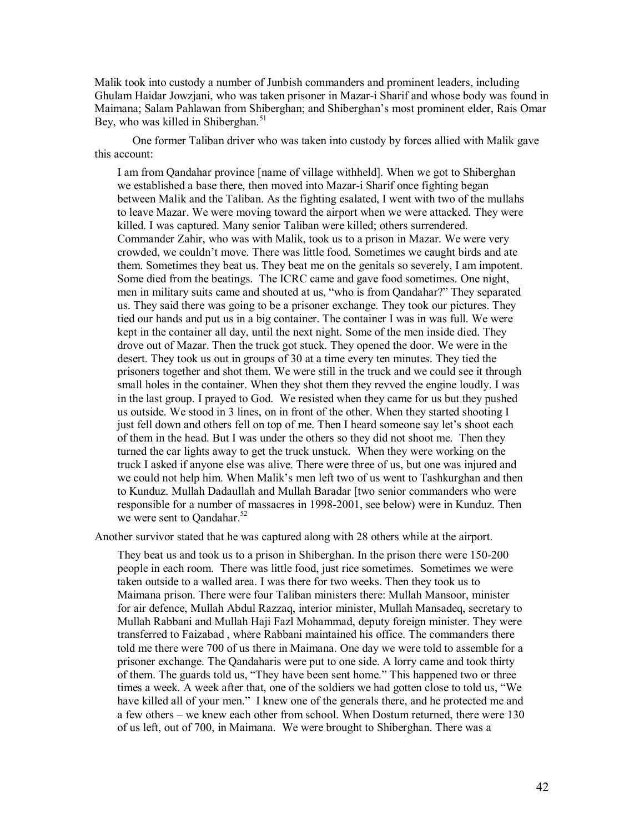Malik took into custody a number of Junbish commanders and prominent leaders, including Ghulam Haidar Jowzjani, who was taken prisoner in Mazar-i Sharif and whose body was found in Maimana; Salam Pahlawan from Shiberghan; and Shiberghan's most prominent elder, Rais Omar Bey, who was killed in Shiberghan. $51$ 

One former Taliban driver who was taken into custody by forces allied with Malik gave this account:

I am from Qandahar province [name of village withheld]. When we got to Shiberghan we established a base there, then moved into Mazar-i Sharif once fighting began between Malik and the Taliban. As the fighting esalated, I went with two of the mullahs to leave Mazar. We were moving toward the airport when we were attacked. They were killed. I was captured. Many senior Taliban were killed; others surrendered. Commander Zahir, who was with Malik, took us to a prison in Mazar. We were very crowded, we couldn't move. There was little food. Sometimes we caught birds and ate them. Sometimes they beat us. They beat me on the genitals so severely, I am impotent. Some died from the beatings. The ICRC came and gave food sometimes. One night, men in military suits came and shouted at us, "who is from Qandahar?" They separated us. They said there was going to be a prisoner exchange. They took our pictures. They tied our hands and put us in a big container. The container I was in was full. We were kept in the container all day, until the next night. Some of the men inside died. They drove out of Mazar. Then the truck got stuck. They opened the door. We were in the desert. They took us out in groups of 30 at a time every ten minutes. They tied the prisoners together and shot them. We were still in the truck and we could see it through small holes in the container. When they shot them they revved the engine loudly. I was in the last group. I prayed to God. We resisted when they came for us but they pushed us outside. We stood in 3 lines, on in front of the other. When they started shooting I just fell down and others fell on top of me. Then I heard someone say let's shoot each of them in the head. But I was under the others so they did not shoot me. Then they turned the car lights away to get the truck unstuck. When they were working on the truck I asked if anyone else was alive. There were three of us, but one was injured and we could not help him. When Malik's men left two of us went to Tashkurghan and then to Kunduz. Mullah Dadaullah and Mullah Baradar [two senior commanders who were responsible for a number of massacres in 1998-2001, see below) were in Kunduz. Then we were sent to Oandahar.<sup>52</sup>

Another survivor stated that he was captured along with 28 others while at the airport.

They beat us and took us to a prison in Shiberghan. In the prison there were 150-200 people in each room. There was little food, just rice sometimes. Sometimes we were taken outside to a walled area. I was there for two weeks. Then they took us to Maimana prison. There were four Taliban ministers there: Mullah Mansoor, minister for air defence, Mullah Abdul Razzaq, interior minister, Mullah Mansadeq, secretary to Mullah Rabbani and Mullah Haji Fazl Mohammad, deputy foreign minister. They were transferred to Faizabad , where Rabbani maintained his office. The commanders there told me there were 700 of us there in Maimana. One day we were told to assemble for a prisoner exchange. The Qandaharis were put to one side. A lorry came and took thirty of them. The guards told us, "They have been sent home." This happened two or three times a week. A week after that, one of the soldiers we had gotten close to told us, "We have killed all of your men." I knew one of the generals there, and he protected me and a few others – we knew each other from school. When Dostum returned, there were 130 of us left, out of 700, in Maimana. We were brought to Shiberghan. There was a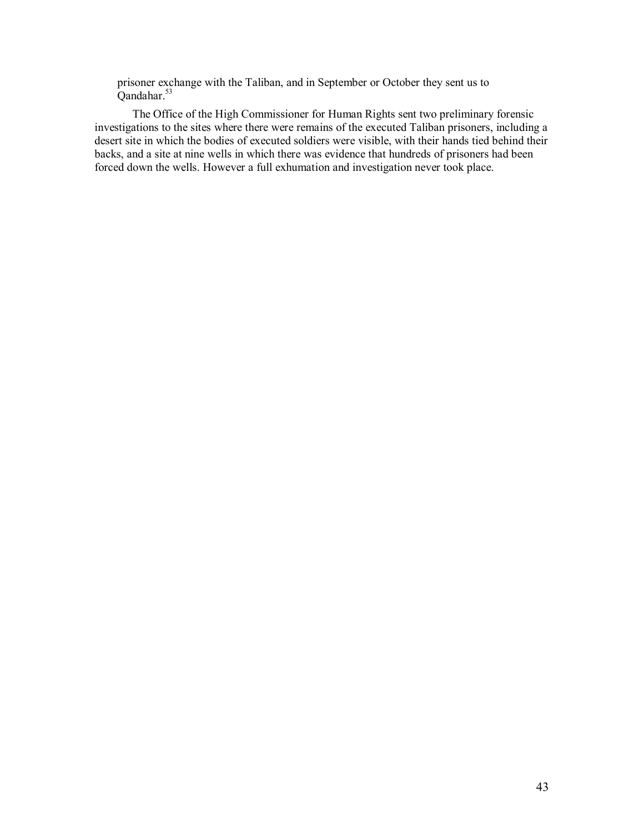prisoner exchange with the Taliban, and in September or October they sent us to Qandahar.<sup>53</sup>

The Office of the High Commissioner for Human Rights sent two preliminary forensic investigations to the sites where there were remains of the executed Taliban prisoners, including a desert site in which the bodies of executed soldiers were visible, with their hands tied behind their backs, and a site at nine wells in which there was evidence that hundreds of prisoners had been forced down the wells. However a full exhumation and investigation never took place.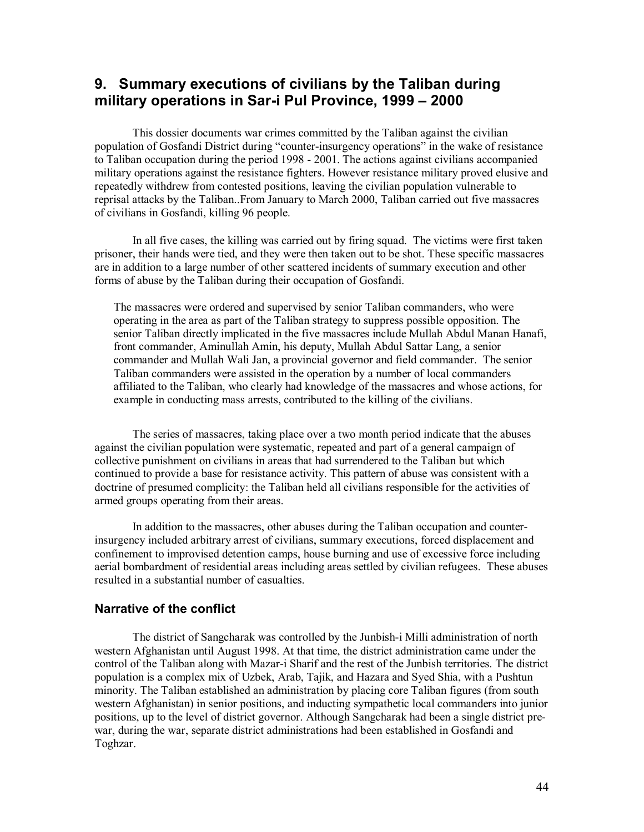# **9. Summary executions of civilians by the Taliban during military operations in Sar-i Pul Province, 1999 – 2000**

This dossier documents war crimes committed by the Taliban against the civilian population of Gosfandi District during "counter-insurgency operations" in the wake of resistance to Taliban occupation during the period 1998 - 2001. The actions against civilians accompanied military operations against the resistance fighters. However resistance military proved elusive and repeatedly withdrew from contested positions, leaving the civilian population vulnerable to reprisal attacks by the Taliban..From January to March 2000, Taliban carried out five massacres of civilians in Gosfandi, killing 96 people.

In all five cases, the killing was carried out by firing squad. The victims were first taken prisoner, their hands were tied, and they were then taken out to be shot. These specific massacres are in addition to a large number of other scattered incidents of summary execution and other forms of abuse by the Taliban during their occupation of Gosfandi.

The massacres were ordered and supervised by senior Taliban commanders, who were operating in the area as part of the Taliban strategy to suppress possible opposition. The senior Taliban directly implicated in the five massacres include Mullah Abdul Manan Hanafi, front commander, Aminullah Amin, his deputy, Mullah Abdul Sattar Lang, a senior commander and Mullah Wali Jan, a provincial governor and field commander. The senior Taliban commanders were assisted in the operation by a number of local commanders affiliated to the Taliban, who clearly had knowledge of the massacres and whose actions, for example in conducting mass arrests, contributed to the killing of the civilians.

The series of massacres, taking place over a two month period indicate that the abuses against the civilian population were systematic, repeated and part of a general campaign of collective punishment on civilians in areas that had surrendered to the Taliban but which continued to provide a base for resistance activity. This pattern of abuse was consistent with a doctrine of presumed complicity: the Taliban held all civilians responsible for the activities of armed groups operating from their areas.

In addition to the massacres, other abuses during the Taliban occupation and counterinsurgency included arbitrary arrest of civilians, summary executions, forced displacement and confinement to improvised detention camps, house burning and use of excessive force including aerial bombardment of residential areas including areas settled by civilian refugees. These abuses resulted in a substantial number of casualties.

# **Narrative of the conflict**

The district of Sangcharak was controlled by the Junbish-i Milli administration of north western Afghanistan until August 1998. At that time, the district administration came under the control of the Taliban along with Mazar-i Sharif and the rest of the Junbish territories. The district population is a complex mix of Uzbek, Arab, Tajik, and Hazara and Syed Shia, with a Pushtun minority. The Taliban established an administration by placing core Taliban figures (from south western Afghanistan) in senior positions, and inducting sympathetic local commanders into junior positions, up to the level of district governor. Although Sangcharak had been a single district prewar, during the war, separate district administrations had been established in Gosfandi and Toghzar.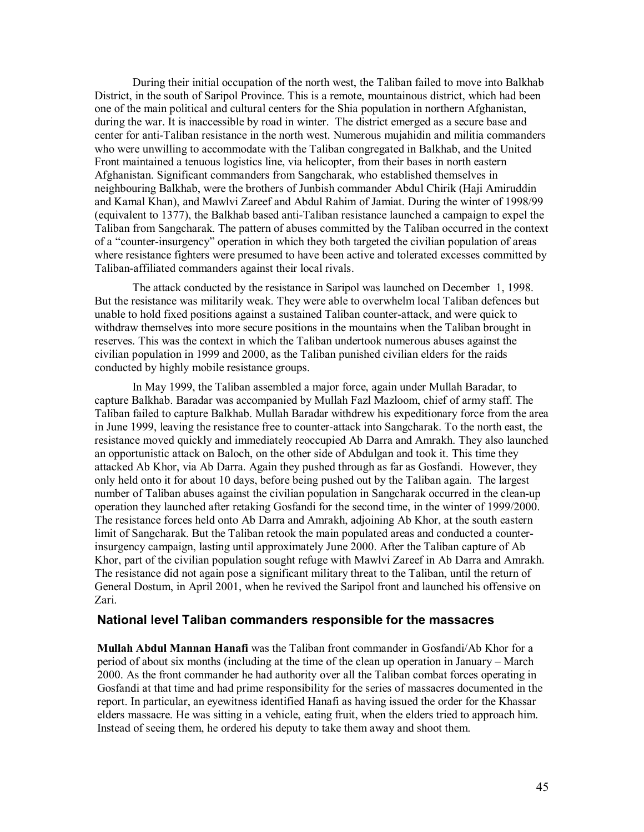During their initial occupation of the north west, the Taliban failed to move into Balkhab District, in the south of Saripol Province. This is a remote, mountainous district, which had been one of the main political and cultural centers for the Shia population in northern Afghanistan, during the war. It is inaccessible by road in winter. The district emerged as a secure base and center for anti-Taliban resistance in the north west. Numerous mujahidin and militia commanders who were unwilling to accommodate with the Taliban congregated in Balkhab, and the United Front maintained a tenuous logistics line, via helicopter, from their bases in north eastern Afghanistan. Significant commanders from Sangcharak, who established themselves in neighbouring Balkhab, were the brothers of Junbish commander Abdul Chirik (Haji Amiruddin and Kamal Khan), and Mawlvi Zareef and Abdul Rahim of Jamiat. During the winter of 1998/99 (equivalent to 1377), the Balkhab based anti-Taliban resistance launched a campaign to expel the Taliban from Sangcharak. The pattern of abuses committed by the Taliban occurred in the context of a "counter-insurgency" operation in which they both targeted the civilian population of areas where resistance fighters were presumed to have been active and tolerated excesses committed by Taliban-affiliated commanders against their local rivals.

The attack conducted by the resistance in Saripol was launched on December 1, 1998. But the resistance was militarily weak. They were able to overwhelm local Taliban defences but unable to hold fixed positions against a sustained Taliban counter-attack, and were quick to withdraw themselves into more secure positions in the mountains when the Taliban brought in reserves. This was the context in which the Taliban undertook numerous abuses against the civilian population in 1999 and 2000, as the Taliban punished civilian elders for the raids conducted by highly mobile resistance groups.

In May 1999, the Taliban assembled a major force, again under Mullah Baradar, to capture Balkhab. Baradar was accompanied by Mullah Fazl Mazloom, chief of army staff. The Taliban failed to capture Balkhab. Mullah Baradar withdrew his expeditionary force from the area in June 1999, leaving the resistance free to counter-attack into Sangcharak. To the north east, the resistance moved quickly and immediately reoccupied Ab Darra and Amrakh. They also launched an opportunistic attack on Baloch, on the other side of Abdulgan and took it. This time they attacked Ab Khor, via Ab Darra. Again they pushed through as far as Gosfandi. However, they only held onto it for about 10 days, before being pushed out by the Taliban again. The largest number of Taliban abuses against the civilian population in Sangcharak occurred in the clean-up operation they launched after retaking Gosfandi for the second time, in the winter of 1999/2000. The resistance forces held onto Ab Darra and Amrakh, adjoining Ab Khor, at the south eastern limit of Sangcharak. But the Taliban retook the main populated areas and conducted a counterinsurgency campaign, lasting until approximately June 2000. After the Taliban capture of Ab Khor, part of the civilian population sought refuge with Mawlvi Zareef in Ab Darra and Amrakh. The resistance did not again pose a significant military threat to the Taliban, until the return of General Dostum, in April 2001, when he revived the Saripol front and launched his offensive on Zari.

# **National level Taliban commanders responsible for the massacres**

**Mullah Abdul Mannan Hanafi** was the Taliban front commander in Gosfandi/Ab Khor for a period of about six months (including at the time of the clean up operation in January – March 2000. As the front commander he had authority over all the Taliban combat forces operating in Gosfandi at that time and had prime responsibility for the series of massacres documented in the report. In particular, an eyewitness identified Hanafi as having issued the order for the Khassar elders massacre. He was sitting in a vehicle, eating fruit, when the elders tried to approach him. Instead of seeing them, he ordered his deputy to take them away and shoot them.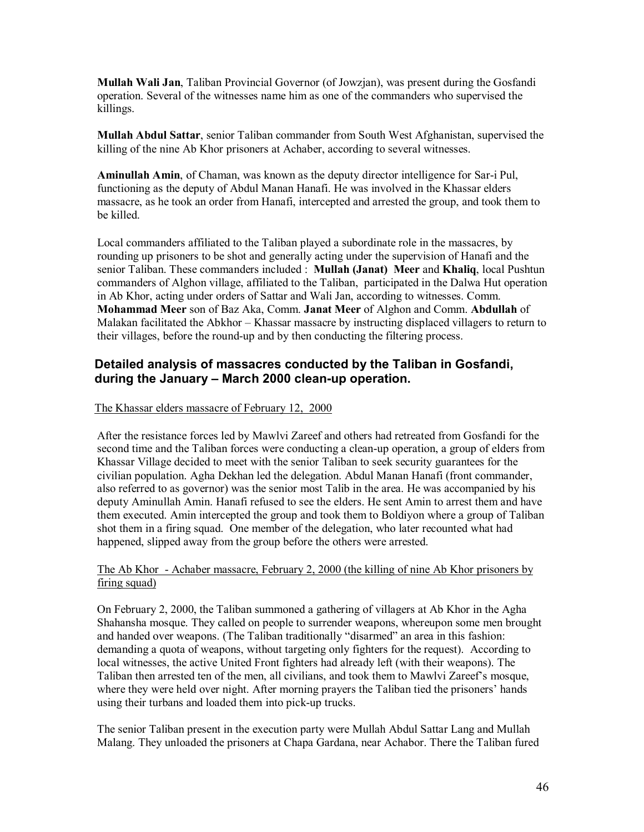**Mullah Wali Jan**, Taliban Provincial Governor (of Jowzjan), was present during the Gosfandi operation. Several of the witnesses name him as one of the commanders who supervised the killings.

**Mullah Abdul Sattar**, senior Taliban commander from South West Afghanistan, supervised the killing of the nine Ab Khor prisoners at Achaber, according to several witnesses.

**Aminullah Amin**, of Chaman, was known as the deputy director intelligence for Sar-i Pul, functioning as the deputy of Abdul Manan Hanafi. He was involved in the Khassar elders massacre, as he took an order from Hanafi, intercepted and arrested the group, and took them to be killed.

Local commanders affiliated to the Taliban played a subordinate role in the massacres, by rounding up prisoners to be shot and generally acting under the supervision of Hanafi and the senior Taliban. These commanders included : **Mullah (Janat) Meer** and **Khaliq**, local Pushtun commanders of Alghon village, affiliated to the Taliban, participated in the Dalwa Hut operation in Ab Khor, acting under orders of Sattar and Wali Jan, according to witnesses. Comm. **Mohammad Meer** son of Baz Aka, Comm. **Janat Meer** of Alghon and Comm. **Abdullah** of Malakan facilitated the Abkhor – Khassar massacre by instructing displaced villagers to return to their villages, before the round-up and by then conducting the filtering process.

# **Detailed analysis of massacres conducted by the Taliban in Gosfandi, during the January – March 2000 clean-up operation.**

The Khassar elders massacre of February 12, 2000

After the resistance forces led by Mawlvi Zareef and others had retreated from Gosfandi for the second time and the Taliban forces were conducting a clean-up operation, a group of elders from Khassar Village decided to meet with the senior Taliban to seek security guarantees for the civilian population. Agha Dekhan led the delegation. Abdul Manan Hanafi (front commander, also referred to as governor) was the senior most Talib in the area. He was accompanied by his deputy Aminullah Amin. Hanafi refused to see the elders. He sent Amin to arrest them and have them executed. Amin intercepted the group and took them to Boldiyon where a group of Taliban shot them in a firing squad. One member of the delegation, who later recounted what had happened, slipped away from the group before the others were arrested.

# The Ab Khor - Achaber massacre, February 2, 2000 (the killing of nine Ab Khor prisoners by firing squad)

On February 2, 2000, the Taliban summoned a gathering of villagers at Ab Khor in the Agha Shahansha mosque. They called on people to surrender weapons, whereupon some men brought and handed over weapons. (The Taliban traditionally "disarmed" an area in this fashion: demanding a quota of weapons, without targeting only fighters for the request). According to local witnesses, the active United Front fighters had already left (with their weapons). The Taliban then arrested ten of the men, all civilians, and took them to Mawlvi Zareef's mosque, where they were held over night. After morning prayers the Taliban tied the prisoners' hands using their turbans and loaded them into pick-up trucks.

The senior Taliban present in the execution party were Mullah Abdul Sattar Lang and Mullah Malang. They unloaded the prisoners at Chapa Gardana, near Achabor. There the Taliban fured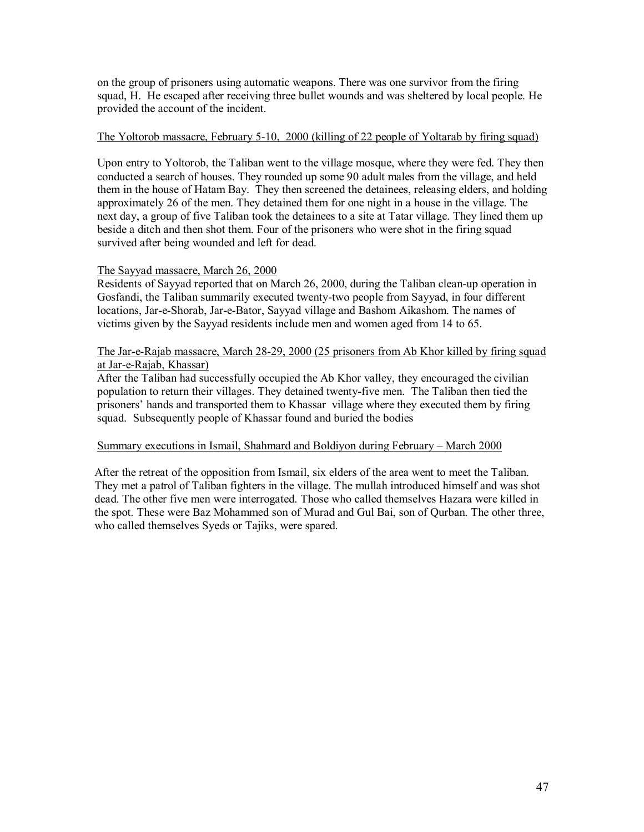on the group of prisoners using automatic weapons. There was one survivor from the firing squad, H. He escaped after receiving three bullet wounds and was sheltered by local people. He provided the account of the incident.

### The Yoltorob massacre, February 5-10, 2000 (killing of 22 people of Yoltarab by firing squad)

Upon entry to Yoltorob, the Taliban went to the village mosque, where they were fed. They then conducted a search of houses. They rounded up some 90 adult males from the village, and held them in the house of Hatam Bay. They then screened the detainees, releasing elders, and holding approximately 26 of the men. They detained them for one night in a house in the village. The next day, a group of five Taliban took the detainees to a site at Tatar village. They lined them up beside a ditch and then shot them. Four of the prisoners who were shot in the firing squad survived after being wounded and left for dead.

# The Sayyad massacre, March 26, 2000

Residents of Sayyad reported that on March 26, 2000, during the Taliban clean-up operation in Gosfandi, the Taliban summarily executed twenty-two people from Sayyad, in four different locations, Jar-e-Shorab, Jar-e-Bator, Sayyad village and Bashom Aikashom. The names of victims given by the Sayyad residents include men and women aged from 14 to 65.

### The Jar-e-Rajab massacre, March 28-29, 2000 (25 prisoners from Ab Khor killed by firing squad at Jar-e-Rajab, Khassar)

After the Taliban had successfully occupied the Ab Khor valley, they encouraged the civilian population to return their villages. They detained twenty-five men. The Taliban then tied the prisoners' hands and transported them to Khassar village where they executed them by firing squad. Subsequently people of Khassar found and buried the bodies

#### Summary executions in Ismail, Shahmard and Boldiyon during February – March 2000

After the retreat of the opposition from Ismail, six elders of the area went to meet the Taliban. They met a patrol of Taliban fighters in the village. The mullah introduced himself and was shot dead. The other five men were interrogated. Those who called themselves Hazara were killed in the spot. These were Baz Mohammed son of Murad and Gul Bai, son of Qurban. The other three, who called themselves Syeds or Tajiks, were spared.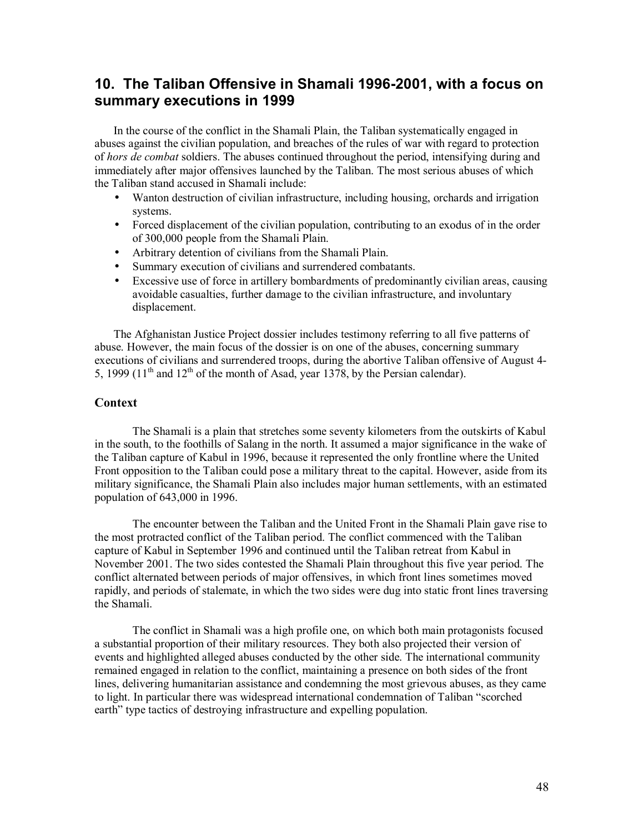# **10. The Taliban Offensive in Shamali 1996-2001, with a focus on summary executions in 1999**

In the course of the conflict in the Shamali Plain, the Taliban systematically engaged in abuses against the civilian population, and breaches of the rules of war with regard to protection of *hors de combat* soldiers. The abuses continued throughout the period, intensifying during and immediately after major offensives launched by the Taliban. The most serious abuses of which the Taliban stand accused in Shamali include:

- Wanton destruction of civilian infrastructure, including housing, orchards and irrigation systems.
- Forced displacement of the civilian population, contributing to an exodus of in the order of 300,000 people from the Shamali Plain.
- Arbitrary detention of civilians from the Shamali Plain.
- Summary execution of civilians and surrendered combatants.
- Excessive use of force in artillery bombardments of predominantly civilian areas, causing avoidable casualties, further damage to the civilian infrastructure, and involuntary displacement.

The Afghanistan Justice Project dossier includes testimony referring to all five patterns of abuse. However, the main focus of the dossier is on one of the abuses, concerning summary executions of civilians and surrendered troops, during the abortive Taliban offensive of August 4- 5, 1999 (11<sup>th</sup> and 12<sup>th</sup> of the month of Asad, year 1378, by the Persian calendar).

# **Context**

The Shamali is a plain that stretches some seventy kilometers from the outskirts of Kabul in the south, to the foothills of Salang in the north. It assumed a major significance in the wake of the Taliban capture of Kabul in 1996, because it represented the only frontline where the United Front opposition to the Taliban could pose a military threat to the capital. However, aside from its military significance, the Shamali Plain also includes major human settlements, with an estimated population of 643,000 in 1996.

The encounter between the Taliban and the United Front in the Shamali Plain gave rise to the most protracted conflict of the Taliban period. The conflict commenced with the Taliban capture of Kabul in September 1996 and continued until the Taliban retreat from Kabul in November 2001. The two sides contested the Shamali Plain throughout this five year period. The conflict alternated between periods of major offensives, in which front lines sometimes moved rapidly, and periods of stalemate, in which the two sides were dug into static front lines traversing the Shamali.

The conflict in Shamali was a high profile one, on which both main protagonists focused a substantial proportion of their military resources. They both also projected their version of events and highlighted alleged abuses conducted by the other side. The international community remained engaged in relation to the conflict, maintaining a presence on both sides of the front lines, delivering humanitarian assistance and condemning the most grievous abuses, as they came to light. In particular there was widespread international condemnation of Taliban "scorched earth" type tactics of destroying infrastructure and expelling population.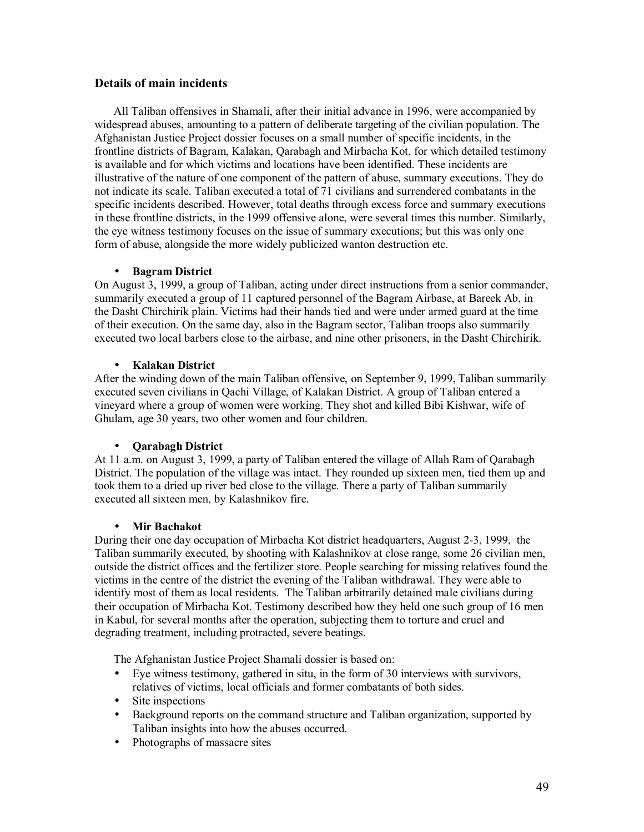# **Details of main incidents**

All Taliban offensives in Shamali, after their initial advance in 1996, were accompanied by widespread abuses, amounting to a pattern of deliberate targeting of the civilian population. The Afghanistan Justice Project dossier focuses on a small number of specific incidents, in the frontline districts of Bagram, Kalakan, Qarabagh and Mirbacha Kot, for which detailed testimony is available and for which victims and locations have been identified. These incidents are illustrative of the nature of one component of the pattern of abuse, summary executions. They do not indicate its scale. Taliban executed a total of 71 civilians and surrendered combatants in the specific incidents described. However, total deaths through excess force and summary executions in these frontline districts, in the 1999 offensive alone, were several times this number. Similarly, the eye witness testimony focuses on the issue of summary executions; but this was only one form of abuse, alongside the more widely publicized wanton destruction etc.

# • **Bagram District**

On August 3, 1999, a group of Taliban, acting under direct instructions from a senior commander, summarily executed a group of 11 captured personnel of the Bagram Airbase, at Bareek Ab, in the Dasht Chirchirik plain. Victims had their hands tied and were under armed guard at the time of their execution. On the same day, also in the Bagram sector, Taliban troops also summarily executed two local barbers close to the airbase, and nine other prisoners, in the Dasht Chirchirik.

# • **Kalakan District**

After the winding down of the main Taliban offensive, on September 9, 1999, Taliban summarily executed seven civilians in Qachi Village, of Kalakan District. A group of Taliban entered a vineyard where a group of women were working. They shot and killed Bibi Kishwar, wife of Ghulam, age 30 years, two other women and four children.

# • **Qarabagh District**

At 11 a.m. on August 3, 1999, a party of Taliban entered the village of Allah Ram of Qarabagh District. The population of the village was intact. They rounded up sixteen men, tied them up and took them to a dried up river bed close to the village. There a party of Taliban summarily executed all sixteen men, by Kalashnikov fire.

# • **Mir Bachakot**

During their one day occupation of Mirbacha Kot district headquarters, August 2-3, 1999, the Taliban summarily executed, by shooting with Kalashnikov at close range, some 26 civilian men, outside the district offices and the fertilizer store. People searching for missing relatives found the victims in the centre of the district the evening of the Taliban withdrawal. They were able to identify most of them as local residents. The Taliban arbitrarily detained male civilians during their occupation of Mirbacha Kot. Testimony described how they held one such group of 16 men in Kabul, for several months after the operation, subjecting them to torture and cruel and degrading treatment, including protracted, severe beatings.

The Afghanistan Justice Project Shamali dossier is based on:

- Eye witness testimony, gathered in situ, in the form of 30 interviews with survivors, relatives of victims, local officials and former combatants of both sides.
- Site inspections
- Background reports on the command structure and Taliban organization, supported by Taliban insights into how the abuses occurred.
- Photographs of massacre sites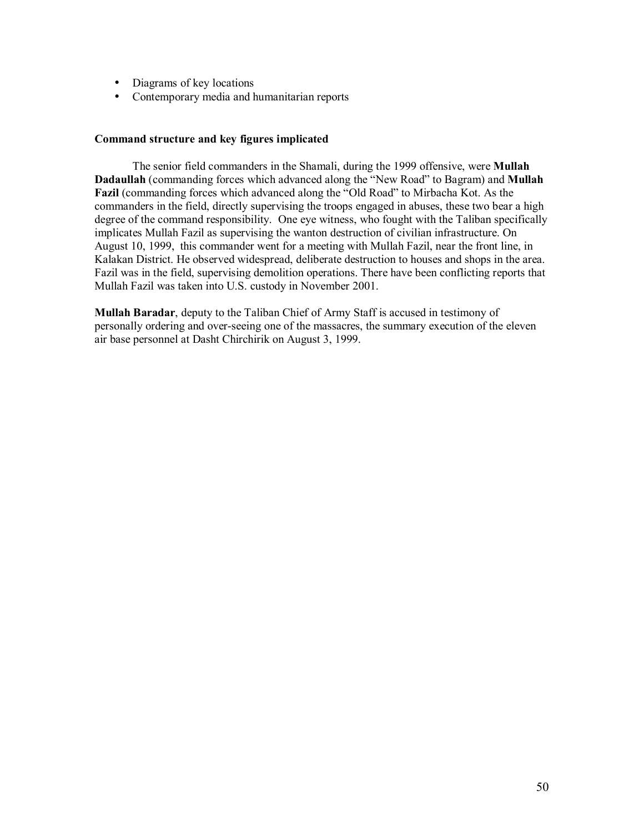- Diagrams of key locations
- Contemporary media and humanitarian reports

#### **Command structure and key figures implicated**

The senior field commanders in the Shamali, during the 1999 offensive, were **Mullah Dadaullah** (commanding forces which advanced along the "New Road" to Bagram) and **Mullah Fazil** (commanding forces which advanced along the "Old Road" to Mirbacha Kot. As the commanders in the field, directly supervising the troops engaged in abuses, these two bear a high degree of the command responsibility. One eye witness, who fought with the Taliban specifically implicates Mullah Fazil as supervising the wanton destruction of civilian infrastructure. On August 10, 1999, this commander went for a meeting with Mullah Fazil, near the front line, in Kalakan District. He observed widespread, deliberate destruction to houses and shops in the area. Fazil was in the field, supervising demolition operations. There have been conflicting reports that Mullah Fazil was taken into U.S. custody in November 2001.

**Mullah Baradar**, deputy to the Taliban Chief of Army Staff is accused in testimony of personally ordering and over-seeing one of the massacres, the summary execution of the eleven air base personnel at Dasht Chirchirik on August 3, 1999.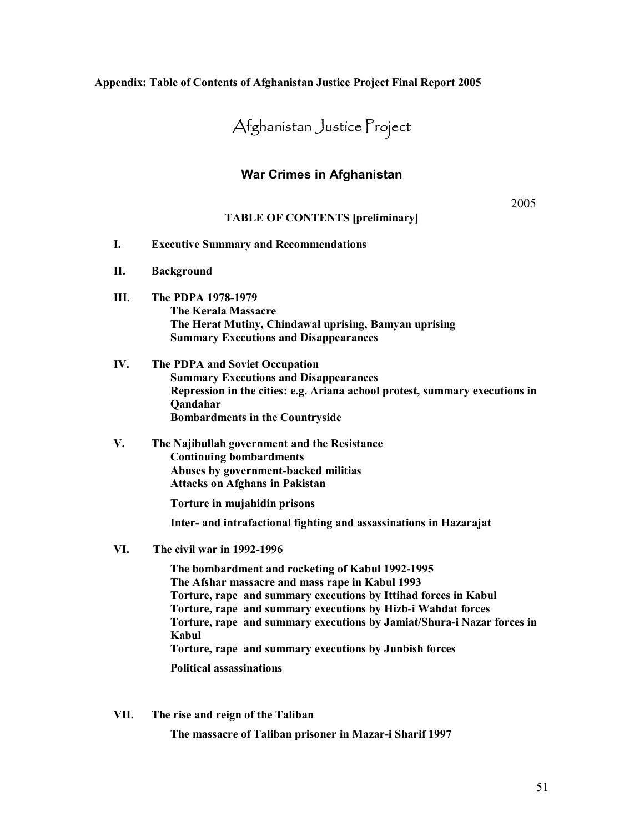#### **Appendix: Table of Contents of Afghanistan Justice Project Final Report 2005**

# Afghanistan Justice Project

# **War Crimes in Afghanistan**

2005

#### **TABLE OF CONTENTS [preliminary]**

- **I. Executive Summary and Recommendations**
- **II. Background**
- **III. The PDPA 1978-1979 The Kerala Massacre The Herat Mutiny, Chindawal uprising, Bamyan uprising Summary Executions and Disappearances**
- **IV. The PDPA and Soviet Occupation Summary Executions and Disappearances Repression in the cities: e.g. Ariana achool protest, summary executions in Qandahar Bombardments in the Countryside**
- **V. The Najibullah government and the Resistance Continuing bombardments Abuses by government-backed militias Attacks on Afghans in Pakistan**

**Torture in mujahidin prisons** 

**Inter- and intrafactional fighting and assassinations in Hazarajat** 

**VI. The civil war in 1992-1996** 

**The bombardment and rocketing of Kabul 1992-1995 The Afshar massacre and mass rape in Kabul 1993 Torture, rape and summary executions by Ittihad forces in Kabul Torture, rape and summary executions by Hizb-i Wahdat forces Torture, rape and summary executions by Jamiat/Shura-i Nazar forces in Kabul Torture, rape and summary executions by Junbish forces** 

**Political assassinations** 

**VII. The rise and reign of the Taliban** 

**The massacre of Taliban prisoner in Mazar-i Sharif 1997**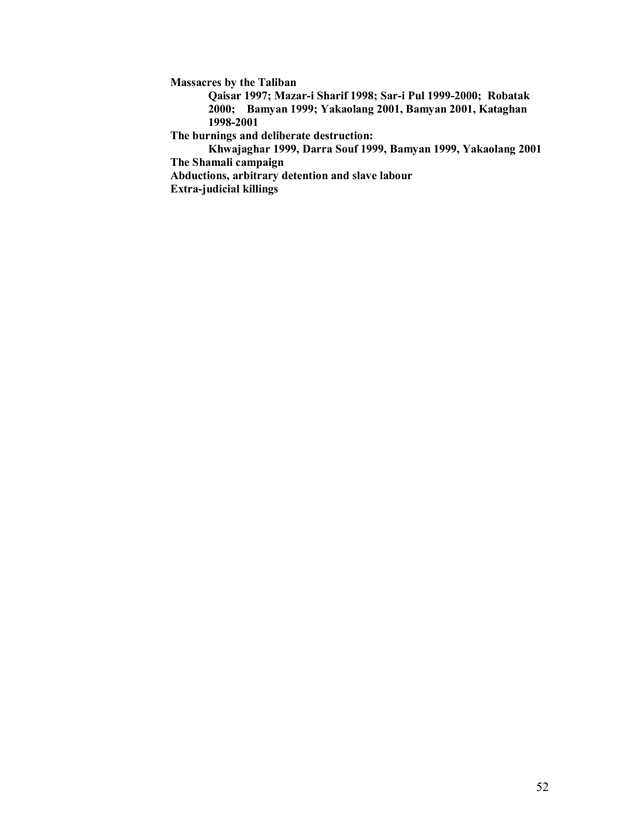**Massacres by the Taliban** 

**Qaisar 1997; Mazar-i Sharif 1998; Sar-i Pul 1999-2000; Robatak 2000; Bamyan 1999; Yakaolang 2001, Bamyan 2001, Kataghan 1998-2001** 

**The burnings and deliberate destruction:** 

**Khwajaghar 1999, Darra Souf 1999, Bamyan 1999, Yakaolang 2001 The Shamali campaign** 

**Abductions, arbitrary detention and slave labour Extra-judicial killings**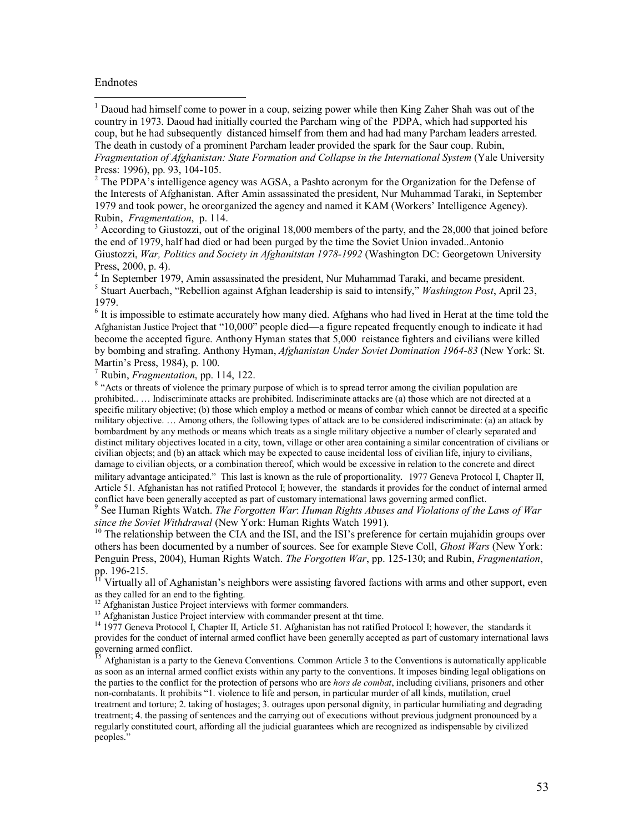#### Endnotes

 $\overline{a}$ 

<sup>1</sup> Daoud had himself come to power in a coup, seizing power while then King Zaher Shah was out of the country in 1973. Daoud had initially courted the Parcham wing of the PDPA, which had supported his coup, but he had subsequently distanced himself from them and had had many Parcham leaders arrested. The death in custody of a prominent Parcham leader provided the spark for the Saur coup. Rubin, *Fragmentation of Afghanistan: State Formation and Collapse in the International System* (Yale University Press: 1996), pp. 93, 104-105.

 $2^2$  The PDPA's intelligence agency was AGSA, a Pashto acronym for the Organization for the Defense of the Interests of Afghanistan. After Amin assassinated the president, Nur Muhammad Taraki, in September 1979 and took power, he oreorganized the agency and named it KAM (Workers' Intelligence Agency). Rubin, *Fragmentation*, p. 114. 3

<sup>3</sup> According to Giustozzi, out of the original 18,000 members of the party, and the 28,000 that joined before the end of 1979, half had died or had been purged by the time the Soviet Union invaded..Antonio Giustozzi, *War, Politics and Society in Afghanitstan 1978-1992* (Washington DC: Georgetown University Press, 2000, p. 4).

<sup>4</sup> In September 1979, Amin assassinated the president, Nur Muhammad Taraki, and became president. 5 Stuart Auerbach, "Rebellion against Afghan leadership is said to intensify," *Washington Post*, April 23, 1979.

<sup>6</sup> It is impossible to estimate accurately how many died. Afghans who had lived in Herat at the time told the Afghanistan Justice Project that "10,000" people died—a figure repeated frequently enough to indicate it had become the accepted figure. Anthony Hyman states that 5,000 reistance fighters and civilians were killed by bombing and strafing. Anthony Hyman, *Afghanistan Under Soviet Domination 1964-83* (New York: St. Martin's Press, 1984), p. 100.

<sup>7</sup> Rubin, *Fragmentation*, pp. 114, 122.

<sup>8</sup> "Acts or threats of violence the primary purpose of which is to spread terror among the civilian population are prohibited.. … Indiscriminate attacks are prohibited. Indiscriminate attacks are (a) those which are not directed at a specific military objective; (b) those which employ a method or means of combar which cannot be directed at a specific military objective. … Among others, the following types of attack are to be considered indiscriminate: (a) an attack by bombardment by any methods or means which treats as a single military objective a number of clearly separated and distinct military objectives located in a city, town, village or other area containing a similar concentration of civilians or civilian objects; and (b) an attack which may be expected to cause incidental loss of civilian life, injury to civilians, damage to civilian objects, or a combination thereof, which would be excessive in relation to the concrete and direct military advantage anticipated." This last is known as the rule of proportionality. 1977 Geneva Protocol I, Chapter II, Article 51. Afghanistan has not ratified Protocol I; however, the standards it provides for the conduct of internal armed conflict have been generally accepted as part of customary international laws governing armed conflict.

9 See Human Rights Watch. *The Forgotten War*: *Human Rights Abuses and Violations of the Laws of War since the Soviet Withdrawal* (New York: Human Rights Watch 1991).<br><sup>10</sup> The relationship between the CIA and the ISI, and the ISI's preference for certain mujahidin groups over

others has been documented by a number of sources. See for example Steve Coll, *Ghost Wars* (New York: Penguin Press, 2004), Human Rights Watch. *The Forgotten War*, pp. 125-130; and Rubin, *Fragmentation*, pp. 196-215.

<sup>11</sup> Virtually all of Aghanistan's neighbors were assisting favored factions with arms and other support, even as they called for an end to the fighting.

<sup>12</sup> Afghanistan Justice Project interviews with former commanders.

<sup>13</sup> Afghanistan Justice Project interview with commander present at tht time.

<sup>14</sup> 1977 Geneva Protocol I, Chapter II, Article 51. Afghanistan has not ratified Protocol I; however, the standards it provides for the conduct of internal armed conflict have been generally accepted as part of customary international laws governing armed conflict.

<sup>15</sup> Afghanistan is a party to the Geneva Conventions. Common Article 3 to the Conventions is automatically applicable as soon as an internal armed conflict exists within any party to the conventions. It imposes binding legal obligations on the parties to the conflict for the protection of persons who are *hors de combat*, including civilians, prisoners and other non-combatants. It prohibits "1. violence to life and person, in particular murder of all kinds, mutilation, cruel treatment and torture; 2. taking of hostages; 3. outrages upon personal dignity, in particular humiliating and degrading treatment; 4. the passing of sentences and the carrying out of executions without previous judgment pronounced by a regularly constituted court, affording all the judicial guarantees which are recognized as indispensable by civilized peoples."